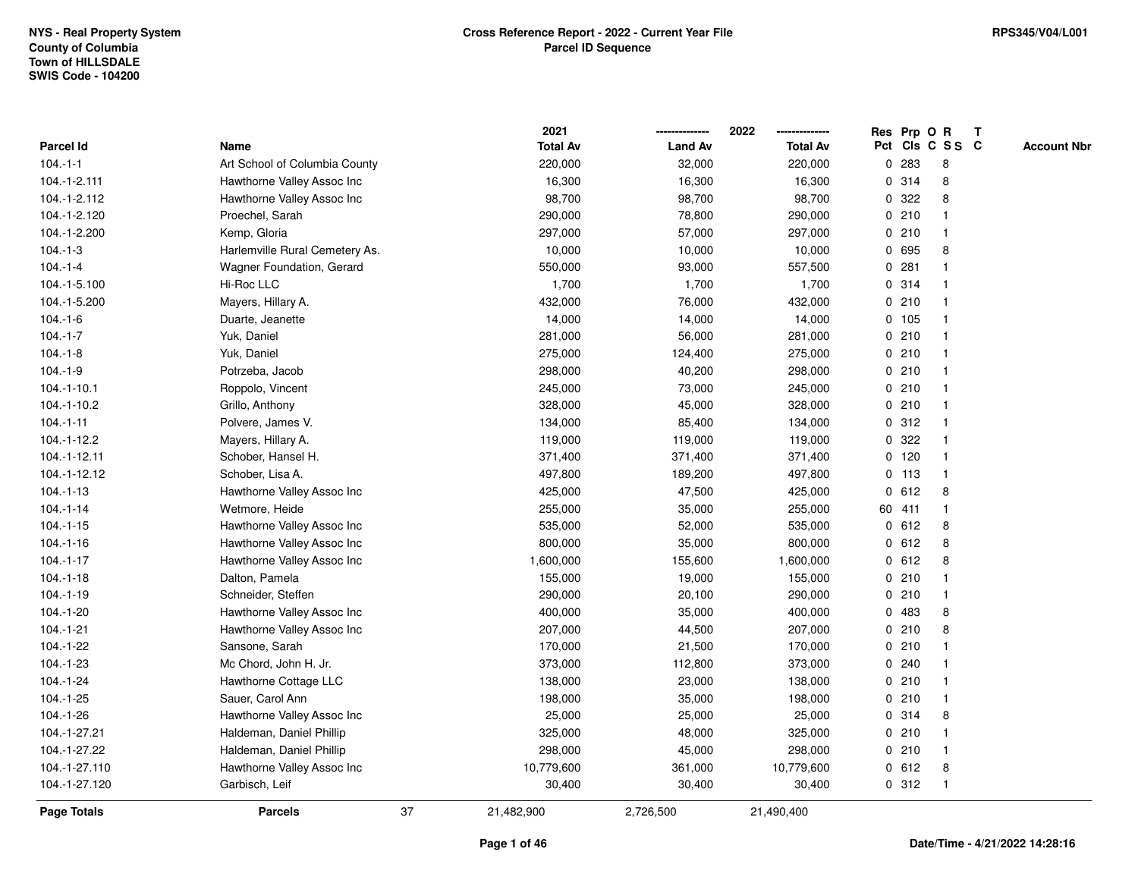|                  |                                |    | 2021            |                | 2022            |             |        | Res Prp O R     | T |                    |
|------------------|--------------------------------|----|-----------------|----------------|-----------------|-------------|--------|-----------------|---|--------------------|
| <b>Parcel Id</b> | Name                           |    | <b>Total Av</b> | <b>Land Av</b> | <b>Total Av</b> |             |        | Pct Cls C S S C |   | <b>Account Nbr</b> |
| $104 - 1 - 1$    | Art School of Columbia County  |    | 220,000         | 32,000         | 220,000         | 0           | 283    | 8               |   |                    |
| 104.-1-2.111     | Hawthorne Valley Assoc Inc     |    | 16,300          | 16,300         | 16,300          | 0           | 314    | 8               |   |                    |
| 104.-1-2.112     | Hawthorne Valley Assoc Inc     |    | 98,700          | 98,700         | 98,700          | $\mathbf 0$ | 322    | 8               |   |                    |
| 104.-1-2.120     | Proechel, Sarah                |    | 290,000         | 78,800         | 290,000         |             | 0210   | -1              |   |                    |
| 104.-1-2.200     | Kemp, Gloria                   |    | 297,000         | 57,000         | 297,000         |             | 0210   | $\mathbf{1}$    |   |                    |
| $104.-1-3$       | Harlemville Rural Cemetery As. |    | 10,000          | 10,000         | 10,000          |             | 0 695  | 8               |   |                    |
| $104.-1-4$       | Wagner Foundation, Gerard      |    | 550,000         | 93,000         | 557,500         |             | 0.281  |                 |   |                    |
| 104.-1-5.100     | Hi-Roc LLC                     |    | 1,700           | 1,700          | 1,700           |             | 0 314  |                 |   |                    |
| 104.-1-5.200     | Mayers, Hillary A.             |    | 432,000         | 76,000         | 432,000         |             | 0210   |                 |   |                    |
| $104.-1-6$       | Duarte, Jeanette               |    | 14,000          | 14,000         | 14,000          |             | 0, 105 | $\mathbf 1$     |   |                    |
| $104.-1-7$       | Yuk, Daniel                    |    | 281,000         | 56,000         | 281,000         | $\mathbf 0$ | 210    |                 |   |                    |
| $104.-1-8$       | Yuk, Daniel                    |    | 275,000         | 124,400        | 275,000         |             | 0210   | -1              |   |                    |
| $104.-1-9$       | Potrzeba, Jacob                |    | 298,000         | 40,200         | 298,000         |             | 0210   |                 |   |                    |
| $104.-1-10.1$    | Roppolo, Vincent               |    | 245,000         | 73,000         | 245,000         |             | 0210   |                 |   |                    |
| 104.-1-10.2      | Grillo, Anthony                |    | 328,000         | 45,000         | 328,000         |             | 0210   |                 |   |                    |
| $104.-1-11$      | Polvere, James V.              |    | 134,000         | 85,400         | 134,000         |             | 0.312  |                 |   |                    |
| 104.-1-12.2      | Mayers, Hillary A.             |    | 119,000         | 119,000        | 119,000         | 0           | 322    |                 |   |                    |
| 104.-1-12.11     | Schober, Hansel H.             |    | 371,400         | 371,400        | 371,400         | 0           | 120    |                 |   |                    |
| 104.-1-12.12     | Schober, Lisa A.               |    | 497,800         | 189,200        | 497,800         |             | 0, 113 | $\mathbf 1$     |   |                    |
| $104.-1-13$      | Hawthorne Valley Assoc Inc     |    | 425,000         | 47,500         | 425,000         |             | 0 612  | 8               |   |                    |
| $104 - 1 - 14$   | Wetmore, Heide                 |    | 255,000         | 35,000         | 255,000         |             | 60 411 |                 |   |                    |
| $104.-1-15$      | Hawthorne Valley Assoc Inc     |    | 535,000         | 52,000         | 535,000         |             | 0 612  | 8               |   |                    |
| $104.-1-16$      | Hawthorne Valley Assoc Inc     |    | 800,000         | 35,000         | 800,000         | 0           | 612    | 8               |   |                    |
| $104.-1-17$      | Hawthorne Valley Assoc Inc     |    | 1,600,000       | 155,600        | 1,600,000       | 0           | 612    | 8               |   |                    |
| $104.-1-18$      | Dalton, Pamela                 |    | 155,000         | 19,000         | 155,000         |             | 0210   |                 |   |                    |
| $104.-1-19$      | Schneider, Steffen             |    | 290,000         | 20,100         | 290,000         |             | 0210   |                 |   |                    |
| $104.-1-20$      | Hawthorne Valley Assoc Inc     |    | 400,000         | 35,000         | 400,000         |             | 0 483  | 8               |   |                    |
| $104.-1-21$      | Hawthorne Valley Assoc Inc     |    | 207,000         | 44,500         | 207,000         |             | 0210   | 8               |   |                    |
| $104.-1-22$      | Sansone, Sarah                 |    | 170,000         | 21,500         | 170,000         |             | 0210   |                 |   |                    |
| $104.-1-23$      | Mc Chord, John H. Jr.          |    | 373,000         | 112,800        | 373,000         | 0           | 240    |                 |   |                    |
| $104.-1-24$      | Hawthorne Cottage LLC          |    | 138,000         | 23,000         | 138,000         |             | 0210   |                 |   |                    |
| $104.-1-25$      | Sauer, Carol Ann               |    | 198,000         | 35,000         | 198,000         |             | 0210   | $\mathbf{1}$    |   |                    |
| $104.-1-26$      | Hawthorne Valley Assoc Inc     |    | 25,000          | 25,000         | 25,000          |             | 0 314  | 8               |   |                    |
| 104.-1-27.21     | Haldeman, Daniel Phillip       |    | 325,000         | 48,000         | 325,000         |             | 0210   |                 |   |                    |
| 104.-1-27.22     | Haldeman, Daniel Phillip       |    | 298,000         | 45,000         | 298,000         |             | 0210   |                 |   |                    |
| 104.-1-27.110    | Hawthorne Valley Assoc Inc     |    | 10,779,600      | 361,000        | 10,779,600      |             | 0 612  | 8               |   |                    |
| 104.-1-27.120    | Garbisch, Leif                 |    | 30,400          | 30,400         | 30,400          |             | 0.312  | -1              |   |                    |
| Page Totals      | <b>Parcels</b>                 | 37 | 21,482,900      | 2,726,500      | 21,490,400      |             |        |                 |   |                    |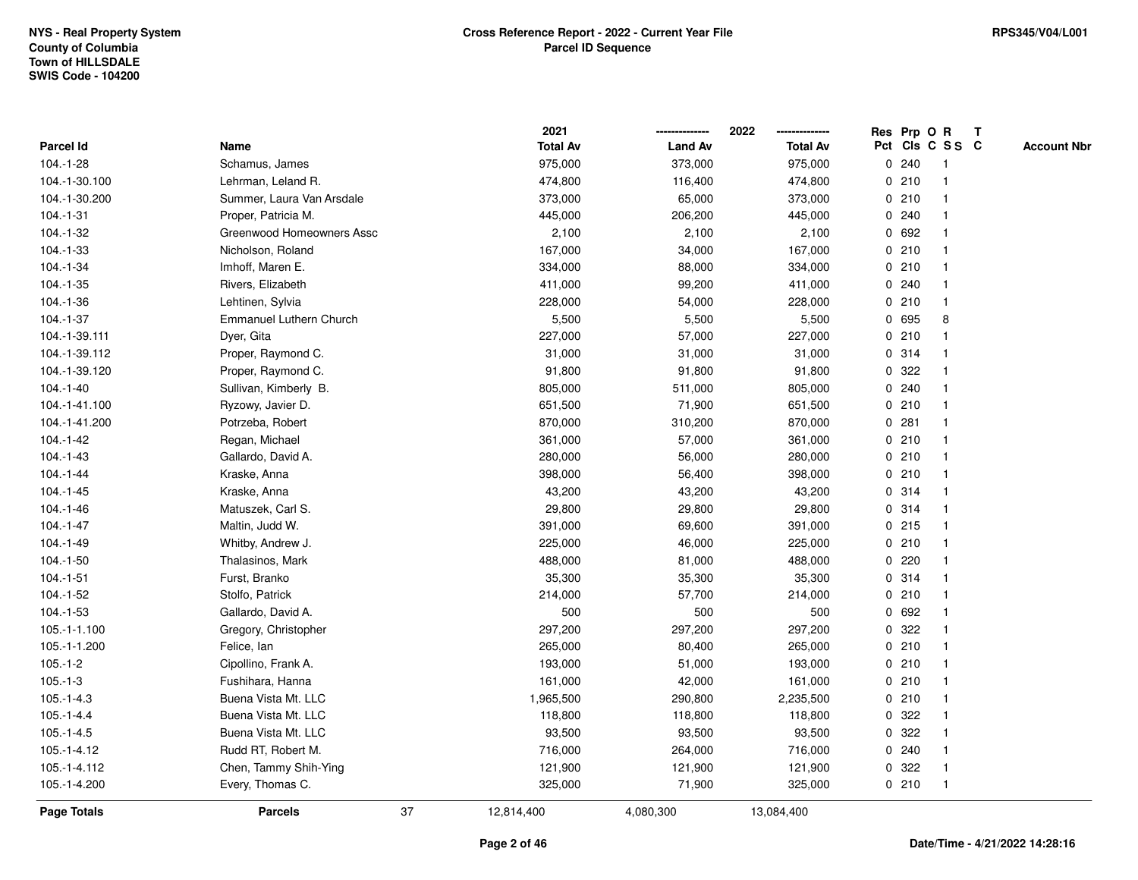|                  |                           |    | 2021            |                | 2022            |             |         | Res Prp O R     | $\mathbf{T}$ |                    |
|------------------|---------------------------|----|-----------------|----------------|-----------------|-------------|---------|-----------------|--------------|--------------------|
| <b>Parcel Id</b> | Name                      |    | <b>Total Av</b> | <b>Land Av</b> | <b>Total Av</b> |             |         | Pct Cls C S S C |              | <b>Account Nbr</b> |
| 104.-1-28        | Schamus, James            |    | 975,000         | 373,000        | 975,000         | 0           | 240     |                 |              |                    |
| 104.-1-30.100    | Lehrman, Leland R.        |    | 474,800         | 116,400        | 474,800         |             | 0210    |                 |              |                    |
| 104.-1-30.200    | Summer, Laura Van Arsdale |    | 373,000         | 65,000         | 373,000         | 0           | 210     |                 |              |                    |
| $104 - 1 - 31$   | Proper, Patricia M.       |    | 445,000         | 206,200        | 445,000         |             | 0.240   |                 |              |                    |
| 104.-1-32        | Greenwood Homeowners Assc |    | 2,100           | 2,100          | 2,100           |             | 0 692   |                 |              |                    |
| 104.-1-33        | Nicholson, Roland         |    | 167,000         | 34,000         | 167,000         |             | 0210    |                 |              |                    |
| 104.-1-34        | Imhoff, Maren E.          |    | 334,000         | 88,000         | 334,000         |             | 0210    |                 |              |                    |
| $104.-1-35$      | Rivers, Elizabeth         |    | 411,000         | 99,200         | 411,000         |             | 0.240   |                 |              |                    |
| 104.-1-36        | Lehtinen, Sylvia          |    | 228,000         | 54,000         | 228,000         |             | 0210    |                 |              |                    |
| $104.-1-37$      | Emmanuel Luthern Church   |    | 5,500           | 5,500          | 5,500           | 0           | 695     | 8               |              |                    |
| 104.-1-39.111    | Dyer, Gita                |    | 227,000         | 57,000         | 227,000         | 0           | 210     |                 |              |                    |
| 104.-1-39.112    | Proper, Raymond C.        |    | 31,000          | 31,000         | 31,000          |             | 0 314   |                 |              |                    |
| 104.-1-39.120    | Proper, Raymond C.        |    | 91,800          | 91,800         | 91,800          |             | 0 322   |                 |              |                    |
| $104.-1-40$      | Sullivan, Kimberly B.     |    | 805,000         | 511,000        | 805,000         |             | 0.240   |                 |              |                    |
| 104.-1-41.100    | Ryzowy, Javier D.         |    | 651,500         | 71,900         | 651,500         |             | 0210    |                 |              |                    |
| 104.-1-41.200    | Potrzeba, Robert          |    | 870,000         | 310,200        | 870,000         | 0           | 281     |                 |              |                    |
| $104.-1-42$      | Regan, Michael            |    | 361,000         | 57,000         | 361,000         |             | 0210    | -1              |              |                    |
| $104.-1-43$      | Gallardo, David A.        |    | 280,000         | 56,000         | 280,000         |             | 0210    |                 |              |                    |
| $104 - 1 - 44$   | Kraske, Anna              |    | 398,000         | 56,400         | 398,000         |             | 0210    |                 |              |                    |
| $104.-1-45$      | Kraske, Anna              |    | 43,200          | 43,200         | 43,200          |             | 0 314   |                 |              |                    |
| 104.-1-46        | Matuszek, Carl S.         |    | 29,800          | 29,800         | 29,800          |             | 0.314   |                 |              |                    |
| $104.-1-47$      | Maltin, Judd W.           |    | 391,000         | 69,600         | 391,000         |             | $0$ 215 |                 |              |                    |
| $104.-1-49$      | Whitby, Andrew J.         |    | 225,000         | 46,000         | 225,000         | 0           | 210     | -1              |              |                    |
| $104.-1-50$      | Thalasinos, Mark          |    | 488,000         | 81,000         | 488,000         | $\mathbf 0$ | 220     |                 |              |                    |
| $104.-1-51$      | Furst, Branko             |    | 35,300          | 35,300         | 35,300          |             | 0 314   | -1              |              |                    |
| $104.-1-52$      | Stolfo, Patrick           |    | 214,000         | 57,700         | 214,000         |             | 0210    |                 |              |                    |
| $104.-1-53$      | Gallardo, David A.        |    | 500             | 500            | 500             |             | 0 692   |                 |              |                    |
| 105.-1-1.100     | Gregory, Christopher      |    | 297,200         | 297,200        | 297,200         | 0           | 322     |                 |              |                    |
| 105.-1-1.200     | Felice, Ian               |    | 265,000         | 80,400         | 265,000         |             | 0210    |                 |              |                    |
| $105.-1-2$       | Cipollino, Frank A.       |    | 193,000         | 51,000         | 193,000         | 0           | 210     | -1              |              |                    |
| $105.-1-3$       | Fushihara, Hanna          |    | 161,000         | 42,000         | 161,000         |             | 0210    |                 |              |                    |
| $105.-1-4.3$     | Buena Vista Mt. LLC       |    | 1,965,500       | 290,800        | 2,235,500       |             | 0210    |                 |              |                    |
| $105 - 1 - 4.4$  | Buena Vista Mt. LLC       |    | 118,800         | 118,800        | 118,800         |             | 0 322   |                 |              |                    |
| $105.-1-4.5$     | Buena Vista Mt. LLC       |    | 93,500          | 93,500         | 93,500          |             | 0 322   |                 |              |                    |
| $105.-1-4.12$    | Rudd RT, Robert M.        |    | 716,000         | 264,000        | 716,000         |             | 0.240   |                 |              |                    |
| 105.-1-4.112     | Chen, Tammy Shih-Ying     |    | 121,900         | 121,900        | 121,900         | 0           | 322     |                 |              |                    |
| 105.-1-4.200     | Every, Thomas C.          |    | 325,000         | 71,900         | 325,000         |             | 0210    | $\mathbf 1$     |              |                    |
| Page Totals      | <b>Parcels</b>            | 37 | 12,814,400      | 4,080,300      | 13,084,400      |             |         |                 |              |                    |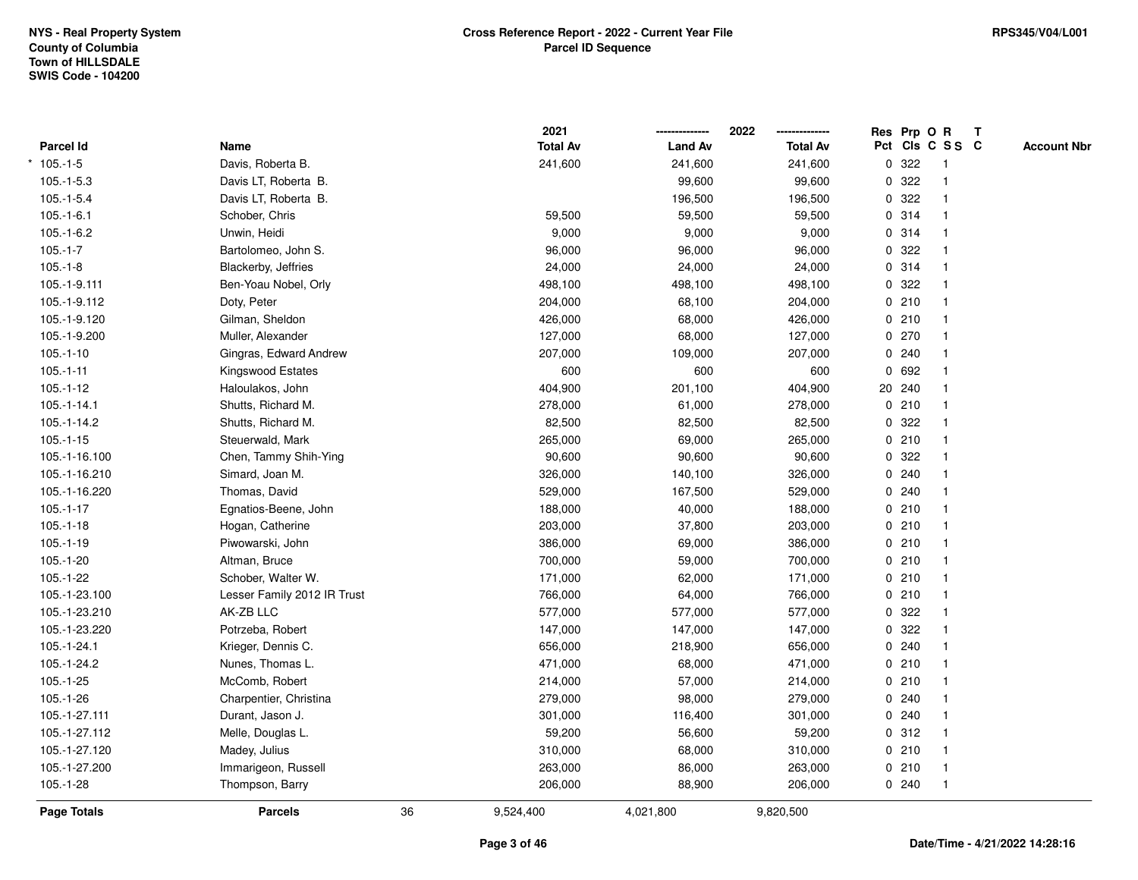|               |                             |    | 2021            |                | 2022            |   | Res Prp O R |                 | T |                    |
|---------------|-----------------------------|----|-----------------|----------------|-----------------|---|-------------|-----------------|---|--------------------|
| Parcel Id     | Name                        |    | <b>Total Av</b> | <b>Land Av</b> | <b>Total Av</b> |   |             | Pct Cls C S S C |   | <b>Account Nbr</b> |
| $105.-1-5$    | Davis, Roberta B.           |    | 241,600         | 241,600        | 241,600         | 0 | 322         | $\mathbf{1}$    |   |                    |
| $105.-1-5.3$  | Davis LT, Roberta B.        |    |                 | 99,600         | 99,600          | 0 | 322         | 1               |   |                    |
| $105.-1-5.4$  | Davis LT, Roberta B.        |    |                 | 196,500        | 196,500         |   | 0.322       | $\mathbf{1}$    |   |                    |
| $105.-1-6.1$  | Schober, Chris              |    | 59,500          | 59,500         | 59,500          |   | 0.314       |                 |   |                    |
| $105.-1-6.2$  | Unwin, Heidi                |    | 9,000           | 9,000          | 9,000           |   | 0.314       |                 |   |                    |
| $105.-1-7$    | Bartolomeo, John S.         |    | 96,000          | 96,000         | 96,000          |   | 0.322       |                 |   |                    |
| $105.-1-8$    | Blackerby, Jeffries         |    | 24,000          | 24,000         | 24,000          |   | 0.314       | $\mathbf{1}$    |   |                    |
| 105.-1-9.111  | Ben-Yoau Nobel, Orly        |    | 498,100         | 498,100        | 498,100         | 0 | 322         | $\mathbf{1}$    |   |                    |
| 105.-1-9.112  | Doty, Peter                 |    | 204,000         | 68,100         | 204,000         |   | 0210        | -1              |   |                    |
| 105.-1-9.120  | Gilman, Sheldon             |    | 426,000         | 68,000         | 426,000         |   | 0210        | $\mathbf{1}$    |   |                    |
| 105.-1-9.200  | Muller, Alexander           |    | 127,000         | 68,000         | 127,000         |   | 0270        |                 |   |                    |
| $105.-1-10$   | Gingras, Edward Andrew      |    | 207,000         | 109,000        | 207,000         |   | 0.240       |                 |   |                    |
| $105.-1-11$   | Kingswood Estates           |    | 600             | 600            | 600             |   | 0 692       |                 |   |                    |
| $105.-1-12$   | Haloulakos, John            |    | 404,900         | 201,100        | 404,900         |   | 20 240      |                 |   |                    |
| $105.-1-14.1$ | Shutts, Richard M.          |    | 278,000         | 61,000         | 278,000         |   | 0210        | $\mathbf{1}$    |   |                    |
| 105.-1-14.2   | Shutts, Richard M.          |    | 82,500          | 82,500         | 82,500          | 0 | 322         | $\mathbf{1}$    |   |                    |
| $105.-1-15$   | Steuerwald, Mark            |    | 265,000         | 69,000         | 265,000         |   | 0210        | $\mathbf{1}$    |   |                    |
| 105.-1-16.100 | Chen, Tammy Shih-Ying       |    | 90,600          | 90,600         | 90,600          |   | 0 322       |                 |   |                    |
| 105.-1-16.210 | Simard, Joan M.             |    | 326,000         | 140,100        | 326,000         |   | 0.240       |                 |   |                    |
| 105.-1-16.220 | Thomas, David               |    | 529,000         | 167,500        | 529,000         |   | 0.240       |                 |   |                    |
| $105.-1-17$   | Egnatios-Beene, John        |    | 188,000         | 40,000         | 188,000         |   | 0210        |                 |   |                    |
| $105.-1-18$   | Hogan, Catherine            |    | 203,000         | 37,800         | 203,000         |   | 0210        | -1              |   |                    |
| $105.-1-19$   | Piwowarski, John            |    | 386,000         | 69,000         | 386,000         |   | 0210        | $\overline{1}$  |   |                    |
| $105.-1-20$   | Altman, Bruce               |    | 700,000         | 59,000         | 700,000         |   | 0210        | $\mathbf{1}$    |   |                    |
| 105.-1-22     | Schober, Walter W.          |    | 171,000         | 62,000         | 171,000         |   | 0210        |                 |   |                    |
| 105.-1-23.100 | Lesser Family 2012 IR Trust |    | 766,000         | 64,000         | 766,000         |   | 0210        |                 |   |                    |
| 105.-1-23.210 | AK-ZB LLC                   |    | 577,000         | 577,000        | 577,000         |   | 0 322       |                 |   |                    |
| 105.-1-23.220 | Potrzeba, Robert            |    | 147,000         | 147,000        | 147,000         |   | 0.322       |                 |   |                    |
| 105.-1-24.1   | Krieger, Dennis C.          |    | 656,000         | 218,900        | 656,000         |   | 0.240       |                 |   |                    |
| 105.-1-24.2   | Nunes, Thomas L.            |    | 471,000         | 68,000         | 471,000         |   | 0210        | 1               |   |                    |
| 105.-1-25     | McComb, Robert              |    | 214,000         | 57,000         | 214,000         |   | 0210        | $\mathbf{1}$    |   |                    |
| $105.-1-26$   | Charpentier, Christina      |    | 279,000         | 98,000         | 279,000         |   | 0.240       |                 |   |                    |
| 105.-1-27.111 | Durant, Jason J.            |    | 301,000         | 116,400        | 301,000         |   | 0.240       |                 |   |                    |
| 105.-1-27.112 | Melle, Douglas L.           |    | 59,200          | 56,600         | 59,200          |   | 0.312       |                 |   |                    |
| 105.-1-27.120 | Madey, Julius               |    | 310,000         | 68,000         | 310,000         |   | 0210        |                 |   |                    |
| 105.-1-27.200 | Immarigeon, Russell         |    | 263,000         | 86,000         | 263,000         |   | 0210        | $\overline{1}$  |   |                    |
| $105.-1-28$   | Thompson, Barry             |    | 206,000         | 88,900         | 206,000         |   | 0.240       | $\overline{1}$  |   |                    |
| Page Totals   | <b>Parcels</b>              | 36 | 9,524,400       | 4,021,800      | 9,820,500       |   |             |                 |   |                    |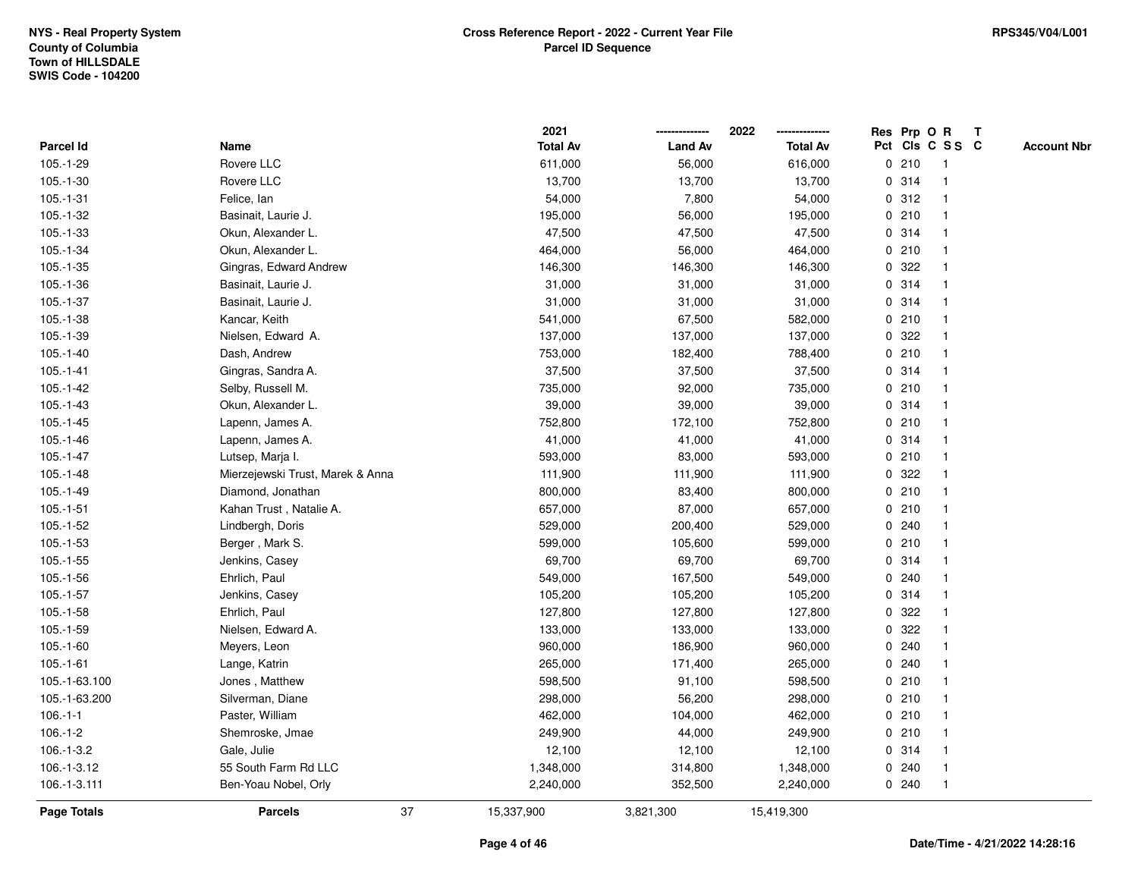|                    |                                  |    | 2021            |                | 2022            |             |       | Res Prp O R     | $\mathbf{T}$ |                    |
|--------------------|----------------------------------|----|-----------------|----------------|-----------------|-------------|-------|-----------------|--------------|--------------------|
| Parcel Id          | Name                             |    | <b>Total Av</b> | <b>Land Av</b> | <b>Total Av</b> |             |       | Pct Cls C S S C |              | <b>Account Nbr</b> |
| $105.-1-29$        | Rovere LLC                       |    | 611,000         | 56,000         | 616,000         |             | 0210  | 1               |              |                    |
| $105.-1-30$        | Rovere LLC                       |    | 13,700          | 13,700         | 13,700          |             | 0.314 |                 |              |                    |
| $105.-1-31$        | Felice, lan                      |    | 54,000          | 7,800          | 54,000          |             | 0.312 |                 |              |                    |
| 105.-1-32          | Basinait, Laurie J.              |    | 195,000         | 56,000         | 195,000         | $\mathbf 0$ | 210   | $\mathbf 1$     |              |                    |
| $105.-1-33$        | Okun, Alexander L.               |    | 47,500          | 47,500         | 47,500          |             | 0 314 | $\mathbf{1}$    |              |                    |
| $105.-1-34$        | Okun, Alexander L.               |    | 464,000         | 56,000         | 464,000         |             | 0210  | $\mathbf 1$     |              |                    |
| $105.-1-35$        | Gingras, Edward Andrew           |    | 146,300         | 146,300        | 146,300         |             | 0.322 |                 |              |                    |
| $105.-1-36$        | Basinait, Laurie J.              |    | 31,000          | 31,000         | 31,000          |             | 0 314 |                 |              |                    |
| $105.-1-37$        | Basinait, Laurie J.              |    | 31,000          | 31,000         | 31,000          |             | 0.314 |                 |              |                    |
| $105.-1-38$        | Kancar, Keith                    |    | 541,000         | 67,500         | 582,000         |             | 0210  |                 |              |                    |
| $105.-1-39$        | Nielsen, Edward A.               |    | 137,000         | 137,000        | 137,000         | 0           | 322   |                 |              |                    |
| $105.-1-40$        | Dash, Andrew                     |    | 753,000         | 182,400        | 788,400         |             | 0210  | $\overline{1}$  |              |                    |
| $105.-1-41$        | Gingras, Sandra A.               |    | 37,500          | 37,500         | 37,500          |             | 0.314 |                 |              |                    |
| $105.-1-42$        | Selby, Russell M.                |    | 735,000         | 92,000         | 735,000         |             | 0210  |                 |              |                    |
| $105.-1-43$        | Okun, Alexander L.               |    | 39,000          | 39,000         | 39,000          |             | 0.314 |                 |              |                    |
| $105.-1-45$        | Lapenn, James A.                 |    | 752,800         | 172,100        | 752,800         |             | 0210  |                 |              |                    |
| $105.-1-46$        | Lapenn, James A.                 |    | 41,000          | 41,000         | 41,000          | 0           | 314   | 1               |              |                    |
| $105.-1-47$        | Lutsep, Marja I.                 |    | 593,000         | 83,000         | 593,000         | 0           | 210   | -1              |              |                    |
| $105.-1-48$        | Mierzejewski Trust, Marek & Anna |    | 111,900         | 111,900        | 111,900         |             | 0.322 |                 |              |                    |
| $105.-1-49$        | Diamond, Jonathan                |    | 800,000         | 83,400         | 800,000         |             | 0210  |                 |              |                    |
| $105.-1-51$        | Kahan Trust, Natalie A.          |    | 657,000         | 87,000         | 657,000         |             | 0210  |                 |              |                    |
| $105.-1-52$        | Lindbergh, Doris                 |    | 529,000         | 200,400        | 529,000         |             | 0.240 |                 |              |                    |
| $105.-1-53$        | Berger, Mark S.                  |    | 599,000         | 105,600        | 599,000         |             | 0210  |                 |              |                    |
| $105.-1-55$        | Jenkins, Casey                   |    | 69,700          | 69,700         | 69,700          | 0           | 314   |                 |              |                    |
| $105.-1-56$        | Ehrlich, Paul                    |    | 549,000         | 167,500        | 549,000         | 0           | 240   | -1              |              |                    |
| $105.-1-57$        | Jenkins, Casey                   |    | 105,200         | 105,200        | 105,200         |             | 0.314 | 1               |              |                    |
| $105.-1-58$        | Ehrlich, Paul                    |    | 127,800         | 127,800        | 127,800         |             | 0.322 |                 |              |                    |
| $105.-1-59$        | Nielsen, Edward A.               |    | 133,000         | 133,000        | 133,000         | 0           | 322   |                 |              |                    |
| $105.-1-60$        | Meyers, Leon                     |    | 960,000         | 186,900        | 960,000         |             | 0.240 |                 |              |                    |
| $105.-1-61$        | Lange, Katrin                    |    | 265,000         | 171,400        | 265,000         | 0           | 240   |                 |              |                    |
| 105.-1-63.100      | Jones, Matthew                   |    | 598,500         | 91,100         | 598,500         | 0           | 210   | $\overline{1}$  |              |                    |
| 105.-1-63.200      | Silverman, Diane                 |    | 298,000         | 56,200         | 298,000         |             | 0210  | $\mathbf 1$     |              |                    |
| $106.-1-1$         | Paster, William                  |    | 462,000         | 104,000        | 462,000         |             | 0210  |                 |              |                    |
| $106.-1-2$         | Shemroske, Jmae                  |    | 249,900         | 44,000         | 249,900         |             | 0210  |                 |              |                    |
| $106.-1-3.2$       | Gale, Julie                      |    | 12,100          | 12,100         | 12,100          |             | 0.314 |                 |              |                    |
| 106.-1-3.12        | 55 South Farm Rd LLC             |    | 1,348,000       | 314,800        | 1,348,000       |             | 0.240 | -1              |              |                    |
| 106.-1-3.111       | Ben-Yoau Nobel, Orly             |    | 2,240,000       | 352,500        | 2,240,000       |             | 0.240 | $\overline{1}$  |              |                    |
| <b>Page Totals</b> | <b>Parcels</b>                   | 37 | 15,337,900      | 3,821,300      | 15,419,300      |             |       |                 |              |                    |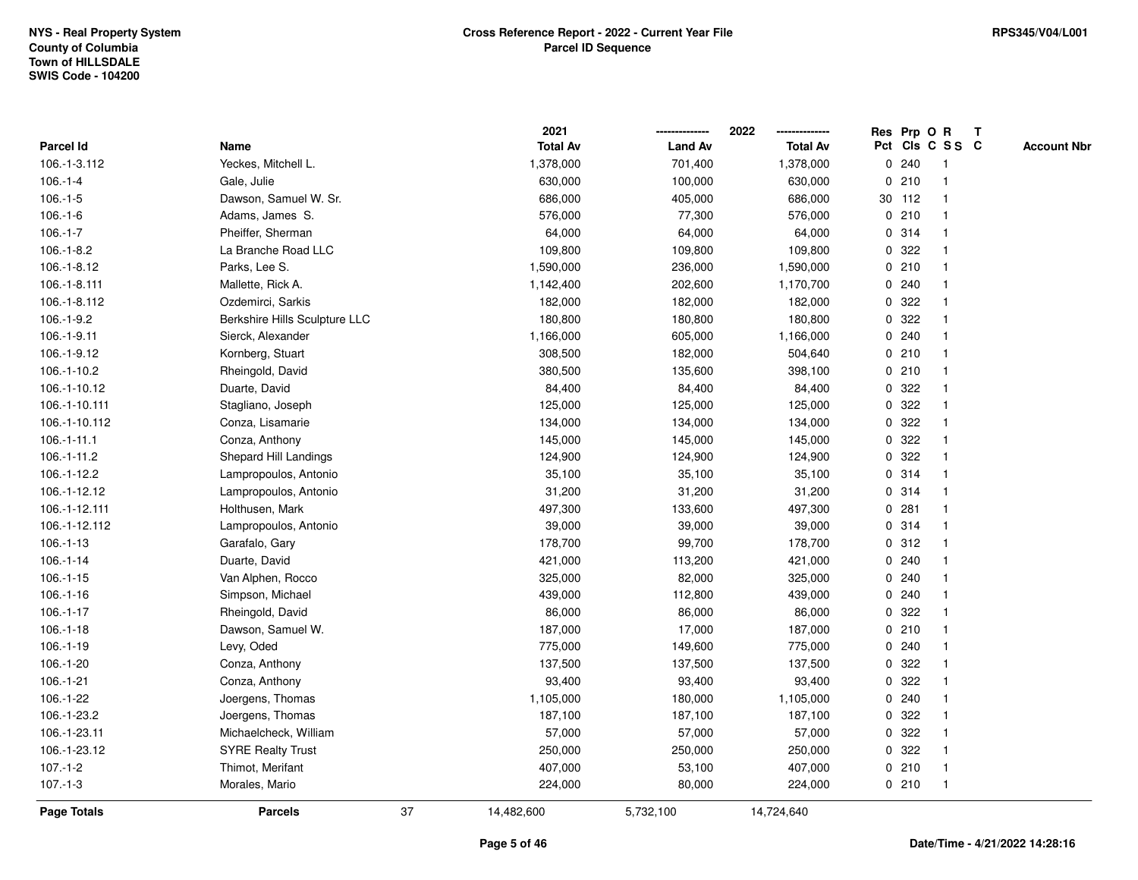|               |                               |    | 2021            |                | 2022            |             |        | Res Prp O R     | Т |                    |
|---------------|-------------------------------|----|-----------------|----------------|-----------------|-------------|--------|-----------------|---|--------------------|
| Parcel Id     | Name                          |    | <b>Total Av</b> | <b>Land Av</b> | <b>Total Av</b> |             |        | Pct Cls C S S C |   | <b>Account Nbr</b> |
| 106.-1-3.112  | Yeckes, Mitchell L.           |    | 1,378,000       | 701,400        | 1,378,000       | $\mathbf 0$ | 240    | $\mathbf{1}$    |   |                    |
| $106.-1-4$    | Gale, Julie                   |    | 630,000         | 100,000        | 630,000         | 0           | 210    | -1              |   |                    |
| $106.-1-5$    | Dawson, Samuel W. Sr.         |    | 686,000         | 405,000        | 686,000         |             | 30 112 | $\mathbf 1$     |   |                    |
| $106.-1-6$    | Adams, James S.               |    | 576,000         | 77,300         | 576,000         |             | 0210   |                 |   |                    |
| $106.-1-7$    | Pheiffer, Sherman             |    | 64,000          | 64,000         | 64,000          |             | 0 314  |                 |   |                    |
| $106.-1-8.2$  | La Branche Road LLC           |    | 109,800         | 109,800        | 109,800         |             | 0 322  |                 |   |                    |
| 106.-1-8.12   | Parks, Lee S.                 |    | 1,590,000       | 236,000        | 1,590,000       |             | 0210   |                 |   |                    |
| 106.-1-8.111  | Mallette, Rick A.             |    | 1,142,400       | 202,600        | 1,170,700       |             | 0.240  |                 |   |                    |
| 106.-1-8.112  | Ozdemirci, Sarkis             |    | 182,000         | 182,000        | 182,000         | 0           | 322    | -1              |   |                    |
| $106.-1-9.2$  | Berkshire Hills Sculpture LLC |    | 180,800         | 180,800        | 180,800         |             | 0 322  |                 |   |                    |
| 106.-1-9.11   | Sierck, Alexander             |    | 1,166,000       | 605,000        | 1,166,000       |             | 0.240  |                 |   |                    |
| 106.-1-9.12   | Kornberg, Stuart              |    | 308,500         | 182,000        | 504,640         |             | 0210   |                 |   |                    |
| 106.-1-10.2   | Rheingold, David              |    | 380,500         | 135,600        | 398,100         |             | 0210   |                 |   |                    |
| 106.-1-10.12  | Duarte, David                 |    | 84,400          | 84,400         | 84,400          | 0           | 322    |                 |   |                    |
| 106.-1-10.111 | Stagliano, Joseph             |    | 125,000         | 125,000        | 125,000         | 0           | 322    |                 |   |                    |
| 106.-1-10.112 | Conza, Lisamarie              |    | 134,000         | 134,000        | 134,000         | 0           | 322    |                 |   |                    |
| $106.-1-11.1$ | Conza, Anthony                |    | 145,000         | 145,000        | 145,000         | $\mathbf 0$ | 322    |                 |   |                    |
| 106.-1-11.2   | Shepard Hill Landings         |    | 124,900         | 124,900        | 124,900         |             | 0.322  |                 |   |                    |
| 106.-1-12.2   | Lampropoulos, Antonio         |    | 35,100          | 35,100         | 35,100          |             | 0.314  |                 |   |                    |
| 106.-1-12.12  | Lampropoulos, Antonio         |    | 31,200          | 31,200         | 31,200          |             | 0.314  |                 |   |                    |
| 106.-1-12.111 | Holthusen, Mark               |    | 497,300         | 133,600        | 497,300         |             | 0.281  |                 |   |                    |
| 106.-1-12.112 | Lampropoulos, Antonio         |    | 39,000          | 39,000         | 39,000          | 0           | 314    |                 |   |                    |
| $106.-1-13$   | Garafalo, Gary                |    | 178,700         | 99,700         | 178,700         | 0           | 312    |                 |   |                    |
| $106.-1-14$   | Duarte, David                 |    | 421,000         | 113,200        | 421,000         |             | 0.240  | -1              |   |                    |
| $106.-1-15$   | Van Alphen, Rocco             |    | 325,000         | 82,000         | 325,000         |             | 0.240  |                 |   |                    |
| $106.-1-16$   | Simpson, Michael              |    | 439,000         | 112,800        | 439,000         |             | 0.240  |                 |   |                    |
| $106.-1-17$   | Rheingold, David              |    | 86,000          | 86,000         | 86,000          |             | 0.322  |                 |   |                    |
| $106.-1-18$   | Dawson, Samuel W.             |    | 187,000         | 17,000         | 187,000         |             | 0210   |                 |   |                    |
| $106.-1-19$   | Levy, Oded                    |    | 775,000         | 149,600        | 775,000         | 0           | 240    |                 |   |                    |
| $106.-1-20$   | Conza, Anthony                |    | 137,500         | 137,500        | 137,500         | 0           | 322    | -1              |   |                    |
| $106.-1-21$   | Conza, Anthony                |    | 93,400          | 93,400         | 93,400          | 0           | 322    |                 |   |                    |
| 106.-1-22     | Joergens, Thomas              |    | 1,105,000       | 180,000        | 1,105,000       |             | 0.240  |                 |   |                    |
| 106.-1-23.2   | Joergens, Thomas              |    | 187,100         | 187,100        | 187,100         |             | 0 322  |                 |   |                    |
| 106.-1-23.11  | Michaelcheck, William         |    | 57,000          | 57,000         | 57,000          |             | 0 322  |                 |   |                    |
| 106.-1-23.12  | <b>SYRE Realty Trust</b>      |    | 250,000         | 250,000        | 250,000         |             | 0 322  |                 |   |                    |
| $107.-1-2$    | Thimot, Merifant              |    | 407,000         | 53,100         | 407,000         |             | 0210   | -1              |   |                    |
| $107 - 1 - 3$ | Morales, Mario                |    | 224,000         | 80,000         | 224,000         |             | 0210   | $\mathbf{1}$    |   |                    |
| Page Totals   | <b>Parcels</b>                | 37 | 14,482,600      | 5,732,100      | 14,724,640      |             |        |                 |   |                    |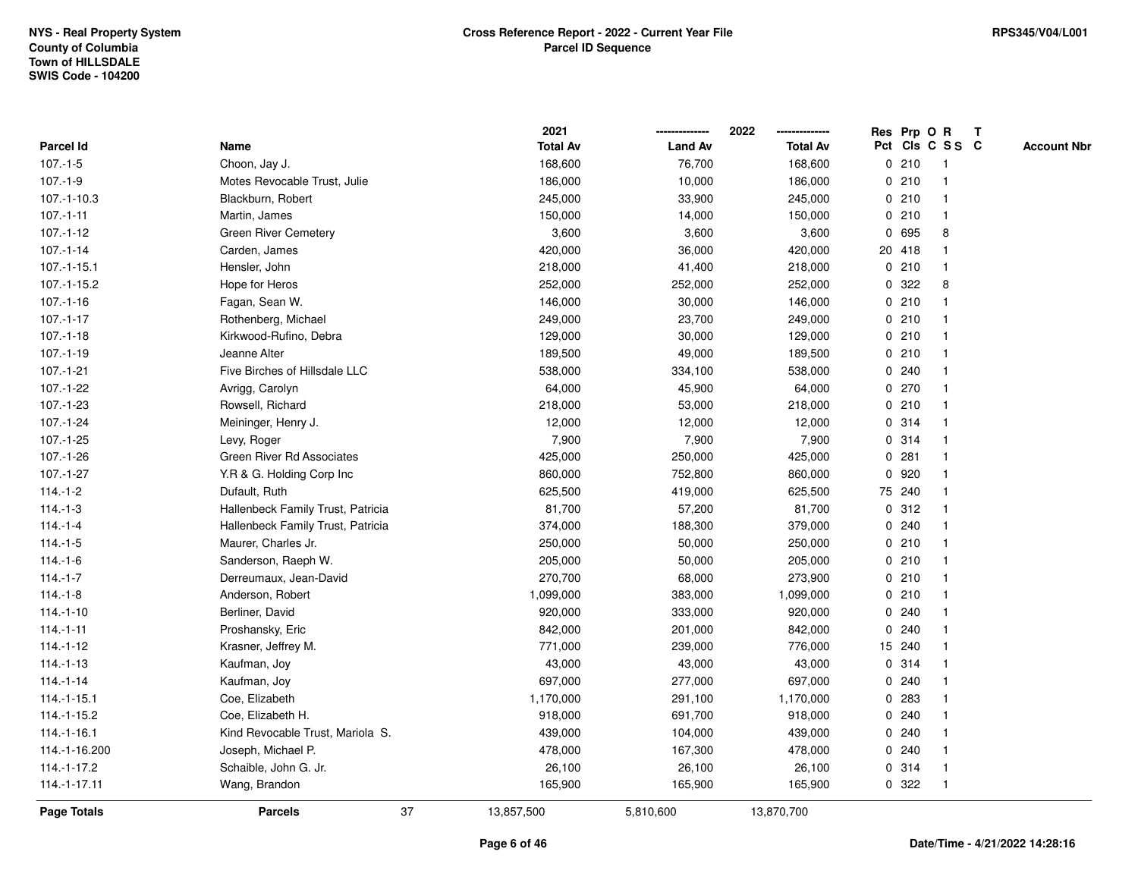|                  |                                   | 2021            |                | 2022            |             | Res Prp O R |                 | Т |                    |
|------------------|-----------------------------------|-----------------|----------------|-----------------|-------------|-------------|-----------------|---|--------------------|
| <b>Parcel Id</b> | Name                              | <b>Total Av</b> | <b>Land Av</b> | <b>Total Av</b> |             |             | Pct Cls C S S C |   | <b>Account Nbr</b> |
| $107.-1-5$       | Choon, Jay J.                     | 168,600         | 76,700         | 168,600         |             | 0210        | $\mathbf{1}$    |   |                    |
| $107.-1-9$       | Motes Revocable Trust, Julie      | 186,000         | 10,000         | 186,000         | 0           | 210         | -1              |   |                    |
| $107.-1-10.3$    | Blackburn, Robert                 | 245,000         | 33,900         | 245,000         |             | 0210        | $\mathbf 1$     |   |                    |
| $107 - 1 - 11$   | Martin, James                     | 150,000         | 14,000         | 150,000         |             | 0210        |                 |   |                    |
| $107 - 1 - 12$   | <b>Green River Cemetery</b>       | 3,600           | 3,600          | 3,600           |             | 0 695       | 8               |   |                    |
| $107.-1-14$      | Carden, James                     | 420,000         | 36,000         | 420,000         |             | 20 418      |                 |   |                    |
| $107 - 1 - 15.1$ | Hensler, John                     | 218,000         | 41,400         | 218,000         |             | 0210        | -1              |   |                    |
| 107.-1-15.2      | Hope for Heros                    | 252,000         | 252,000        | 252,000         | 0           | 322         | 8               |   |                    |
| $107 - 1 - 16$   | Fagan, Sean W.                    | 146,000         | 30,000         | 146,000         |             | 0210        | -1              |   |                    |
| $107 - 1 - 17$   | Rothenberg, Michael               | 249,000         | 23,700         | 249,000         |             | 0210        | -1              |   |                    |
| $107 - 1 - 18$   | Kirkwood-Rufino, Debra            | 129,000         | 30,000         | 129,000         |             | 0210        |                 |   |                    |
| $107.-1-19$      | Jeanne Alter                      | 189,500         | 49,000         | 189,500         |             | 0210        |                 |   |                    |
| $107.-1-21$      | Five Birches of Hillsdale LLC     | 538,000         | 334,100        | 538,000         |             | 0.240       |                 |   |                    |
| 107.-1-22        | Avrigg, Carolyn                   | 64,000          | 45,900         | 64,000          |             | 0270        |                 |   |                    |
| $107.-1-23$      | Rowsell, Richard                  | 218,000         | 53,000         | 218,000         |             | 0210        |                 |   |                    |
| 107.-1-24        | Meininger, Henry J.               | 12,000          | 12,000         | 12,000          | $\mathbf 0$ | 314         | -1              |   |                    |
| $107.-1-25$      | Levy, Roger                       | 7,900           | 7,900          | 7,900           |             | 0 314       | -1              |   |                    |
| 107.-1-26        | Green River Rd Associates         | 425,000         | 250,000        | 425,000         |             | 0.281       |                 |   |                    |
| 107.-1-27        | Y.R & G. Holding Corp Inc         | 860,000         | 752,800        | 860,000         |             | 0 920       |                 |   |                    |
| $114.-1-2$       | Dufault, Ruth                     | 625,500         | 419,000        | 625,500         |             | 75 240      |                 |   |                    |
| $114.-1-3$       | Hallenbeck Family Trust, Patricia | 81,700          | 57,200         | 81,700          |             | 0.312       |                 |   |                    |
| $114.-1-4$       | Hallenbeck Family Trust, Patricia | 374,000         | 188,300        | 379,000         |             | 0240        |                 |   |                    |
| $114.-1-5$       | Maurer, Charles Jr.               | 250,000         | 50,000         | 250,000         |             | 0210        | -1              |   |                    |
| $114.-1-6$       | Sanderson, Raeph W.               | 205,000         | 50,000         | 205,000         |             | 0210        | $\mathbf 1$     |   |                    |
| $114.-1-7$       | Derreumaux, Jean-David            | 270,700         | 68,000         | 273,900         |             | 0210        | -1              |   |                    |
| $114.-1-8$       | Anderson, Robert                  | 1,099,000       | 383,000        | 1,099,000       |             | 0210        |                 |   |                    |
| $114.-1-10$      | Berliner, David                   | 920,000         | 333,000        | 920,000         |             | 0.240       |                 |   |                    |
| $114.-1-11$      | Proshansky, Eric                  | 842,000         | 201,000        | 842,000         |             | 0.240       |                 |   |                    |
| $114.-1-12$      | Krasner, Jeffrey M.               | 771,000         | 239,000        | 776,000         |             | 15 240      |                 |   |                    |
| $114.-1-13$      | Kaufman, Joy                      | 43,000          | 43,000         | 43,000          | $\mathbf 0$ | 314         | -1              |   |                    |
| $114.-1-14$      | Kaufman, Joy                      | 697,000         | 277,000        | 697,000         | 0           | 240         |                 |   |                    |
| $114 - 1 - 15.1$ | Coe, Elizabeth                    | 1,170,000       | 291,100        | 1,170,000       |             | 0.283       |                 |   |                    |
| 114.-1-15.2      | Coe, Elizabeth H.                 | 918,000         | 691,700        | 918,000         |             | 0.240       |                 |   |                    |
| $114.-1-16.1$    | Kind Revocable Trust, Mariola S.  | 439,000         | 104,000        | 439,000         |             | 0.240       |                 |   |                    |
| 114.-1-16.200    | Joseph, Michael P.                | 478,000         | 167,300        | 478,000         |             | 0.240       |                 |   |                    |
| 114.-1-17.2      | Schaible, John G. Jr.             | 26,100          | 26,100         | 26,100          |             | 0.314       | -1              |   |                    |
| 114.-1-17.11     | Wang, Brandon                     | 165,900         | 165,900        | 165,900         | 0           | 322         | $\mathbf{1}$    |   |                    |
| Page Totals      | 37<br><b>Parcels</b>              | 13,857,500      | 5,810,600      | 13,870,700      |             |             |                 |   |                    |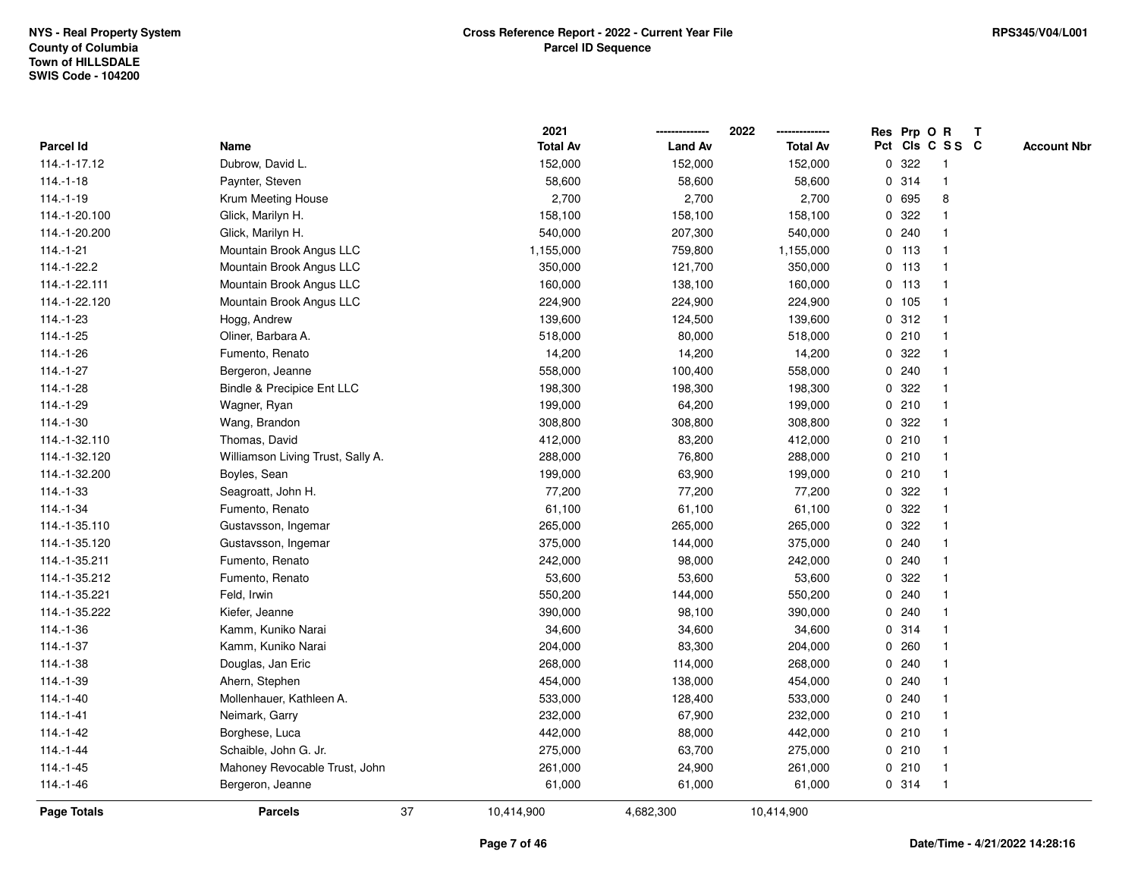|                |                                   |    | 2021            |                | 2022            |             |         | Res Prp O R     | T |                    |
|----------------|-----------------------------------|----|-----------------|----------------|-----------------|-------------|---------|-----------------|---|--------------------|
| Parcel Id      | Name                              |    | <b>Total Av</b> | <b>Land Av</b> | <b>Total Av</b> |             |         | Pct Cls C S S C |   | <b>Account Nbr</b> |
| 114.-1-17.12   | Dubrow, David L.                  |    | 152,000         | 152,000        | 152,000         | 0           | 322     | $\mathbf{1}$    |   |                    |
| $114.-1-18$    | Paynter, Steven                   |    | 58,600          | 58,600         | 58,600          | 0           | 314     | $\mathbf{1}$    |   |                    |
| $114.-1-19$    | Krum Meeting House                |    | 2,700           | 2,700          | 2,700           |             | 0 695   | 8               |   |                    |
| 114.-1-20.100  | Glick, Marilyn H.                 |    | 158,100         | 158,100        | 158,100         |             | 0 322   |                 |   |                    |
| 114.-1-20.200  | Glick, Marilyn H.                 |    | 540,000         | 207,300        | 540,000         |             | 0.240   |                 |   |                    |
| $114.-1-21$    | Mountain Brook Angus LLC          |    | 1,155,000       | 759,800        | 1,155,000       |             | $0$ 113 |                 |   |                    |
| 114.-1-22.2    | Mountain Brook Angus LLC          |    | 350,000         | 121,700        | 350,000         |             | 0, 113  | $\mathbf{1}$    |   |                    |
| 114.-1-22.111  | Mountain Brook Angus LLC          |    | 160,000         | 138,100        | 160,000         |             | $0$ 113 | $\mathbf{1}$    |   |                    |
| 114.-1-22.120  | Mountain Brook Angus LLC          |    | 224,900         | 224,900        | 224,900         |             | 0 105   | $\mathbf{1}$    |   |                    |
| 114.-1-23      | Hogg, Andrew                      |    | 139,600         | 124,500        | 139,600         |             | 0.312   | $\mathbf{1}$    |   |                    |
| $114.-1-25$    | Oliner, Barbara A.                |    | 518,000         | 80,000         | 518,000         |             | 0210    |                 |   |                    |
| 114.-1-26      | Fumento, Renato                   |    | 14,200          | 14,200         | 14,200          |             | 0 322   |                 |   |                    |
| $114.-1-27$    | Bergeron, Jeanne                  |    | 558,000         | 100,400        | 558,000         |             | 0.240   |                 |   |                    |
| $114.-1-28$    | Bindle & Precipice Ent LLC        |    | 198,300         | 198,300        | 198,300         |             | 0.322   |                 |   |                    |
| 114.-1-29      | Wagner, Ryan                      |    | 199,000         | 64,200         | 199,000         | $\mathbf 0$ | 210     |                 |   |                    |
| $114.-1-30$    | Wang, Brandon                     |    | 308,800         | 308,800        | 308,800         | $\mathbf 0$ | 322     | -1              |   |                    |
| 114.-1-32.110  | Thomas, David                     |    | 412,000         | 83,200         | 412,000         |             | 0210    | $\mathbf{1}$    |   |                    |
| 114.-1-32.120  | Williamson Living Trust, Sally A. |    | 288,000         | 76,800         | 288,000         |             | 0210    |                 |   |                    |
| 114.-1-32.200  | Boyles, Sean                      |    | 199,000         | 63,900         | 199,000         |             | 0210    |                 |   |                    |
| $114.-1-33$    | Seagroatt, John H.                |    | 77,200          | 77,200         | 77,200          |             | 0.322   |                 |   |                    |
| $114.-1-34$    | Fumento, Renato                   |    | 61,100          | 61,100         | 61,100          |             | 0 322   |                 |   |                    |
| 114.-1-35.110  | Gustavsson, Ingemar               |    | 265,000         | 265,000        | 265,000         | 0           | 322     |                 |   |                    |
| 114.-1-35.120  | Gustavsson, Ingemar               |    | 375,000         | 144,000        | 375,000         | 0           | 240     | -1              |   |                    |
| 114.-1-35.211  | Fumento, Renato                   |    | 242,000         | 98,000         | 242,000         | $\mathbf 0$ | 240     | $\mathbf{1}$    |   |                    |
| 114.-1-35.212  | Fumento, Renato                   |    | 53,600          | 53,600         | 53,600          |             | 0 322   |                 |   |                    |
| 114.-1-35.221  | Feld, Irwin                       |    | 550,200         | 144,000        | 550,200         |             | 0.240   |                 |   |                    |
| 114.-1-35.222  | Kiefer, Jeanne                    |    | 390,000         | 98,100         | 390,000         |             | 0.240   |                 |   |                    |
| 114.-1-36      | Kamm, Kuniko Narai                |    | 34,600          | 34,600         | 34,600          |             | 0 314   |                 |   |                    |
| 114.-1-37      | Kamm, Kuniko Narai                |    | 204,000         | 83,300         | 204,000         | 0           | 260     |                 |   |                    |
| $114.-1-38$    | Douglas, Jan Eric                 |    | 268,000         | 114,000        | 268,000         | 0           | 240     |                 |   |                    |
| 114.-1-39      | Ahern, Stephen                    |    | 454,000         | 138,000        | 454,000         | 0           | 240     |                 |   |                    |
| $114.-1-40$    | Mollenhauer, Kathleen A.          |    | 533,000         | 128,400        | 533,000         |             | 0.240   |                 |   |                    |
| $114 - 1 - 41$ | Neimark, Garry                    |    | 232,000         | 67,900         | 232,000         |             | 0210    |                 |   |                    |
| $114.-1-42$    | Borghese, Luca                    |    | 442,000         | 88,000         | 442,000         |             | 0210    |                 |   |                    |
| $114.-1-44$    | Schaible, John G. Jr.             |    | 275,000         | 63,700         | 275,000         |             | 0210    | $\mathbf{1}$    |   |                    |
| $114.-1-45$    | Mahoney Revocable Trust, John     |    | 261,000         | 24,900         | 261,000         |             | 0210    | $\mathbf{1}$    |   |                    |
| $114.-1-46$    | Bergeron, Jeanne                  |    | 61,000          | 61,000         | 61,000          |             | 0 314   | $\mathbf{1}$    |   |                    |
| Page Totals    | <b>Parcels</b>                    | 37 | 10,414,900      | 4,682,300      | 10,414,900      |             |         |                 |   |                    |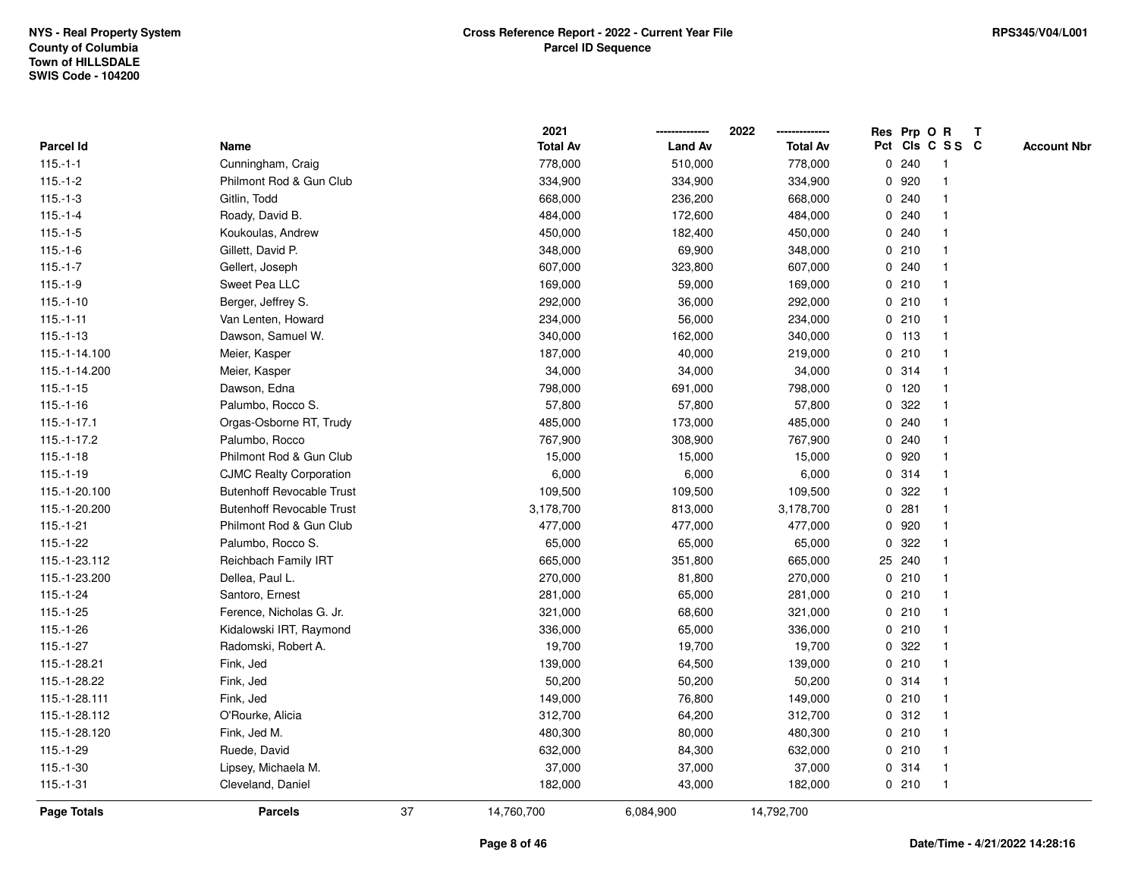|               |                                  |    | 2021            |                | 2022            |   | Res Prp O R |                 | Т |                    |
|---------------|----------------------------------|----|-----------------|----------------|-----------------|---|-------------|-----------------|---|--------------------|
| Parcel Id     | Name                             |    | <b>Total Av</b> | <b>Land Av</b> | <b>Total Av</b> |   |             | Pct Cls C S S C |   | <b>Account Nbr</b> |
| $115.-1-1$    | Cunningham, Craig                |    | 778,000         | 510,000        | 778,000         |   | 0.240       | $\mathbf{1}$    |   |                    |
| $115.-1-2$    | Philmont Rod & Gun Club          |    | 334,900         | 334,900        | 334,900         |   | 0 920       | $\mathbf 1$     |   |                    |
| $115.-1-3$    | Gitlin, Todd                     |    | 668,000         | 236,200        | 668,000         |   | 0.240       | $\mathbf{1}$    |   |                    |
| $115.-1-4$    | Roady, David B.                  |    | 484,000         | 172,600        | 484,000         |   | 0.240       |                 |   |                    |
| $115.-1-5$    | Koukoulas, Andrew                |    | 450,000         | 182,400        | 450,000         |   | 0.240       |                 |   |                    |
| $115.-1-6$    | Gillett, David P.                |    | 348,000         | 69,900         | 348,000         |   | 0210        |                 |   |                    |
| $115.-1-7$    | Gellert, Joseph                  |    | 607,000         | 323,800        | 607,000         |   | 0.240       | $\mathbf 1$     |   |                    |
| $115.-1-9$    | Sweet Pea LLC                    |    | 169,000         | 59,000         | 169,000         |   | 0210        | $\mathbf{1}$    |   |                    |
| $115.-1-10$   | Berger, Jeffrey S.               |    | 292,000         | 36,000         | 292,000         |   | 0210        | 1               |   |                    |
| $115.-1-11$   | Van Lenten, Howard               |    | 234,000         | 56,000         | 234,000         |   | 0210        | $\mathbf{1}$    |   |                    |
| $115.-1-13$   | Dawson, Samuel W.                |    | 340,000         | 162,000        | 340,000         |   | $0$ 113     | 1               |   |                    |
| 115.-1-14.100 | Meier, Kasper                    |    | 187,000         | 40,000         | 219,000         |   | 0210        |                 |   |                    |
| 115.-1-14.200 | Meier, Kasper                    |    | 34,000          | 34,000         | 34,000          |   | 0.314       |                 |   |                    |
| $115.-1-15$   | Dawson, Edna                     |    | 798,000         | 691,000        | 798,000         |   | 0, 120      | $\mathbf 1$     |   |                    |
| $115.-1-16$   | Palumbo, Rocco S.                |    | 57,800          | 57,800         | 57,800          | 0 | 322         | $\mathbf{1}$    |   |                    |
| $115.-1-17.1$ | Orgas-Osborne RT, Trudy          |    | 485,000         | 173,000        | 485,000         | 0 | 240         | 1               |   |                    |
| 115.-1-17.2   | Palumbo, Rocco                   |    | 767,900         | 308,900        | 767,900         |   | 0.240       | $\mathbf 1$     |   |                    |
| $115.-1-18$   | Philmont Rod & Gun Club          |    | 15,000          | 15,000         | 15,000          |   | 0.920       | $\mathbf 1$     |   |                    |
| $115.-1-19$   | <b>CJMC Realty Corporation</b>   |    | 6,000           | 6,000          | 6,000           |   | 0.314       |                 |   |                    |
| 115.-1-20.100 | <b>Butenhoff Revocable Trust</b> |    | 109,500         | 109,500        | 109,500         |   | 0.322       |                 |   |                    |
| 115.-1-20.200 | <b>Butenhoff Revocable Trust</b> |    | 3,178,700       | 813,000        | 3,178,700       |   | 0.281       |                 |   |                    |
| $115.-1-21$   | Philmont Rod & Gun Club          |    | 477,000         | 477,000        | 477,000         |   | 0.920       | $\mathbf{1}$    |   |                    |
| $115.-1-22$   | Palumbo, Rocco S.                |    | 65,000          | 65,000         | 65,000          | 0 | 322         | $\mathbf{1}$    |   |                    |
| 115.-1-23.112 | <b>Reichbach Family IRT</b>      |    | 665,000         | 351,800        | 665,000         |   | 25 240      | 1               |   |                    |
| 115.-1-23.200 | Dellea, Paul L.                  |    | 270,000         | 81,800         | 270,000         |   | 0210        | $\mathbf 1$     |   |                    |
| $115.-1-24$   | Santoro, Ernest                  |    | 281,000         | 65,000         | 281,000         |   | 0210        | 1               |   |                    |
| $115.-1-25$   | Ference, Nicholas G. Jr.         |    | 321,000         | 68,600         | 321,000         |   | 0210        |                 |   |                    |
| 115.-1-26     | Kidalowski IRT, Raymond          |    | 336,000         | 65,000         | 336,000         |   | 0210        | $\mathbf 1$     |   |                    |
| 115.-1-27     | Radomski, Robert A.              |    | 19,700          | 19,700         | 19,700          | 0 | 322         |                 |   |                    |
| 115.-1-28.21  | Fink, Jed                        |    | 139,000         | 64,500         | 139,000         |   | 0210        | $\mathbf{1}$    |   |                    |
| 115.-1-28.22  | Fink, Jed                        |    | 50,200          | 50,200         | 50,200          |   | 0.314       | $\mathbf{1}$    |   |                    |
| 115.-1-28.111 | Fink, Jed                        |    | 149,000         | 76,800         | 149,000         |   | 0210        | 1               |   |                    |
| 115.-1-28.112 | O'Rourke, Alicia                 |    | 312,700         | 64,200         | 312,700         |   | 0.312       |                 |   |                    |
| 115.-1-28.120 | Fink, Jed M.                     |    | 480,300         | 80,000         | 480,300         |   | 0210        | $\mathbf 1$     |   |                    |
| $115.-1-29$   | Ruede, David                     |    | 632,000         | 84,300         | 632,000         |   | 0210        | $\mathbf{1}$    |   |                    |
| $115.-1-30$   | Lipsey, Michaela M.              |    | 37,000          | 37,000         | 37,000          |   | 0.314       | $\mathbf{1}$    |   |                    |
| $115.-1-31$   | Cleveland, Daniel                |    | 182,000         | 43,000         | 182,000         |   | 0210        | $\mathbf{1}$    |   |                    |
| Page Totals   | <b>Parcels</b>                   | 37 | 14,760,700      | 6,084,900      | 14,792,700      |   |             |                 |   |                    |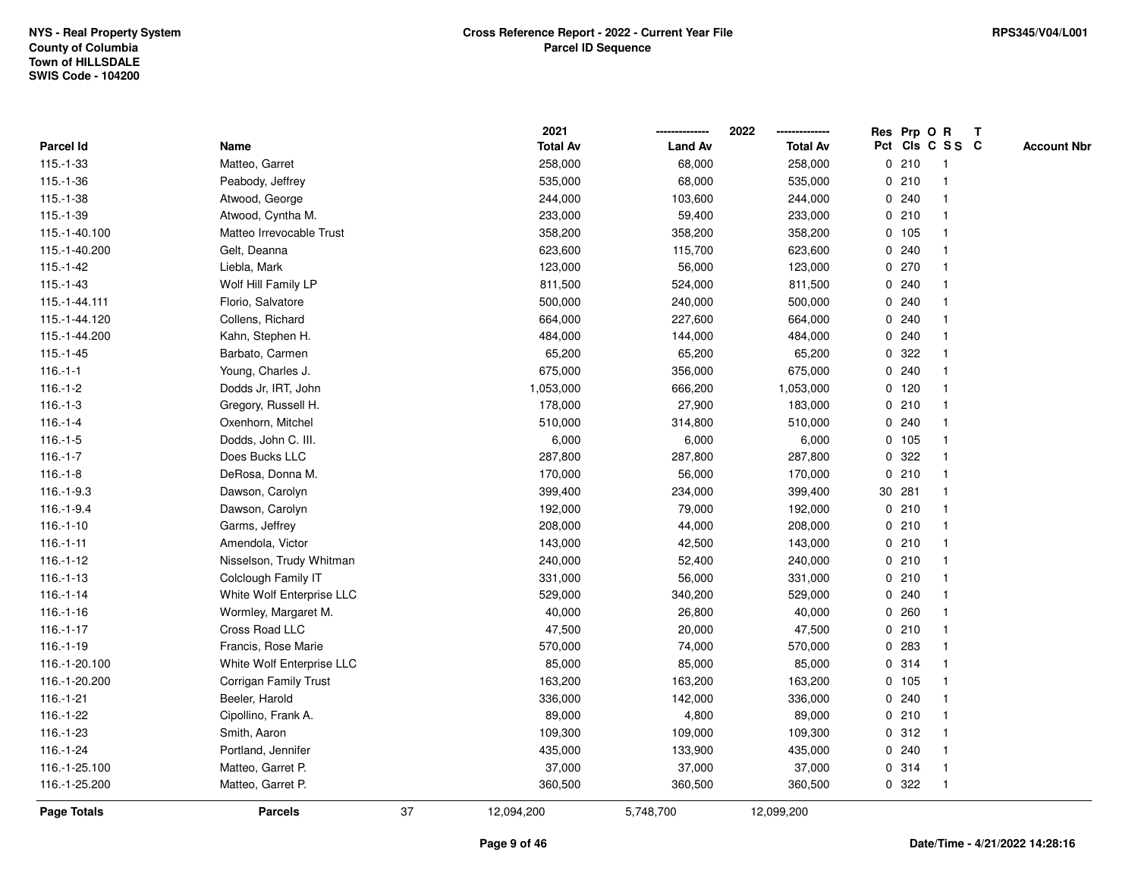|                    |                           |    | 2021            |                | 2022            |   |         | Res Prp O R     | $\mathsf{T}$ |                    |
|--------------------|---------------------------|----|-----------------|----------------|-----------------|---|---------|-----------------|--------------|--------------------|
| Parcel Id          | Name                      |    | <b>Total Av</b> | <b>Land Av</b> | <b>Total Av</b> |   |         | Pct Cls C S S C |              | <b>Account Nbr</b> |
| $115.-1-33$        | Matteo, Garret            |    | 258,000         | 68,000         | 258,000         |   | 0210    | -1              |              |                    |
| $115.-1-36$        | Peabody, Jeffrey          |    | 535,000         | 68,000         | 535,000         |   | 0210    |                 |              |                    |
| $115.-1-38$        | Atwood, George            |    | 244,000         | 103,600        | 244,000         |   | 0.240   | -1              |              |                    |
| $115.-1-39$        | Atwood, Cyntha M.         |    | 233,000         | 59,400         | 233,000         | 0 | 210     | -1              |              |                    |
| 115.-1-40.100      | Matteo Irrevocable Trust  |    | 358,200         | 358,200        | 358,200         |   | 0, 105  | $\mathbf 1$     |              |                    |
| 115.-1-40.200      | Gelt, Deanna              |    | 623,600         | 115,700        | 623,600         |   | 0.240   | -1              |              |                    |
| $115.-1-42$        | Liebla, Mark              |    | 123,000         | 56,000         | 123,000         |   | 0270    |                 |              |                    |
| $115.-1-43$        | Wolf Hill Family LP       |    | 811,500         | 524,000        | 811,500         |   | 0.240   |                 |              |                    |
| 115.-1-44.111      | Florio, Salvatore         |    | 500,000         | 240,000        | 500,000         |   | 0.240   |                 |              |                    |
| 115.-1-44.120      | Collens, Richard          |    | 664,000         | 227,600        | 664,000         |   | 0.240   |                 |              |                    |
| 115.-1-44.200      | Kahn, Stephen H.          |    | 484,000         | 144,000        | 484,000         |   | 0.240   | $\mathbf{1}$    |              |                    |
| $115.-1-45$        | Barbato, Carmen           |    | 65,200          | 65,200         | 65,200          | 0 | 322     | -1              |              |                    |
| $116.-1-1$         | Young, Charles J.         |    | 675,000         | 356,000        | 675,000         |   | 0.240   | $\mathbf 1$     |              |                    |
| $116.-1-2$         | Dodds Jr, IRT, John       |    | 1,053,000       | 666,200        | 1,053,000       |   | $0$ 120 |                 |              |                    |
| $116.-1-3$         | Gregory, Russell H.       |    | 178,000         | 27,900         | 183,000         |   | 0210    |                 |              |                    |
| $116.-1-4$         | Oxenhorn, Mitchel         |    | 510,000         | 314,800        | 510,000         |   | 0.240   | -1              |              |                    |
| $116.-1-5$         | Dodds, John C. III.       |    | 6,000           | 6,000          | 6,000           |   | 0 105   |                 |              |                    |
| $116.-1-7$         | Does Bucks LLC            |    | 287,800         | 287,800        | 287,800         | 0 | 322     | -1              |              |                    |
| $116.-1-8$         | DeRosa, Donna M.          |    | 170,000         | 56,000         | 170,000         |   | 0210    | -1              |              |                    |
| $116.-1-9.3$       | Dawson, Carolyn           |    | 399,400         | 234,000        | 399,400         |   | 30 281  | -1              |              |                    |
| 116.-1-9.4         | Dawson, Carolyn           |    | 192,000         | 79,000         | 192,000         |   | 0210    |                 |              |                    |
| $116.-1-10$        | Garms, Jeffrey            |    | 208,000         | 44,000         | 208,000         |   | 0210    |                 |              |                    |
| $116.-1-11$        | Amendola, Victor          |    | 143,000         | 42,500         | 143,000         |   | 0210    |                 |              |                    |
| $116.-1-12$        | Nisselson, Trudy Whitman  |    | 240,000         | 52,400         | 240,000         |   | 0210    | $\mathbf{1}$    |              |                    |
| $116.-1-13$        | Colclough Family IT       |    | 331,000         | 56,000         | 331,000         |   | 0210    | -1              |              |                    |
| $116.-1-14$        | White Wolf Enterprise LLC |    | 529,000         | 340,200        | 529,000         |   | 0.240   | $\mathbf 1$     |              |                    |
| $116.-1-16$        | Wormley, Margaret M.      |    | 40,000          | 26,800         | 40,000          |   | 0.260   |                 |              |                    |
| $116.-1-17$        | Cross Road LLC            |    | 47,500          | 20,000         | 47,500          |   | 0210    |                 |              |                    |
| $116.-1-19$        | Francis, Rose Marie       |    | 570,000         | 74,000         | 570,000         |   | 0 283   |                 |              |                    |
| 116.-1-20.100      | White Wolf Enterprise LLC |    | 85,000          | 85,000         | 85,000          |   | 0.314   | $\overline{1}$  |              |                    |
| 116.-1-20.200      | Corrigan Family Trust     |    | 163,200         | 163,200        | 163,200         | 0 | 105     | -1              |              |                    |
| $116.-1-21$        | Beeler, Harold            |    | 336,000         | 142,000        | 336,000         | 0 | 240     | -1              |              |                    |
| 116.-1-22          | Cipollino, Frank A.       |    | 89,000          | 4,800          | 89,000          |   | 0210    | -1              |              |                    |
| 116.-1-23          | Smith, Aaron              |    | 109,300         | 109,000        | 109,300         |   | 0.312   |                 |              |                    |
| $116.-1-24$        | Portland, Jennifer        |    | 435,000         | 133,900        | 435,000         |   | 0.240   |                 |              |                    |
| 116.-1-25.100      | Matteo, Garret P.         |    | 37,000          | 37,000         | 37,000          |   | 0.314   | -1              |              |                    |
| 116.-1-25.200      | Matteo, Garret P.         |    | 360,500         | 360,500        | 360,500         |   | 0.322   | -1              |              |                    |
| <b>Page Totals</b> | <b>Parcels</b>            | 37 | 12,094,200      | 5,748,700      | 12,099,200      |   |         |                 |              |                    |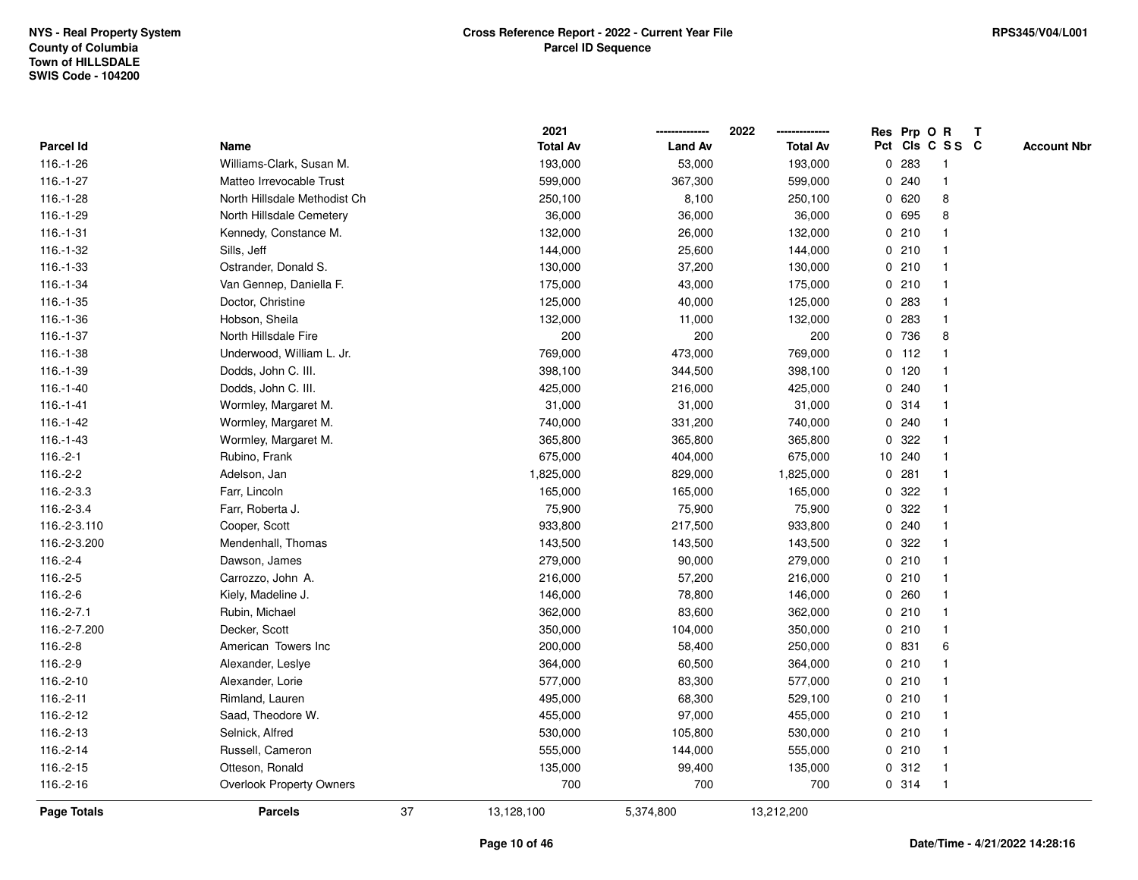|                    |                              |    | 2021            |                | 2022            |   |         | Res Prp O R     | $\mathbf{T}$ |                    |
|--------------------|------------------------------|----|-----------------|----------------|-----------------|---|---------|-----------------|--------------|--------------------|
| <b>Parcel Id</b>   | Name                         |    | <b>Total Av</b> | <b>Land Av</b> | <b>Total Av</b> |   |         | Pct Cls C S S C |              | <b>Account Nbr</b> |
| $116.-1-26$        | Williams-Clark, Susan M.     |    | 193,000         | 53,000         | 193,000         | 0 | 283     |                 |              |                    |
| $116.-1-27$        | Matteo Irrevocable Trust     |    | 599,000         | 367,300        | 599,000         | 0 | 240     |                 |              |                    |
| $116.-1-28$        | North Hillsdale Methodist Ch |    | 250,100         | 8,100          | 250,100         | 0 | 620     | 8               |              |                    |
| 116.-1-29          | North Hillsdale Cemetery     |    | 36,000          | 36,000         | 36,000          | 0 | 695     | 8               |              |                    |
| $116.-1-31$        | Kennedy, Constance M.        |    | 132,000         | 26,000         | 132,000         | 0 | 210     |                 |              |                    |
| 116.-1-32          | Sills, Jeff                  |    | 144,000         | 25,600         | 144,000         |   | 0210    |                 |              |                    |
| 116.-1-33          | Ostrander, Donald S.         |    | 130,000         | 37,200         | 130,000         |   | 0210    |                 |              |                    |
| 116.-1-34          | Van Gennep, Daniella F.      |    | 175,000         | 43,000         | 175,000         |   | 0210    |                 |              |                    |
| $116.-1-35$        | Doctor, Christine            |    | 125,000         | 40,000         | 125,000         | 0 | 283     |                 |              |                    |
| 116.-1-36          | Hobson, Sheila               |    | 132,000         | 11,000         | 132,000         | 0 | 283     |                 |              |                    |
| 116.-1-37          | North Hillsdale Fire         |    | 200             | 200            | 200             | 0 | 736     | 8               |              |                    |
| 116.-1-38          | Underwood, William L. Jr.    |    | 769,000         | 473,000        | 769,000         |   | $0$ 112 |                 |              |                    |
| 116.-1-39          | Dodds, John C. III.          |    | 398,100         | 344,500        | 398,100         |   | $0$ 120 |                 |              |                    |
| $116.-1-40$        | Dodds, John C. III.          |    | 425,000         | 216,000        | 425,000         |   | 0.240   |                 |              |                    |
| $116.-1-41$        | Wormley, Margaret M.         |    | 31,000          | 31,000         | 31,000          |   | 0.314   |                 |              |                    |
| $116.-1-42$        | Wormley, Margaret M.         |    | 740,000         | 331,200        | 740,000         | 0 | 240     |                 |              |                    |
| $116.-1-43$        | Wormley, Margaret M.         |    | 365,800         | 365,800        | 365,800         | 0 | 322     |                 |              |                    |
| $116.-2-1$         | Rubino, Frank                |    | 675,000         | 404,000        | 675,000         |   | 10 240  |                 |              |                    |
| $116.-2-2$         | Adelson, Jan                 |    | 1,825,000       | 829,000        | 1,825,000       | 0 | 281     |                 |              |                    |
| $116.-2-3.3$       | Farr, Lincoln                |    | 165,000         | 165,000        | 165,000         |   | 0 322   |                 |              |                    |
| 116.-2-3.4         | Farr, Roberta J.             |    | 75,900          | 75,900         | 75,900          |   | 0 322   |                 |              |                    |
| 116.-2-3.110       | Cooper, Scott                |    | 933,800         | 217,500        | 933,800         |   | 0.240   |                 |              |                    |
| 116.-2-3.200       | Mendenhall, Thomas           |    | 143,500         | 143,500        | 143,500         | 0 | 322     |                 |              |                    |
| $116.-2-4$         | Dawson, James                |    | 279,000         | 90,000         | 279,000         |   | 0210    |                 |              |                    |
| $116.-2-5$         | Carrozzo, John A.            |    | 216,000         | 57,200         | 216,000         |   | 0210    |                 |              |                    |
| $116.-2-6$         | Kiely, Madeline J.           |    | 146,000         | 78,800         | 146,000         | 0 | 260     |                 |              |                    |
| $116.-2-7.1$       | Rubin, Michael               |    | 362,000         | 83,600         | 362,000         |   | 0210    |                 |              |                    |
| 116.-2-7.200       | Decker, Scott                |    | 350,000         | 104,000        | 350,000         |   | 0210    |                 |              |                    |
| $116.-2-8$         | American Towers Inc          |    | 200,000         | 58,400         | 250,000         |   | 0 831   | 6               |              |                    |
| 116.-2-9           | Alexander, Leslye            |    | 364,000         | 60,500         | 364,000         |   | 0210    |                 |              |                    |
| 116.-2-10          | Alexander, Lorie             |    | 577,000         | 83,300         | 577,000         | 0 | 210     |                 |              |                    |
| 116.-2-11          | Rimland, Lauren              |    | 495,000         | 68,300         | 529,100         |   | 0210    |                 |              |                    |
| 116.-2-12          | Saad, Theodore W.            |    | 455,000         | 97,000         | 455,000         |   | 0210    |                 |              |                    |
| 116.-2-13          | Selnick, Alfred              |    | 530,000         | 105,800        | 530,000         |   | 0210    |                 |              |                    |
| 116.-2-14          | Russell, Cameron             |    | 555,000         | 144,000        | 555,000         |   | 0210    |                 |              |                    |
| 116.-2-15          | Otteson, Ronald              |    | 135,000         | 99,400         | 135,000         |   | 0.312   |                 |              |                    |
| 116.-2-16          | Overlook Property Owners     |    | 700             | 700            | 700             |   | 0 314   |                 |              |                    |
| <b>Page Totals</b> | <b>Parcels</b>               | 37 | 13,128,100      | 5,374,800      | 13,212,200      |   |         |                 |              |                    |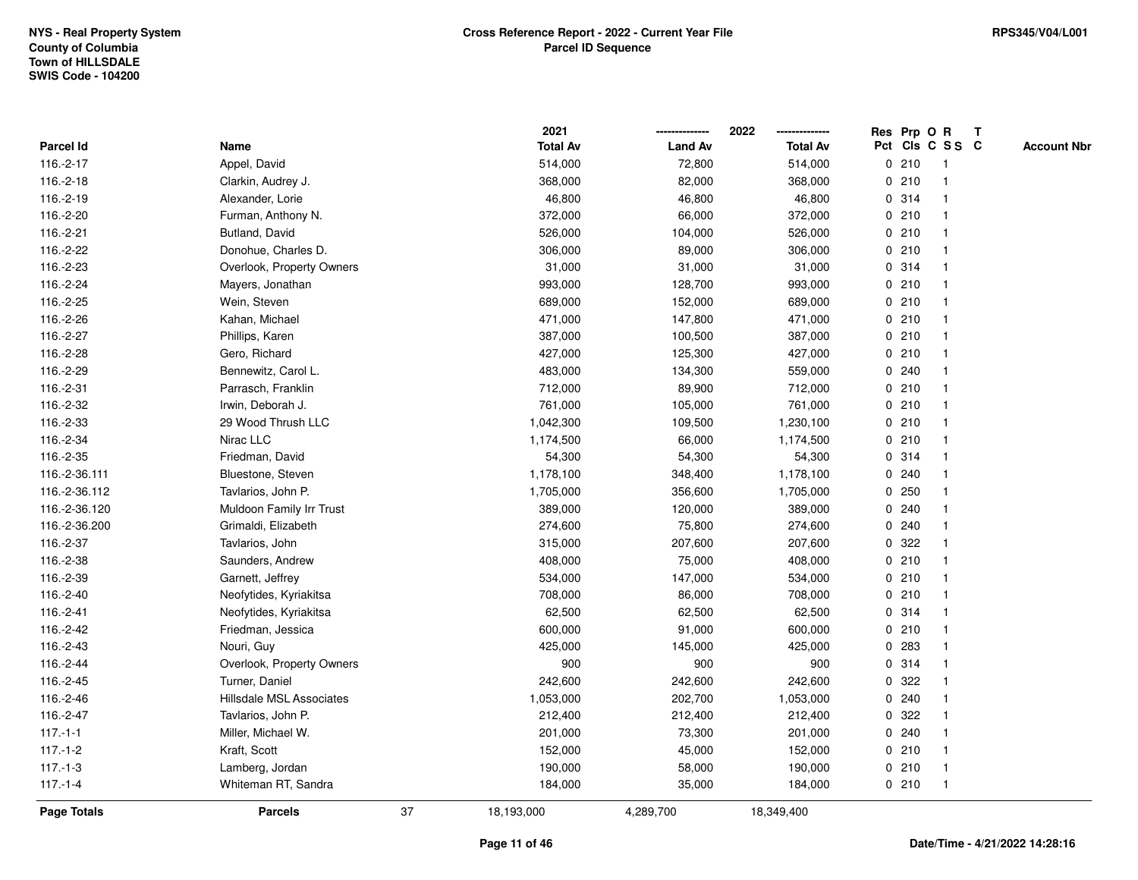|               |                           |    | 2021            |                | 2022            |             |       | Res Prp O R     | $\mathbf{T}$ |                    |
|---------------|---------------------------|----|-----------------|----------------|-----------------|-------------|-------|-----------------|--------------|--------------------|
| Parcel Id     | Name                      |    | <b>Total Av</b> | <b>Land Av</b> | <b>Total Av</b> |             |       | Pct Cls C S S C |              | <b>Account Nbr</b> |
| 116.-2-17     | Appel, David              |    | 514,000         | 72,800         | 514,000         |             | 0210  |                 |              |                    |
| 116.-2-18     | Clarkin, Audrey J.        |    | 368,000         | 82,000         | 368,000         |             | 0210  |                 |              |                    |
| 116.-2-19     | Alexander, Lorie          |    | 46,800          | 46,800         | 46,800          |             | 0.314 | -1              |              |                    |
| 116.-2-20     | Furman, Anthony N.        |    | 372,000         | 66,000         | 372,000         | $\mathbf 0$ | 210   | -1              |              |                    |
| 116.-2-21     | Butland, David            |    | 526,000         | 104,000        | 526,000         |             | 0210  | -1              |              |                    |
| 116.-2-22     | Donohue, Charles D.       |    | 306,000         | 89,000         | 306,000         |             | 0210  | -1              |              |                    |
| 116.-2-23     | Overlook, Property Owners |    | 31,000          | 31,000         | 31,000          |             | 0.314 |                 |              |                    |
| 116.-2-24     | Mayers, Jonathan          |    | 993,000         | 128,700        | 993,000         |             | 0210  |                 |              |                    |
| 116.-2-25     | Wein, Steven              |    | 689,000         | 152,000        | 689,000         |             | 0210  |                 |              |                    |
| 116.-2-26     | Kahan, Michael            |    | 471,000         | 147,800        | 471,000         |             | 0210  |                 |              |                    |
| 116.-2-27     | Phillips, Karen           |    | 387,000         | 100,500        | 387,000         |             | 0210  | $\mathbf 1$     |              |                    |
| 116.-2-28     | Gero, Richard             |    | 427,000         | 125,300        | 427,000         |             | 0210  | $\mathbf 1$     |              |                    |
| 116.-2-29     | Bennewitz, Carol L.       |    | 483,000         | 134,300        | 559,000         |             | 0.240 | -1              |              |                    |
| 116.-2-31     | Parrasch, Franklin        |    | 712,000         | 89,900         | 712,000         |             | 0210  |                 |              |                    |
| 116.-2-32     | Irwin, Deborah J.         |    | 761,000         | 105,000        | 761,000         |             | 0210  |                 |              |                    |
| 116.-2-33     | 29 Wood Thrush LLC        |    | 1,042,300       | 109,500        | 1,230,100       |             | 0210  |                 |              |                    |
| 116.-2-34     | Nirac LLC                 |    | 1,174,500       | 66,000         | 1,174,500       | $\mathbf 0$ | 210   |                 |              |                    |
| 116.-2-35     | Friedman, David           |    | 54,300          | 54,300         | 54,300          |             | 0.314 | -1              |              |                    |
| 116.-2-36.111 | Bluestone, Steven         |    | 1,178,100       | 348,400        | 1,178,100       |             | 0.240 |                 |              |                    |
| 116.-2-36.112 | Tavlarios, John P.        |    | 1,705,000       | 356,600        | 1,705,000       |             | 0.250 |                 |              |                    |
| 116.-2-36.120 | Muldoon Family Irr Trust  |    | 389,000         | 120,000        | 389,000         |             | 0.240 |                 |              |                    |
| 116.-2-36.200 | Grimaldi, Elizabeth       |    | 274,600         | 75,800         | 274,600         |             | 0.240 |                 |              |                    |
| 116.-2-37     | Tavlarios, John           |    | 315,000         | 207,600        | 207,600         | 0           | 322   |                 |              |                    |
| 116.-2-38     | Saunders, Andrew          |    | 408,000         | 75,000         | 408,000         | $\mathbf 0$ | 210   | $\mathbf{1}$    |              |                    |
| 116.-2-39     | Garnett, Jeffrey          |    | 534,000         | 147,000        | 534,000         | 0           | 210   | -1              |              |                    |
| 116.-2-40     | Neofytides, Kyriakitsa    |    | 708,000         | 86,000         | 708,000         |             | 0210  | $\mathbf 1$     |              |                    |
| 116.-2-41     | Neofytides, Kyriakitsa    |    | 62,500          | 62,500         | 62,500          |             | 0.314 |                 |              |                    |
| 116.-2-42     | Friedman, Jessica         |    | 600,000         | 91,000         | 600,000         |             | 0210  |                 |              |                    |
| 116.-2-43     | Nouri, Guy                |    | 425,000         | 145,000        | 425,000         | $\mathbf 0$ | 283   |                 |              |                    |
| 116.-2-44     | Overlook, Property Owners |    | 900             | 900            | 900             | 0           | 314   |                 |              |                    |
| 116.-2-45     | Turner, Daniel            |    | 242,600         | 242,600        | 242,600         | 0           | 322   |                 |              |                    |
| 116.-2-46     | Hillsdale MSL Associates  |    | 1,053,000       | 202,700        | 1,053,000       |             | 0.240 | $\mathbf 1$     |              |                    |
| 116.-2-47     | Tavlarios, John P.        |    | 212,400         | 212,400        | 212,400         |             | 0.322 |                 |              |                    |
| $117.-1-1$    | Miller, Michael W.        |    | 201,000         | 73,300         | 201,000         |             | 0.240 |                 |              |                    |
| $117.-1-2$    | Kraft, Scott              |    | 152,000         | 45,000         | 152,000         |             | 0210  |                 |              |                    |
| $117.-1-3$    | Lamberg, Jordan           |    | 190,000         | 58,000         | 190,000         |             | 0210  | $\mathbf 1$     |              |                    |
| $117.-1-4$    | Whiteman RT, Sandra       |    | 184,000         | 35,000         | 184,000         |             | 0210  | $\mathbf 1$     |              |                    |
| Page Totals   | <b>Parcels</b>            | 37 | 18,193,000      | 4,289,700      | 18,349,400      |             |       |                 |              |                    |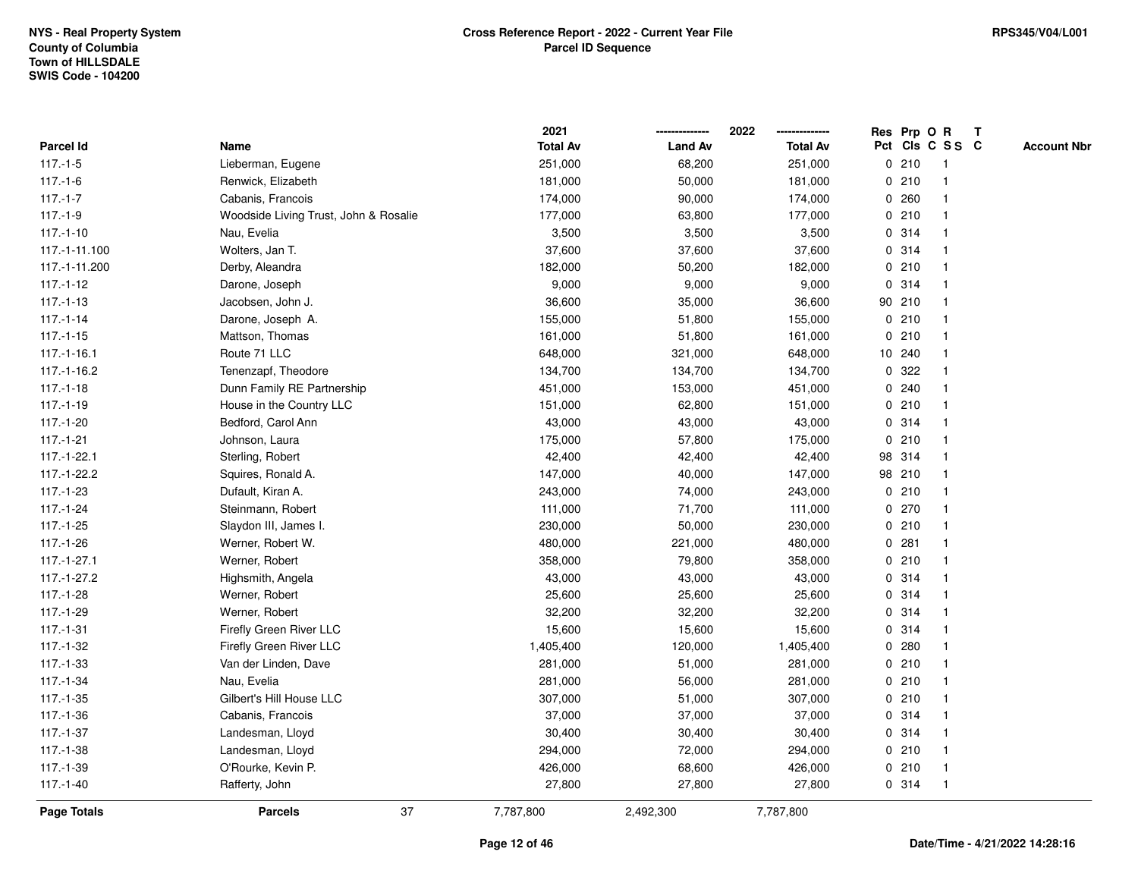|                  |                                       | 2021            |                | 2022            |              |        | Res Prp O R     | T |                    |
|------------------|---------------------------------------|-----------------|----------------|-----------------|--------------|--------|-----------------|---|--------------------|
| <b>Parcel Id</b> | Name                                  | <b>Total Av</b> | <b>Land Av</b> | <b>Total Av</b> |              |        | Pct Cls C S S C |   | <b>Account Nbr</b> |
| $117.-1-5$       | Lieberman, Eugene                     | 251,000         | 68,200         | 251,000         | 0            | 210    | $\mathbf{1}$    |   |                    |
| $117 - 1 - 6$    | Renwick, Elizabeth                    | 181,000         | 50,000         | 181,000         |              | 0210   |                 |   |                    |
| $117.-1-7$       | Cabanis, Francois                     | 174,000         | 90,000         | 174,000         |              | 0.260  | -1              |   |                    |
| $117.-1-9$       | Woodside Living Trust, John & Rosalie | 177,000         | 63,800         | 177,000         |              | 0210   |                 |   |                    |
| $117.-1-10$      | Nau, Evelia                           | 3,500           | 3,500          | 3,500           |              | 0 314  |                 |   |                    |
| 117.-1-11.100    | Wolters, Jan T.                       | 37,600          | 37,600         | 37,600          |              | 0 314  |                 |   |                    |
| 117.-1-11.200    | Derby, Aleandra                       | 182,000         | 50,200         | 182,000         |              | 0210   |                 |   |                    |
| $117.-1-12$      | Darone, Joseph                        | 9,000           | 9,000          | 9,000           | 0            | 314    |                 |   |                    |
| $117 - 1 - 13$   | Jacobsen, John J.                     | 36,600          | 35,000         | 36,600          |              | 90 210 |                 |   |                    |
| $117.-1-14$      | Darone, Joseph A.                     | 155,000         | 51,800         | 155,000         |              | 0210   |                 |   |                    |
| $117.-1-15$      | Mattson, Thomas                       | 161,000         | 51,800         | 161,000         |              | 0210   |                 |   |                    |
| $117.-1-16.1$    | Route 71 LLC                          | 648,000         | 321,000        | 648,000         |              | 10 240 |                 |   |                    |
| 117.-1-16.2      | Tenenzapf, Theodore                   | 134,700         | 134,700        | 134,700         |              | 0 322  |                 |   |                    |
| $117.-1-18$      | Dunn Family RE Partnership            | 451,000         | 153,000        | 451,000         |              | 0.240  |                 |   |                    |
| $117.-1-19$      | House in the Country LLC              | 151,000         | 62,800         | 151,000         | $\mathbf 0$  | 210    |                 |   |                    |
| $117.-1-20$      | Bedford, Carol Ann                    | 43,000          | 43,000         | 43,000          | 0            | 314    | $\overline{1}$  |   |                    |
| $117.-1-21$      | Johnson, Laura                        | 175,000         | 57,800         | 175,000         | $\mathbf 0$  | 210    |                 |   |                    |
| 117.-1-22.1      | Sterling, Robert                      | 42,400          | 42,400         | 42,400          |              | 98 314 |                 |   |                    |
| 117.-1-22.2      | Squires, Ronald A.                    | 147,000         | 40,000         | 147,000         |              | 98 210 |                 |   |                    |
| $117.-1-23$      | Dufault, Kiran A.                     | 243,000         | 74,000         | 243,000         |              | 0210   |                 |   |                    |
| $117.-1-24$      | Steinmann, Robert                     | 111,000         | 71,700         | 111,000         |              | 0270   |                 |   |                    |
| 117.-1-25        | Slaydon III, James I.                 | 230,000         | 50,000         | 230,000         |              | 0210   |                 |   |                    |
| $117.-1-26$      | Werner, Robert W.                     | 480,000         | 221,000        | 480,000         | $\mathbf 0$  | 281    | -1              |   |                    |
| $117.-1-27.1$    | Werner, Robert                        | 358,000         | 79,800         | 358,000         | $\mathbf{0}$ | 210    |                 |   |                    |
| 117.-1-27.2      | Highsmith, Angela                     | 43,000          | 43,000         | 43,000          |              | 0 314  |                 |   |                    |
| $117.-1-28$      | Werner, Robert                        | 25,600          | 25,600         | 25,600          |              | 0.314  |                 |   |                    |
| 117.-1-29        | Werner, Robert                        | 32,200          | 32,200         | 32,200          |              | 0.314  |                 |   |                    |
| $117.-1-31$      | Firefly Green River LLC               | 15,600          | 15,600         | 15,600          |              | 0.314  |                 |   |                    |
| $117.-1-32$      | Firefly Green River LLC               | 1,405,400       | 120,000        | 1,405,400       |              | 0.280  |                 |   |                    |
| $117.-1-33$      | Van der Linden, Dave                  | 281,000         | 51,000         | 281,000         | 0            | 210    |                 |   |                    |
| 117.-1-34        | Nau, Evelia                           | 281,000         | 56,000         | 281,000         |              | 0210   |                 |   |                    |
| $117.-1-35$      | Gilbert's Hill House LLC              | 307,000         | 51,000         | 307,000         |              | 0210   |                 |   |                    |
| $117.-1-36$      | Cabanis, Francois                     | 37,000          | 37,000         | 37,000          |              | 0.314  |                 |   |                    |
| $117.-1-37$      | Landesman, Lloyd                      | 30,400          | 30,400         | 30,400          |              | 0 314  |                 |   |                    |
| 117.-1-38        | Landesman, Lloyd                      | 294,000         | 72,000         | 294,000         |              | 0210   |                 |   |                    |
| 117.-1-39        | O'Rourke, Kevin P.                    | 426,000         | 68,600         | 426,000         |              | 0210   | $\mathbf{1}$    |   |                    |
| $117.-1-40$      | Rafferty, John                        | 27,800          | 27,800         | 27,800          |              | 0 314  | $\overline{1}$  |   |                    |
| Page Totals      | 37<br><b>Parcels</b>                  | 7,787,800       | 2,492,300      | 7,787,800       |              |        |                 |   |                    |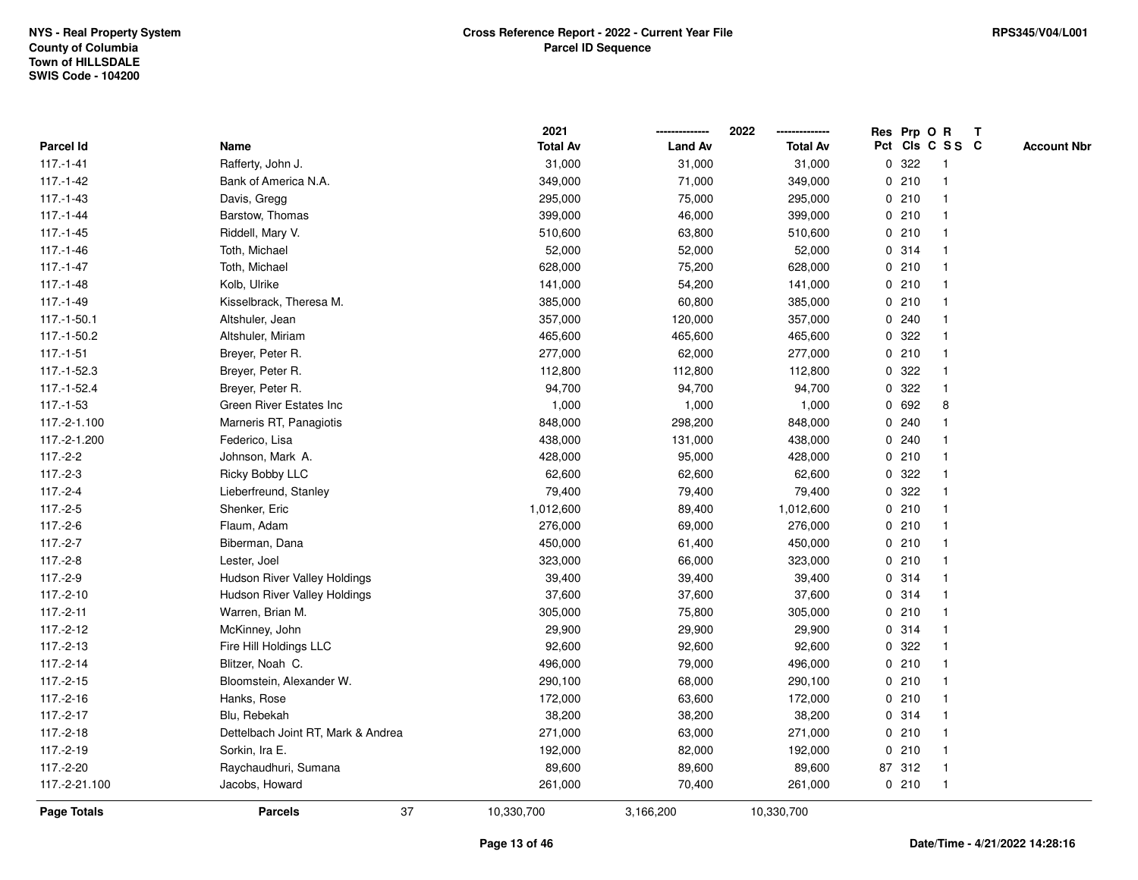|                    |                                    | 2021            |                | 2022            | Res Prp O R |        |                 | T |                    |
|--------------------|------------------------------------|-----------------|----------------|-----------------|-------------|--------|-----------------|---|--------------------|
| <b>Parcel Id</b>   | Name                               | <b>Total Av</b> | <b>Land Av</b> | <b>Total Av</b> |             |        | Pct Cls C S S C |   | <b>Account Nbr</b> |
| $117.-1-41$        | Rafferty, John J.                  | 31,000          | 31,000         | 31,000          | $\mathbf 0$ | 322    | -1              |   |                    |
| $117.-1-42$        | Bank of America N.A.               | 349,000         | 71,000         | 349,000         | 0           | 210    | $\overline{1}$  |   |                    |
| $117.-1-43$        | Davis, Gregg                       | 295,000         | 75,000         | 295,000         |             | 0210   | -1              |   |                    |
| $117.-1-44$        | Barstow, Thomas                    | 399,000         | 46,000         | 399,000         |             | 0210   |                 |   |                    |
| $117 - 1 - 45$     | Riddell, Mary V.                   | 510,600         | 63,800         | 510,600         |             | 0210   |                 |   |                    |
| $117.-1-46$        | Toth, Michael                      | 52,000          | 52,000         | 52,000          |             | 0.314  |                 |   |                    |
| $117.-1-47$        | Toth, Michael                      | 628,000         | 75,200         | 628,000         |             | 0210   |                 |   |                    |
| $117.-1-48$        | Kolb, Ulrike                       | 141,000         | 54,200         | 141,000         | 0           | 210    |                 |   |                    |
| 117.-1-49          | Kisselbrack, Theresa M.            | 385,000         | 60,800         | 385,000         |             | 0210   |                 |   |                    |
| 117.-1-50.1        | Altshuler, Jean                    | 357,000         | 120,000        | 357,000         |             | 0.240  | -1              |   |                    |
| 117.-1-50.2        | Altshuler, Miriam                  | 465,600         | 465,600        | 465,600         |             | 0.322  |                 |   |                    |
| $117.-1-51$        | Breyer, Peter R.                   | 277,000         | 62,000         | 277,000         |             | 0210   |                 |   |                    |
| 117.-1-52.3        | Breyer, Peter R.                   | 112,800         | 112,800        | 112,800         |             | 0 322  |                 |   |                    |
| 117.-1-52.4        | Breyer, Peter R.                   | 94,700          | 94,700         | 94,700          |             | 0.322  |                 |   |                    |
| $117.-1-53$        | Green River Estates Inc            | 1,000           | 1,000          | 1,000           | $\mathbf 0$ | 692    | 8               |   |                    |
| 117.-2-1.100       | Marneris RT, Panagiotis            | 848,000         | 298,200        | 848,000         | 0           | 240    | -1              |   |                    |
| 117.-2-1.200       | Federico, Lisa                     | 438,000         | 131,000        | 438,000         |             | 0.240  |                 |   |                    |
| $117.-2-2$         | Johnson, Mark A.                   | 428,000         | 95,000         | 428,000         |             | 0210   |                 |   |                    |
| $117.-2-3$         | Ricky Bobby LLC                    | 62,600          | 62,600         | 62,600          |             | 0.322  |                 |   |                    |
| $117.-2-4$         | Lieberfreund, Stanley              | 79,400          | 79,400         | 79,400          | 0           | 322    |                 |   |                    |
| $117.-2-5$         | Shenker, Eric                      | 1,012,600       | 89,400         | 1,012,600       |             | 0210   |                 |   |                    |
| $117.-2-6$         | Flaum, Adam                        | 276,000         | 69,000         | 276,000         |             | 0210   |                 |   |                    |
| $117.-2-7$         | Biberman, Dana                     | 450,000         | 61,400         | 450,000         |             | 0210   | -1              |   |                    |
| $117.-2-8$         | Lester, Joel                       | 323,000         | 66,000         | 323,000         | $\mathbf 0$ | 210    | $\overline{1}$  |   |                    |
| 117.-2-9           | Hudson River Valley Holdings       | 39,400          | 39,400         | 39,400          |             | 0.314  |                 |   |                    |
| $117.-2-10$        | Hudson River Valley Holdings       | 37,600          | 37,600         | 37,600          |             | 0.314  |                 |   |                    |
| $117.-2-11$        | Warren, Brian M.                   | 305,000         | 75,800         | 305,000         |             | 0210   |                 |   |                    |
| $117.-2-12$        | McKinney, John                     | 29,900          | 29,900         | 29,900          |             | 0.314  |                 |   |                    |
| $117.-2-13$        | Fire Hill Holdings LLC             | 92,600          | 92,600         | 92,600          | 0           | 322    |                 |   |                    |
| $117.-2-14$        | Blitzer, Noah C.                   | 496,000         | 79,000         | 496,000         | $\mathbf 0$ | 210    |                 |   |                    |
| $117.-2-15$        | Bloomstein, Alexander W.           | 290,100         | 68,000         | 290,100         |             | 0210   | -1              |   |                    |
| $117.-2-16$        | Hanks, Rose                        | 172,000         | 63,600         | 172,000         |             | 0210   | -1              |   |                    |
| $117.-2-17$        | Blu, Rebekah                       | 38,200          | 38,200         | 38,200          |             | 0.314  |                 |   |                    |
| $117.-2-18$        | Dettelbach Joint RT, Mark & Andrea | 271,000         | 63,000         | 271,000         |             | 0210   |                 |   |                    |
| $117.-2-19$        | Sorkin, Ira E.                     | 192,000         | 82,000         | 192,000         | 0           | 210    |                 |   |                    |
| 117.-2-20          | Raychaudhuri, Sumana               | 89,600          | 89,600         | 89,600          |             | 87 312 | -1              |   |                    |
| 117.-2-21.100      | Jacobs, Howard                     | 261,000         | 70,400         | 261,000         |             | 0210   | $\overline{1}$  |   |                    |
| <b>Page Totals</b> | 37<br><b>Parcels</b>               | 10,330,700      | 3,166,200      | 10,330,700      |             |        |                 |   |                    |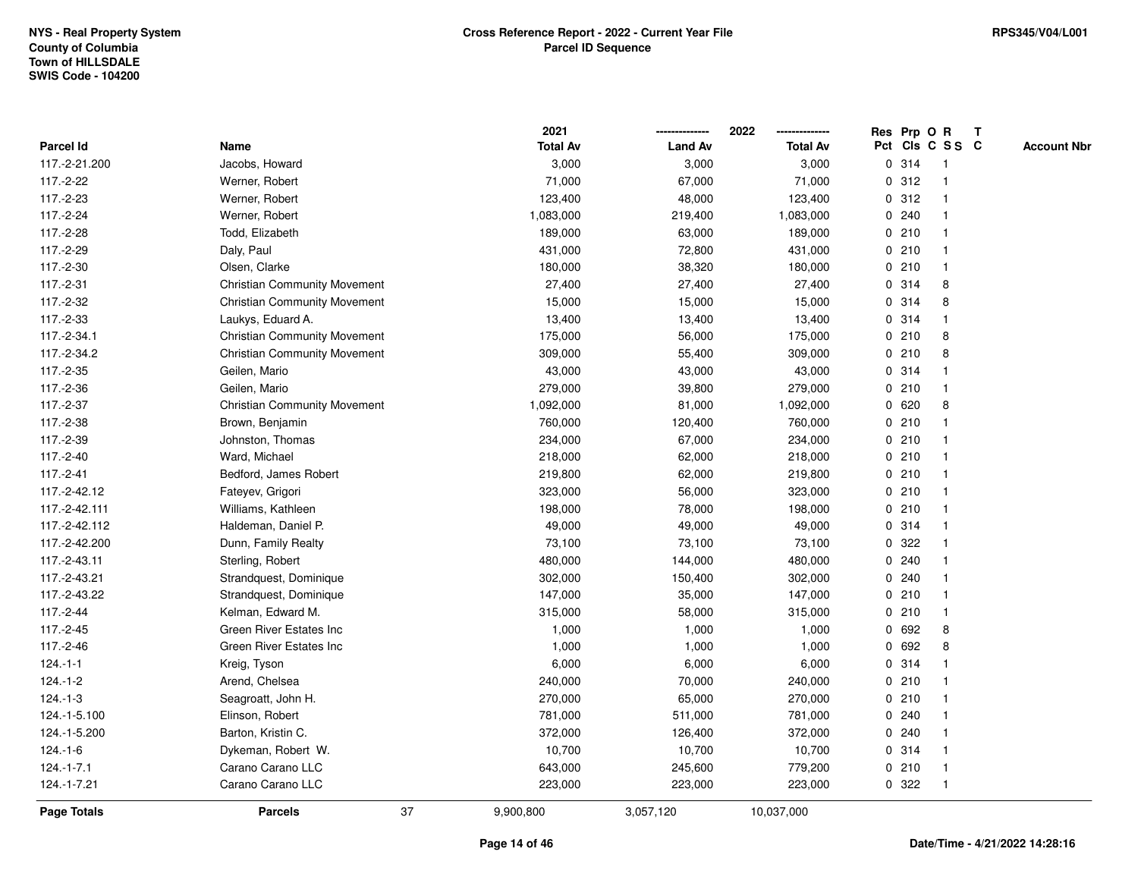|                    |                                     |    | 2021            |                | 2022            |   | Res Prp O R |                         | T |                    |
|--------------------|-------------------------------------|----|-----------------|----------------|-----------------|---|-------------|-------------------------|---|--------------------|
| <b>Parcel Id</b>   | Name                                |    | <b>Total Av</b> | <b>Land Av</b> | <b>Total Av</b> |   |             | Pct Cls C S S C         |   | <b>Account Nbr</b> |
| 117.-2-21.200      | Jacobs, Howard                      |    | 3,000           | 3,000          | 3,000           |   | 0.314       | $\overline{1}$          |   |                    |
| 117.-2-22          | Werner, Robert                      |    | 71,000          | 67,000         | 71,000          |   | 0.312       | $\overline{\mathbf{1}}$ |   |                    |
| 117.-2-23          | Werner, Robert                      |    | 123,400         | 48,000         | 123,400         |   | 0.312       | -1                      |   |                    |
| 117.-2-24          | Werner, Robert                      |    | 1,083,000       | 219,400        | 1,083,000       |   | 0.240       |                         |   |                    |
| 117.-2-28          | Todd, Elizabeth                     |    | 189,000         | 63,000         | 189,000         |   | 0210        |                         |   |                    |
| 117.-2-29          | Daly, Paul                          |    | 431,000         | 72,800         | 431,000         |   | 0210        |                         |   |                    |
| 117.-2-30          | Olsen, Clarke                       |    | 180,000         | 38,320         | 180,000         |   | 0210        | $\overline{1}$          |   |                    |
| 117.-2-31          | <b>Christian Community Movement</b> |    | 27,400          | 27,400         | 27,400          |   | 0.314       | 8                       |   |                    |
| 117.-2-32          | <b>Christian Community Movement</b> |    | 15,000          | 15,000         | 15,000          |   | 0 314       | 8                       |   |                    |
| 117.-2-33          | Laukys, Eduard A.                   |    | 13,400          | 13,400         | 13,400          |   | 0.314       | -1                      |   |                    |
| 117.-2-34.1        | <b>Christian Community Movement</b> |    | 175,000         | 56,000         | 175,000         |   | 0210        | 8                       |   |                    |
| 117.-2-34.2        | <b>Christian Community Movement</b> |    | 309,000         | 55,400         | 309,000         |   | 0210        | 8                       |   |                    |
| 117.-2-35          | Geilen, Mario                       |    | 43,000          | 43,000         | 43,000          |   | 0.314       |                         |   |                    |
| 117.-2-36          | Geilen, Mario                       |    | 279,000         | 39,800         | 279,000         |   | 0210        |                         |   |                    |
| 117.-2-37          | <b>Christian Community Movement</b> |    | 1,092,000       | 81,000         | 1,092,000       |   | 0620        | 8                       |   |                    |
| 117.-2-38          | Brown, Benjamin                     |    | 760,000         | 120,400        | 760,000         |   | 0210        | -1                      |   |                    |
| 117.-2-39          | Johnston, Thomas                    |    | 234,000         | 67,000         | 234,000         |   | 0210        |                         |   |                    |
| 117.-2-40          | Ward, Michael                       |    | 218,000         | 62,000         | 218,000         |   | 0210        |                         |   |                    |
| 117.-2-41          | Bedford, James Robert               |    | 219,800         | 62,000         | 219,800         |   | 0210        |                         |   |                    |
| 117.-2-42.12       | Fateyev, Grigori                    |    | 323,000         | 56,000         | 323,000         |   | 0210        |                         |   |                    |
| 117.-2-42.111      | Williams, Kathleen                  |    | 198,000         | 78,000         | 198,000         |   | 0210        |                         |   |                    |
| 117.-2-42.112      | Haldeman, Daniel P.                 |    | 49,000          | 49,000         | 49,000          |   | 0.314       |                         |   |                    |
| 117.-2-42.200      | Dunn, Family Realty                 |    | 73,100          | 73,100         | 73,100          |   | 0 322       | -1                      |   |                    |
| 117.-2-43.11       | Sterling, Robert                    |    | 480,000         | 144,000        | 480,000         | 0 | 240         |                         |   |                    |
| 117.-2-43.21       | Strandquest, Dominique              |    | 302,000         | 150,400        | 302,000         |   | 0.240       |                         |   |                    |
| 117.-2-43.22       | Strandquest, Dominique              |    | 147,000         | 35,000         | 147,000         |   | 0210        |                         |   |                    |
| 117.-2-44          | Kelman, Edward M.                   |    | 315,000         | 58,000         | 315,000         |   | 0210        |                         |   |                    |
| 117.-2-45          | Green River Estates Inc             |    | 1,000           | 1,000          | 1,000           |   | 0 692       | 8                       |   |                    |
| 117.-2-46          | Green River Estates Inc             |    | 1,000           | 1,000          | 1,000           |   | 0 692       | 8                       |   |                    |
| $124 - 1 - 1$      | Kreig, Tyson                        |    | 6,000           | 6,000          | 6,000           |   | 0.314       | -1                      |   |                    |
| $124 - 1 - 2$      | Arend, Chelsea                      |    | 240,000         | 70,000         | 240,000         |   | 0210        | -1                      |   |                    |
| $124.-1-3$         | Seagroatt, John H.                  |    | 270,000         | 65,000         | 270,000         |   | 0210        |                         |   |                    |
| 124.-1-5.100       | Elinson, Robert                     |    | 781,000         | 511,000        | 781,000         |   | 0.240       |                         |   |                    |
| 124.-1-5.200       | Barton, Kristin C.                  |    | 372,000         | 126,400        | 372,000         |   | 0.240       |                         |   |                    |
| $124.-1-6$         | Dykeman, Robert W.                  |    | 10,700          | 10,700         | 10,700          |   | 0.314       |                         |   |                    |
| $124.-1-7.1$       | Carano Carano LLC                   |    | 643,000         | 245,600        | 779,200         |   | 0210        | -1                      |   |                    |
| 124.-1-7.21        | Carano Carano LLC                   |    | 223,000         | 223,000        | 223,000         |   | 0 322       | $\overline{1}$          |   |                    |
| <b>Page Totals</b> | <b>Parcels</b>                      | 37 | 9,900,800       | 3,057,120      | 10,037,000      |   |             |                         |   |                    |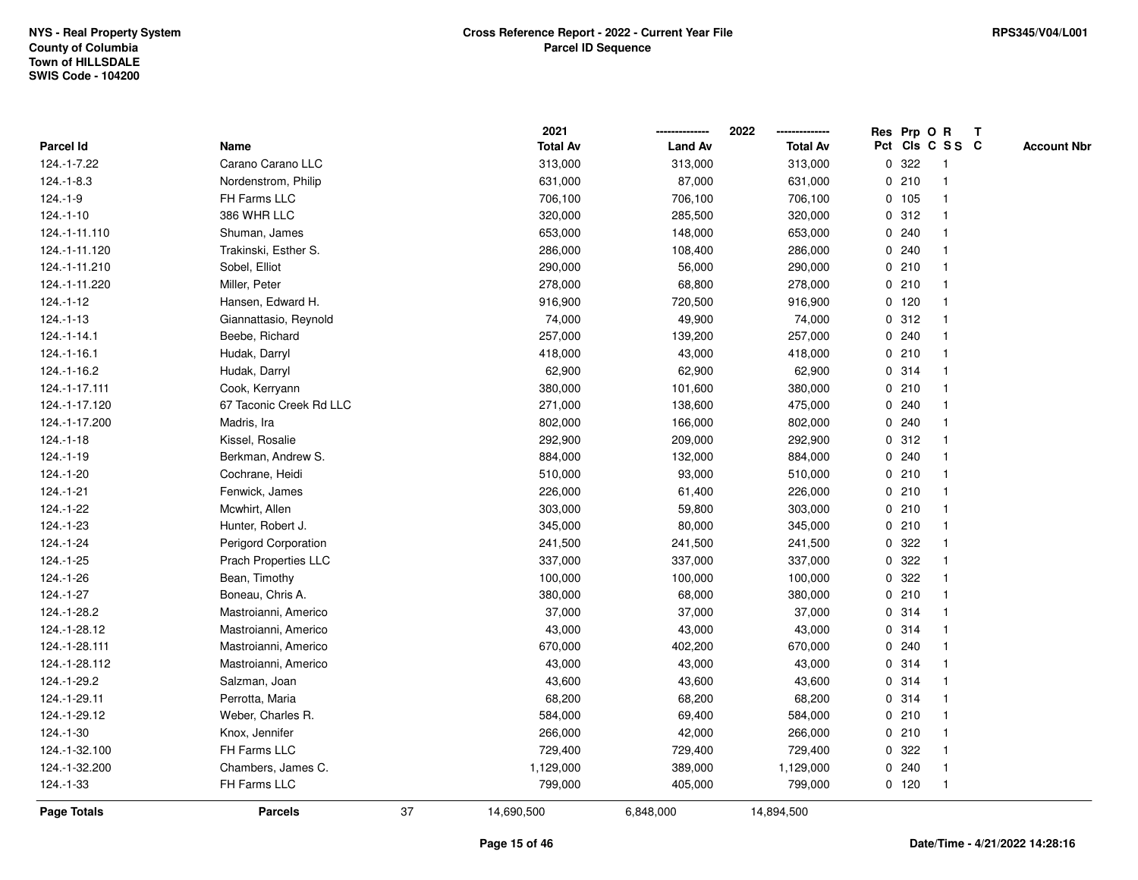|                  |                         |    | 2021            |                | 2022            |             | Res Prp O R |                 | Т |                    |
|------------------|-------------------------|----|-----------------|----------------|-----------------|-------------|-------------|-----------------|---|--------------------|
| Parcel Id        | Name                    |    | <b>Total Av</b> | <b>Land Av</b> | <b>Total Av</b> |             |             | Pct Cls C S S C |   | <b>Account Nbr</b> |
| 124.-1-7.22      | Carano Carano LLC       |    | 313,000         | 313,000        | 313,000         | 0           | 322         | -1              |   |                    |
| 124.-1-8.3       | Nordenstrom, Philip     |    | 631,000         | 87,000         | 631,000         | 0           | 210         | -1              |   |                    |
| $124.-1-9$       | FH Farms LLC            |    | 706,100         | 706,100        | 706,100         |             | 0 105       | $\mathbf 1$     |   |                    |
| $124.-1-10$      | 386 WHR LLC             |    | 320,000         | 285,500        | 320,000         |             | 0.312       |                 |   |                    |
| 124.-1-11.110    | Shuman, James           |    | 653,000         | 148,000        | 653,000         |             | 0.240       |                 |   |                    |
| 124.-1-11.120    | Trakinski, Esther S.    |    | 286,000         | 108,400        | 286,000         |             | 0.240       |                 |   |                    |
| 124.-1-11.210    | Sobel, Elliot           |    | 290,000         | 56,000         | 290,000         |             | 0210        |                 |   |                    |
| 124.-1-11.220    | Miller, Peter           |    | 278,000         | 68,800         | 278,000         |             | 0210        |                 |   |                    |
| $124.-1-12$      | Hansen, Edward H.       |    | 916,900         | 720,500        | 916,900         |             | 0 120       | -1              |   |                    |
| $124.-1-13$      | Giannattasio, Reynold   |    | 74,000          | 49,900         | 74,000          |             | 0.312       | $\mathbf 1$     |   |                    |
| $124 - 1 - 14.1$ | Beebe, Richard          |    | 257,000         | 139,200        | 257,000         |             | 0.240       |                 |   |                    |
| 124.-1-16.1      | Hudak, Darryl           |    | 418,000         | 43,000         | 418,000         |             | 0210        |                 |   |                    |
| 124.-1-16.2      | Hudak, Darryl           |    | 62,900          | 62,900         | 62,900          |             | 0.314       |                 |   |                    |
| 124.-1-17.111    | Cook, Kerryann          |    | 380,000         | 101,600        | 380,000         |             | 0210        |                 |   |                    |
| 124.-1-17.120    | 67 Taconic Creek Rd LLC |    | 271,000         | 138,600        | 475,000         | 0           | 240         |                 |   |                    |
| 124.-1-17.200    | Madris, Ira             |    | 802,000         | 166,000        | 802,000         | 0           | 240         | -1              |   |                    |
| $124.-1-18$      | Kissel, Rosalie         |    | 292,900         | 209,000        | 292,900         |             | 0.312       | -1              |   |                    |
| 124.-1-19        | Berkman, Andrew S.      |    | 884,000         | 132,000        | 884,000         |             | 0.240       |                 |   |                    |
| 124.-1-20        | Cochrane, Heidi         |    | 510,000         | 93,000         | 510,000         |             | 0210        |                 |   |                    |
| 124.-1-21        | Fenwick, James          |    | 226,000         | 61,400         | 226,000         |             | 0210        |                 |   |                    |
| 124.-1-22        | Mcwhirt, Allen          |    | 303,000         | 59,800         | 303,000         |             | 0210        |                 |   |                    |
| 124.-1-23        | Hunter, Robert J.       |    | 345,000         | 80,000         | 345,000         |             | 0210        |                 |   |                    |
| 124.-1-24        | Perigord Corporation    |    | 241,500         | 241,500        | 241,500         | 0           | 322         |                 |   |                    |
| 124.-1-25        | Prach Properties LLC    |    | 337,000         | 337,000        | 337,000         | 0           | 322         | -1              |   |                    |
| 124.-1-26        | Bean, Timothy           |    | 100,000         | 100,000        | 100,000         |             | 0.322       |                 |   |                    |
| 124.-1-27        | Boneau, Chris A.        |    | 380,000         | 68,000         | 380,000         |             | 0210        |                 |   |                    |
| 124.-1-28.2      | Mastroianni, Americo    |    | 37,000          | 37,000         | 37,000          |             | 0.314       |                 |   |                    |
| 124.-1-28.12     | Mastroianni, Americo    |    | 43,000          | 43,000         | 43,000          |             | 0.314       |                 |   |                    |
| 124.-1-28.111    | Mastroianni, Americo    |    | 670,000         | 402,200        | 670,000         | 0           | 240         |                 |   |                    |
| 124.-1-28.112    | Mastroianni, Americo    |    | 43,000          | 43,000         | 43,000          | $\mathbf 0$ | 314         | -1              |   |                    |
| 124.-1-29.2      | Salzman, Joan           |    | 43,600          | 43,600         | 43,600          | 0           | 314         | -1              |   |                    |
| 124.-1-29.11     | Perrotta, Maria         |    | 68,200          | 68,200         | 68,200          |             | 0.314       | -1              |   |                    |
| 124.-1-29.12     | Weber, Charles R.       |    | 584,000         | 69,400         | 584,000         |             | 0210        |                 |   |                    |
| 124.-1-30        | Knox, Jennifer          |    | 266,000         | 42,000         | 266,000         |             | 0210        |                 |   |                    |
| 124.-1-32.100    | FH Farms LLC            |    | 729,400         | 729,400        | 729,400         |             | 0.322       |                 |   |                    |
| 124.-1-32.200    | Chambers, James C.      |    | 1,129,000       | 389,000        | 1,129,000       |             | 0.240       | -1              |   |                    |
| 124.-1-33        | FH Farms LLC            |    | 799,000         | 405,000        | 799,000         |             | $0$ 120     | $\mathbf{1}$    |   |                    |
| Page Totals      | <b>Parcels</b>          | 37 | 14,690,500      | 6,848,000      | 14,894,500      |             |             |                 |   |                    |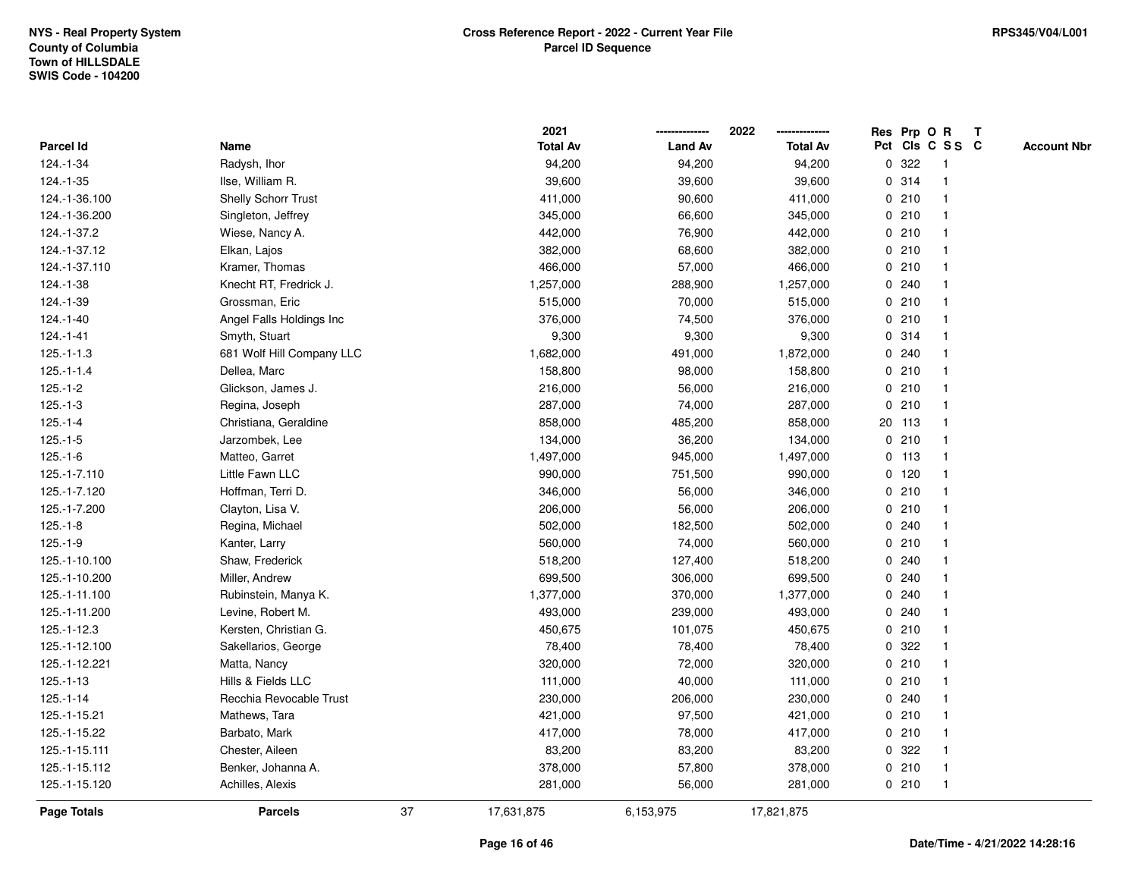|                    |                            |    | 2021            |                | 2022            |   | Res Prp O R |                 | Т |                    |
|--------------------|----------------------------|----|-----------------|----------------|-----------------|---|-------------|-----------------|---|--------------------|
| Parcel Id          | Name                       |    | <b>Total Av</b> | <b>Land Av</b> | <b>Total Av</b> |   |             | Pct Cls C S S C |   | <b>Account Nbr</b> |
| 124.-1-34          | Radysh, Ihor               |    | 94,200          | 94,200         | 94,200          | 0 | 322         | -1              |   |                    |
| 124.-1-35          | Ilse, William R.           |    | 39,600          | 39,600         | 39,600          |   | 0.314       | $\mathbf 1$     |   |                    |
| 124.-1-36.100      | <b>Shelly Schorr Trust</b> |    | 411,000         | 90,600         | 411,000         |   | 0210        | $\mathbf 1$     |   |                    |
| 124.-1-36.200      | Singleton, Jeffrey         |    | 345,000         | 66,600         | 345,000         |   | 0210        |                 |   |                    |
| 124.-1-37.2        | Wiese, Nancy A.            |    | 442,000         | 76,900         | 442,000         |   | 0210        |                 |   |                    |
| 124.-1-37.12       | Elkan, Lajos               |    | 382,000         | 68,600         | 382,000         |   | 0210        |                 |   |                    |
| 124.-1-37.110      | Kramer, Thomas             |    | 466,000         | 57,000         | 466,000         |   | 0210        |                 |   |                    |
| 124.-1-38          | Knecht RT, Fredrick J.     |    | 1,257,000       | 288,900        | 1,257,000       |   | 0.240       |                 |   |                    |
| 124.-1-39          | Grossman, Eric             |    | 515,000         | 70,000         | 515,000         |   | 0210        | -1              |   |                    |
| 124.-1-40          | Angel Falls Holdings Inc   |    | 376,000         | 74,500         | 376,000         |   | 0210        | $\mathbf 1$     |   |                    |
| $124 - 1 - 41$     | Smyth, Stuart              |    | 9,300           | 9,300          | 9,300           |   | 0.314       |                 |   |                    |
| $125.-1-1.3$       | 681 Wolf Hill Company LLC  |    | 1,682,000       | 491,000        | 1,872,000       |   | 0.240       |                 |   |                    |
| $125.-1-1.4$       | Dellea, Marc               |    | 158,800         | 98,000         | 158,800         |   | 0210        |                 |   |                    |
| $125.-1-2$         | Glickson, James J.         |    | 216,000         | 56,000         | 216,000         |   | 0210        | -1              |   |                    |
| $125.-1-3$         | Regina, Joseph             |    | 287,000         | 74,000         | 287,000         |   | 0210        | $\overline{1}$  |   |                    |
| $125.-1-4$         | Christiana, Geraldine      |    | 858,000         | 485,200        | 858,000         |   | 20 113      | $\mathbf{1}$    |   |                    |
| $125.-1-5$         | Jarzombek, Lee             |    | 134,000         | 36,200         | 134,000         |   | 0210        | $\mathbf{1}$    |   |                    |
| $125.-1-6$         | Matteo, Garret             |    | 1,497,000       | 945,000        | 1,497,000       |   | $0$ 113     | -1              |   |                    |
| 125.-1-7.110       | Little Fawn LLC            |    | 990,000         | 751,500        | 990,000         |   | $0$ 120     |                 |   |                    |
| 125.-1-7.120       | Hoffman, Terri D.          |    | 346,000         | 56,000         | 346,000         |   | 0210        |                 |   |                    |
| 125.-1-7.200       | Clayton, Lisa V.           |    | 206,000         | 56,000         | 206,000         |   | 0210        |                 |   |                    |
| $125.-1-8$         | Regina, Michael            |    | 502,000         | 182,500        | 502,000         |   | 0.240       |                 |   |                    |
| $125.-1-9$         | Kanter, Larry              |    | 560,000         | 74,000         | 560,000         |   | 0210        | -1              |   |                    |
| 125.-1-10.100      | Shaw, Frederick            |    | 518,200         | 127,400        | 518,200         |   | 0.240       |                 |   |                    |
| 125.-1-10.200      | Miller, Andrew             |    | 699,500         | 306,000        | 699,500         |   | 0.240       | -1              |   |                    |
| 125.-1-11.100      | Rubinstein, Manya K.       |    | 1,377,000       | 370,000        | 1,377,000       |   | 0.240       |                 |   |                    |
| 125.-1-11.200      | Levine, Robert M.          |    | 493,000         | 239,000        | 493,000         |   | 0.240       |                 |   |                    |
| 125.-1-12.3        | Kersten, Christian G.      |    | 450,675         | 101,075        | 450,675         |   | 0210        | -1              |   |                    |
| 125.-1-12.100      | Sakellarios, George        |    | 78,400          | 78,400         | 78,400          | 0 | 322         |                 |   |                    |
| 125.-1-12.221      | Matta, Nancy               |    | 320,000         | 72,000         | 320,000         |   | 0210        | -1              |   |                    |
| 125.-1-13          | Hills & Fields LLC         |    | 111,000         | 40,000         | 111,000         |   | 0210        | -1              |   |                    |
| $125.-1-14$        | Recchia Revocable Trust    |    | 230,000         | 206,000        | 230,000         |   | 0.240       | -1              |   |                    |
| 125.-1-15.21       | Mathews, Tara              |    | 421,000         | 97,500         | 421,000         |   | 0210        |                 |   |                    |
| 125.-1-15.22       | Barbato, Mark              |    | 417,000         | 78,000         | 417,000         |   | 0210        |                 |   |                    |
| 125.-1-15.111      | Chester, Aileen            |    | 83,200          | 83,200         | 83,200          |   | 0.322       | -1              |   |                    |
| 125.-1-15.112      | Benker, Johanna A.         |    | 378,000         | 57,800         | 378,000         |   | 0210        | $\mathbf 1$     |   |                    |
| 125.-1-15.120      | Achilles, Alexis           |    | 281,000         | 56,000         | 281,000         |   | 0210        | $\mathbf{1}$    |   |                    |
| <b>Page Totals</b> | <b>Parcels</b>             | 37 | 17,631,875      | 6,153,975      | 17,821,875      |   |             |                 |   |                    |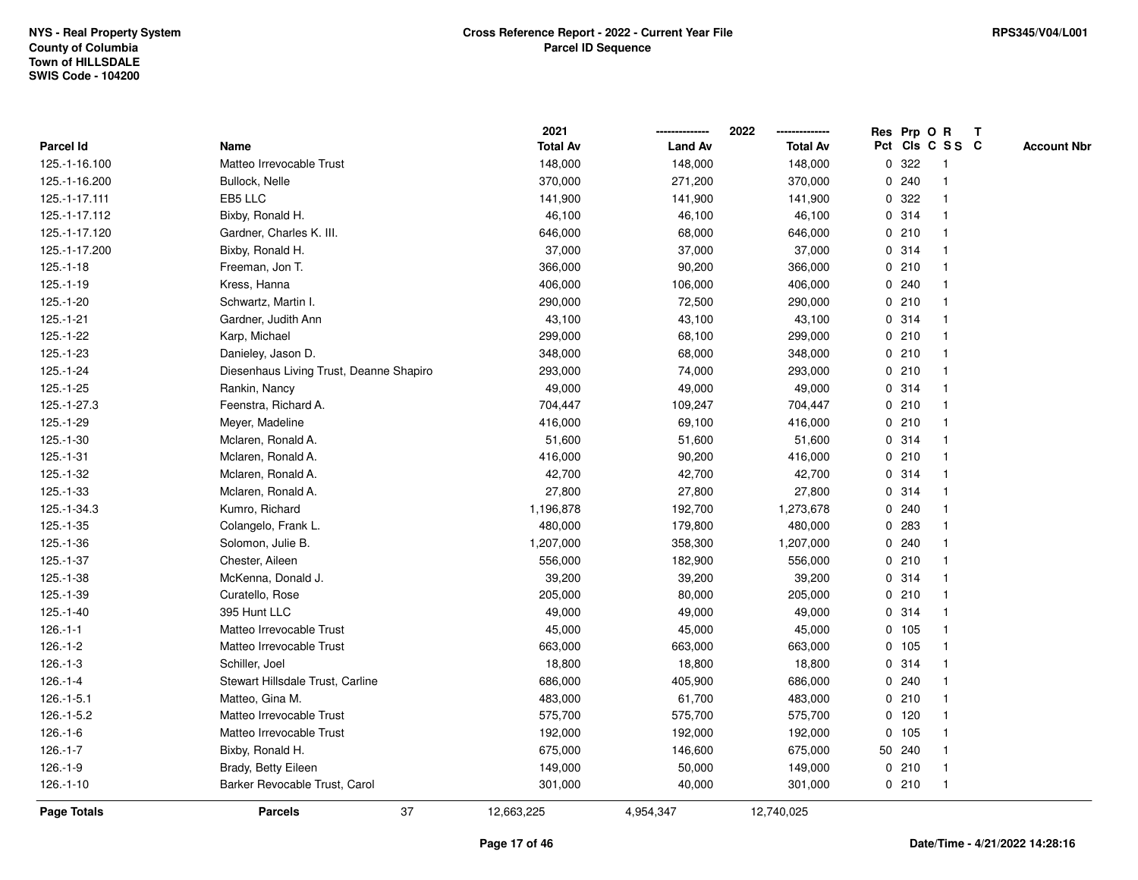|                 |                                         | 2021            |                | 2022            |   |         | Res Prp O R     | Т |                    |
|-----------------|-----------------------------------------|-----------------|----------------|-----------------|---|---------|-----------------|---|--------------------|
| Parcel Id       | Name                                    | <b>Total Av</b> | <b>Land Av</b> | <b>Total Av</b> |   |         | Pct Cls C S S C |   | <b>Account Nbr</b> |
| 125.-1-16.100   | Matteo Irrevocable Trust                | 148,000         | 148,000        | 148,000         | 0 | 322     | $\mathbf{1}$    |   |                    |
| 125.-1-16.200   | Bullock, Nelle                          | 370,000         | 271,200        | 370,000         | 0 | 240     | $\mathbf 1$     |   |                    |
| 125.-1-17.111   | EB5 LLC                                 | 141,900         | 141,900        | 141,900         |   | 0.322   | $\mathbf 1$     |   |                    |
| 125.-1-17.112   | Bixby, Ronald H.                        | 46,100          | 46,100         | 46,100          |   | 0.314   | -1              |   |                    |
| 125.-1-17.120   | Gardner, Charles K. III.                | 646,000         | 68,000         | 646,000         |   | 0210    |                 |   |                    |
| 125.-1-17.200   | Bixby, Ronald H.                        | 37,000          | 37,000         | 37,000          |   | 0.314   |                 |   |                    |
| $125.-1-18$     | Freeman, Jon T.                         | 366,000         | 90,200         | 366,000         |   | 0210    | $\mathbf 1$     |   |                    |
| $125.-1-19$     | Kress, Hanna                            | 406,000         | 106,000        | 406,000         |   | 0.240   | $\mathbf{1}$    |   |                    |
| 125.-1-20       | Schwartz, Martin I.                     | 290,000         | 72,500         | 290,000         |   | 0210    | 1               |   |                    |
| $125.-1-21$     | Gardner, Judith Ann                     | 43,100          | 43,100         | 43,100          |   | 0.314   | $\mathbf 1$     |   |                    |
| 125.-1-22       | Karp, Michael                           | 299,000         | 68,100         | 299,000         |   | 0210    | $\mathbf 1$     |   |                    |
| 125.-1-23       | Danieley, Jason D.                      | 348,000         | 68,000         | 348,000         |   | 0210    |                 |   |                    |
| 125.-1-24       | Diesenhaus Living Trust, Deanne Shapiro | 293,000         | 74,000         | 293,000         |   | 0210    |                 |   |                    |
| $125.-1-25$     | Rankin, Nancy                           | 49,000          | 49,000         | 49,000          |   | 0 314   | $\mathbf 1$     |   |                    |
| 125.-1-27.3     | Feenstra, Richard A.                    | 704,447         | 109,247        | 704,447         |   | 0210    | $\mathbf 1$     |   |                    |
| 125.-1-29       | Meyer, Madeline                         | 416,000         | 69,100         | 416,000         |   | 0210    | $\mathbf{1}$    |   |                    |
| $125.-1-30$     | Mclaren, Ronald A.                      | 51,600          | 51,600         | 51,600          |   | 0.314   | $\mathbf{1}$    |   |                    |
| $125 - 1 - 31$  | Mclaren, Ronald A.                      | 416,000         | 90,200         | 416,000         |   | 0210    | -1              |   |                    |
| 125.-1-32       | Mclaren, Ronald A.                      | 42,700          | 42,700         | 42,700          |   | 0.314   |                 |   |                    |
| $125.-1-33$     | Mclaren, Ronald A.                      | 27,800          | 27,800         | 27,800          |   | 0.314   |                 |   |                    |
| 125.-1-34.3     | Kumro, Richard                          | 1,196,878       | 192,700        | 1,273,678       |   | 0.240   | $\mathbf{1}$    |   |                    |
| $125.-1-35$     | Colangelo, Frank L.                     | 480,000         | 179,800        | 480,000         |   | 0 283   |                 |   |                    |
| $125.-1-36$     | Solomon, Julie B.                       | 1,207,000       | 358,300        | 1,207,000       |   | 0.240   | $\mathbf{1}$    |   |                    |
| $125.-1-37$     | Chester, Aileen                         | 556,000         | 182,900        | 556,000         |   | 0210    | $\mathbf 1$     |   |                    |
| $125.-1-38$     | McKenna, Donald J.                      | 39,200          | 39,200         | 39,200          |   | 0.314   | $\mathbf 1$     |   |                    |
| 125.-1-39       | Curatello, Rose                         | 205,000         | 80,000         | 205,000         |   | 0210    |                 |   |                    |
| $125.-1-40$     | 395 Hunt LLC                            | 49,000          | 49,000         | 49,000          |   | 0.314   |                 |   |                    |
| $126.-1-1$      | Matteo Irrevocable Trust                | 45,000          | 45,000         | 45,000          |   | 0, 105  | $\mathbf 1$     |   |                    |
| $126.-1-2$      | Matteo Irrevocable Trust                | 663,000         | 663,000        | 663,000         |   | 0, 105  | $\mathbf{1}$    |   |                    |
| $126.-1-3$      | Schiller, Joel                          | 18,800          | 18,800         | 18,800          |   | 0.314   | 1               |   |                    |
| $126 - 1 - 4$   | Stewart Hillsdale Trust, Carline        | 686,000         | 405,900        | 686,000         |   | 0.240   | $\mathbf 1$     |   |                    |
| $126 - 1 - 5.1$ | Matteo, Gina M.                         | 483,000         | 61,700         | 483,000         |   | 0210    | $\mathbf 1$     |   |                    |
| $126.-1-5.2$    | Matteo Irrevocable Trust                | 575,700         | 575,700        | 575,700         |   | $0$ 120 | $\mathbf 1$     |   |                    |
| $126.-1-6$      | Matteo Irrevocable Trust                | 192,000         | 192,000        | 192,000         |   | 0, 105  |                 |   |                    |
| $126.-1-7$      | Bixby, Ronald H.                        | 675,000         | 146,600        | 675,000         |   | 50 240  | $\mathbf 1$     |   |                    |
| $126.-1-9$      | Brady, Betty Eileen                     | 149,000         | 50,000         | 149,000         |   | 0210    | 1               |   |                    |
| $126.-1-10$     | Barker Revocable Trust, Carol           | 301,000         | 40,000         | 301,000         |   | 0210    | $\mathbf{1}$    |   |                    |
| Page Totals     | 37<br><b>Parcels</b>                    | 12,663,225      | 4,954,347      | 12,740,025      |   |         |                 |   |                    |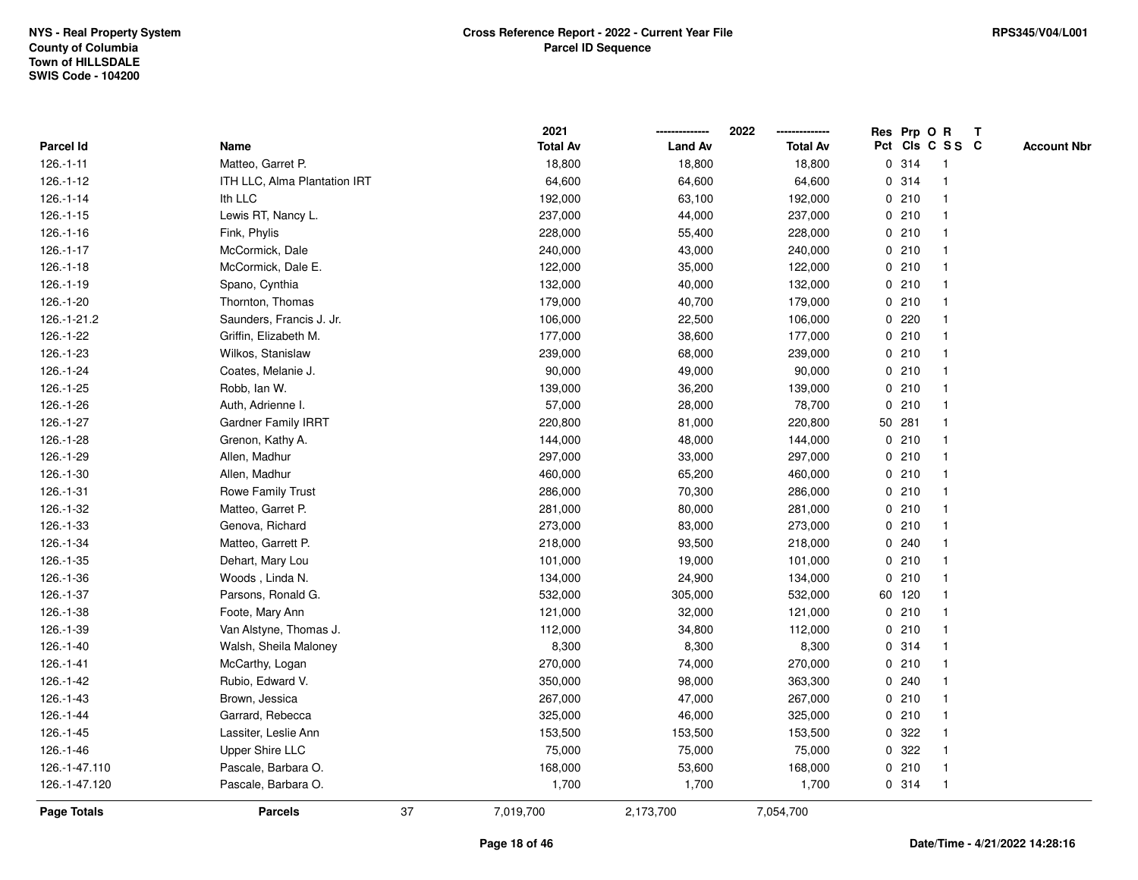|                    |                              |    | 2021            |                | 2022            |             |        | Res Prp O R     | T |                    |
|--------------------|------------------------------|----|-----------------|----------------|-----------------|-------------|--------|-----------------|---|--------------------|
| Parcel Id          | Name                         |    | <b>Total Av</b> | <b>Land Av</b> | <b>Total Av</b> |             |        | Pct Cls C S S C |   | <b>Account Nbr</b> |
| $126.-1-11$        | Matteo, Garret P.            |    | 18,800          | 18,800         | 18,800          |             | 0 314  | -1              |   |                    |
| $126.-1-12$        | ITH LLC, Alma Plantation IRT |    | 64,600          | 64,600         | 64,600          | 0           | 314    | $\overline{1}$  |   |                    |
| $126.-1-14$        | Ith LLC                      |    | 192,000         | 63,100         | 192,000         |             | 0210   | -1              |   |                    |
| $126.-1-15$        | Lewis RT, Nancy L.           |    | 237,000         | 44,000         | 237,000         |             | 0210   |                 |   |                    |
| $126.-1-16$        | Fink, Phylis                 |    | 228,000         | 55,400         | 228,000         |             | 0210   |                 |   |                    |
| $126.-1-17$        | McCormick, Dale              |    | 240,000         | 43,000         | 240,000         |             | 0210   |                 |   |                    |
| $126.-1-18$        | McCormick, Dale E.           |    | 122,000         | 35,000         | 122,000         |             | 0210   |                 |   |                    |
| $126.-1-19$        | Spano, Cynthia               |    | 132,000         | 40,000         | 132,000         |             | 0210   | $\mathbf{1}$    |   |                    |
| $126.-1-20$        | Thornton, Thomas             |    | 179,000         | 40,700         | 179,000         |             | 0210   | -1              |   |                    |
| 126.-1-21.2        | Saunders, Francis J. Jr.     |    | 106,000         | 22,500         | 106,000         |             | 0.220  | -1              |   |                    |
| 126.-1-22          | Griffin, Elizabeth M.        |    | 177,000         | 38,600         | 177,000         |             | 0210   |                 |   |                    |
| 126.-1-23          | Wilkos, Stanislaw            |    | 239,000         | 68,000         | 239,000         |             | 0210   |                 |   |                    |
| 126.-1-24          | Coates, Melanie J.           |    | 90,000          | 49,000         | 90,000          |             | 0210   |                 |   |                    |
| 126.-1-25          | Robb, Ian W.                 |    | 139,000         | 36,200         | 139,000         |             | 0210   | -1              |   |                    |
| 126.-1-26          | Auth, Adrienne I.            |    | 57,000          | 28,000         | 78,700          | $\mathbf 0$ | 210    |                 |   |                    |
| 126.-1-27          | Gardner Family IRRT          |    | 220,800         | 81,000         | 220,800         |             | 50 281 | $\overline{1}$  |   |                    |
| 126.-1-28          | Grenon, Kathy A.             |    | 144,000         | 48,000         | 144,000         |             | 0210   | $\overline{1}$  |   |                    |
| 126.-1-29          | Allen, Madhur                |    | 297,000         | 33,000         | 297,000         |             | 0210   |                 |   |                    |
| 126.-1-30          | Allen, Madhur                |    | 460,000         | 65,200         | 460,000         |             | 0210   |                 |   |                    |
| 126.-1-31          | Rowe Family Trust            |    | 286,000         | 70,300         | 286,000         |             | 0210   |                 |   |                    |
| 126.-1-32          | Matteo, Garret P.            |    | 281,000         | 80,000         | 281,000         |             | 0210   |                 |   |                    |
| 126.-1-33          | Genova, Richard              |    | 273,000         | 83,000         | 273,000         |             | 0210   |                 |   |                    |
| 126.-1-34          | Matteo, Garrett P.           |    | 218,000         | 93,500         | 218,000         |             | 0.240  | -1              |   |                    |
| 126.-1-35          | Dehart, Mary Lou             |    | 101,000         | 19,000         | 101,000         | $\mathbf 0$ | 210    | $\overline{1}$  |   |                    |
| 126.-1-36          | Woods, Linda N.              |    | 134,000         | 24,900         | 134,000         |             | 0210   | -1              |   |                    |
| 126.-1-37          | Parsons, Ronald G.           |    | 532,000         | 305,000        | 532,000         |             | 60 120 |                 |   |                    |
| 126.-1-38          | Foote, Mary Ann              |    | 121,000         | 32,000         | 121,000         |             | 0210   |                 |   |                    |
| 126.-1-39          | Van Alstyne, Thomas J.       |    | 112,000         | 34,800         | 112,000         |             | 0210   |                 |   |                    |
| 126.-1-40          | Walsh, Sheila Maloney        |    | 8,300           | 8,300          | 8,300           |             | 0.314  |                 |   |                    |
| $126.-1-41$        | McCarthy, Logan              |    | 270,000         | 74,000         | 270,000         | 0           | 210    |                 |   |                    |
| 126.-1-42          | Rubio, Edward V.             |    | 350,000         | 98,000         | 363,300         | 0           | 240    | -1              |   |                    |
| 126.-1-43          | Brown, Jessica               |    | 267,000         | 47,000         | 267,000         |             | 0210   | -1              |   |                    |
| 126.-1-44          | Garrard, Rebecca             |    | 325,000         | 46,000         | 325,000         |             | 0210   |                 |   |                    |
| 126.-1-45          | Lassiter, Leslie Ann         |    | 153,500         | 153,500        | 153,500         |             | 0 322  |                 |   |                    |
| 126.-1-46          | <b>Upper Shire LLC</b>       |    | 75,000          | 75,000         | 75,000          |             | 0 322  |                 |   |                    |
| 126.-1-47.110      | Pascale, Barbara O.          |    | 168,000         | 53,600         | 168,000         |             | 0210   | -1              |   |                    |
| 126.-1-47.120      | Pascale, Barbara O.          |    | 1,700           | 1,700          | 1,700           |             | 0 314  | $\overline{1}$  |   |                    |
| <b>Page Totals</b> | <b>Parcels</b>               | 37 | 7,019,700       | 2,173,700      | 7,054,700       |             |        |                 |   |                    |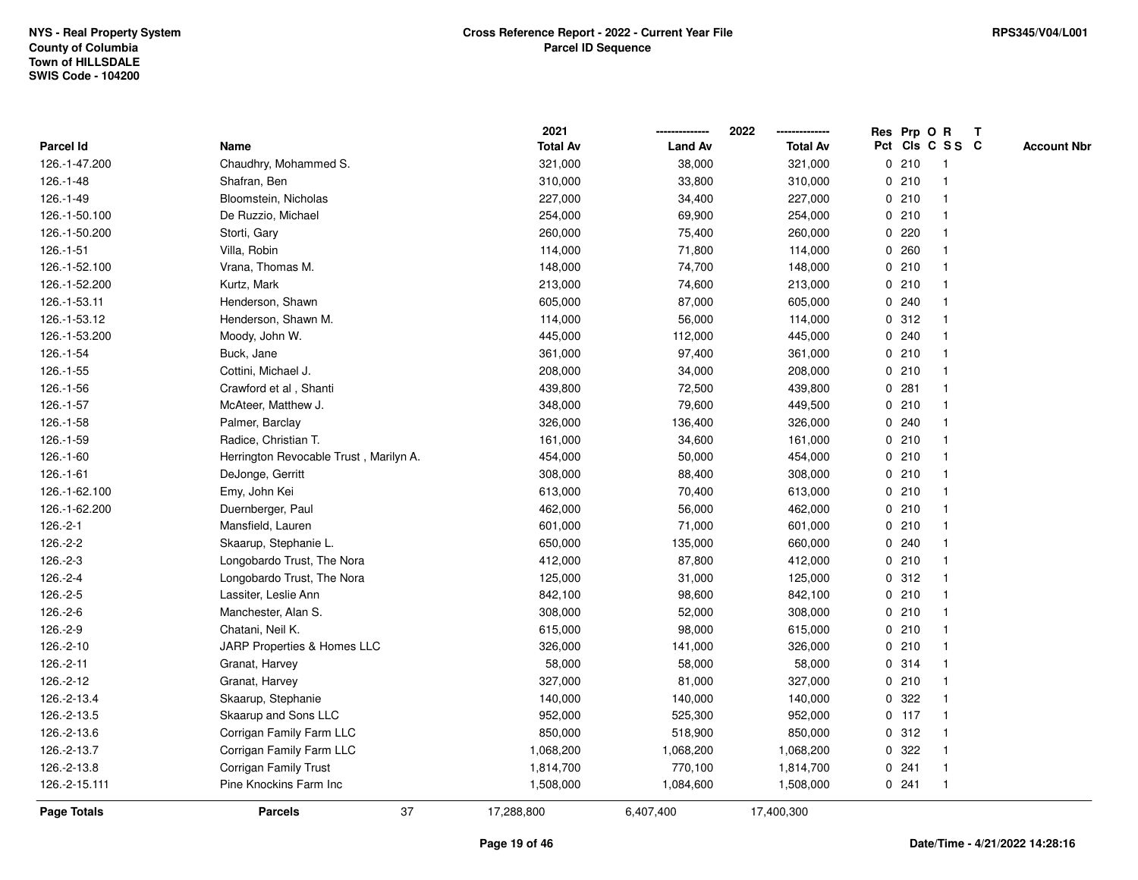|               |                                        | 2021            |                | 2022            |             |         | Res Prp O R     | $\mathbf{T}$ |                    |
|---------------|----------------------------------------|-----------------|----------------|-----------------|-------------|---------|-----------------|--------------|--------------------|
| Parcel Id     | Name                                   | <b>Total Av</b> | <b>Land Av</b> | <b>Total Av</b> |             |         | Pct Cls C S S C |              | <b>Account Nbr</b> |
| 126.-1-47.200 | Chaudhry, Mohammed S.                  | 321,000         | 38,000         | 321,000         |             | 0210    |                 |              |                    |
| 126.-1-48     | Shafran, Ben                           | 310,000         | 33,800         | 310,000         |             | 0210    |                 |              |                    |
| 126.-1-49     | Bloomstein, Nicholas                   | 227,000         | 34,400         | 227,000         |             | 0210    |                 |              |                    |
| 126.-1-50.100 | De Ruzzio, Michael                     | 254,000         | 69,900         | 254,000         | $\mathbf 0$ | 210     | -1              |              |                    |
| 126.-1-50.200 | Storti, Gary                           | 260,000         | 75,400         | 260,000         | 0           | 220     |                 |              |                    |
| 126.-1-51     | Villa, Robin                           | 114,000         | 71,800         | 114,000         |             | 0.260   |                 |              |                    |
| 126.-1-52.100 | Vrana, Thomas M.                       | 148,000         | 74,700         | 148,000         |             | 0210    |                 |              |                    |
| 126.-1-52.200 | Kurtz, Mark                            | 213,000         | 74,600         | 213,000         |             | 0210    |                 |              |                    |
| 126.-1-53.11  | Henderson, Shawn                       | 605,000         | 87,000         | 605,000         |             | 0.240   |                 |              |                    |
| 126.-1-53.12  | Henderson, Shawn M.                    | 114,000         | 56,000         | 114,000         | 0           | 312     |                 |              |                    |
| 126.-1-53.200 | Moody, John W.                         | 445,000         | 112,000        | 445,000         |             | 0.240   | -1              |              |                    |
| 126.-1-54     | Buck, Jane                             | 361,000         | 97,400         | 361,000         |             | 0210    |                 |              |                    |
| 126.-1-55     | Cottini, Michael J.                    | 208,000         | 34,000         | 208,000         |             | 0210    |                 |              |                    |
| 126.-1-56     | Crawford et al, Shanti                 | 439,800         | 72,500         | 439,800         |             | 0.281   |                 |              |                    |
| 126.-1-57     | McAteer, Matthew J.                    | 348,000         | 79,600         | 449,500         |             | 0210    |                 |              |                    |
| 126.-1-58     | Palmer, Barclay                        | 326,000         | 136,400        | 326,000         |             | 0.240   |                 |              |                    |
| 126.-1-59     | Radice, Christian T.                   | 161,000         | 34,600         | 161,000         | $\mathbf 0$ | 210     |                 |              |                    |
| 126.-1-60     | Herrington Revocable Trust, Marilyn A. | 454,000         | 50,000         | 454,000         |             | 0210    | -1              |              |                    |
| $126.-1-61$   | DeJonge, Gerritt                       | 308,000         | 88,400         | 308,000         |             | 0210    | -1              |              |                    |
| 126.-1-62.100 | Emy, John Kei                          | 613,000         | 70,400         | 613,000         |             | 0210    |                 |              |                    |
| 126.-1-62.200 | Duernberger, Paul                      | 462,000         | 56,000         | 462,000         |             | 0210    |                 |              |                    |
| $126.-2-1$    | Mansfield, Lauren                      | 601,000         | 71,000         | 601,000         |             | 0210    |                 |              |                    |
| 126.-2-2      | Skaarup, Stephanie L.                  | 650,000         | 135,000        | 660,000         |             | 0.240   |                 |              |                    |
| 126.-2-3      | Longobardo Trust, The Nora             | 412,000         | 87,800         | 412,000         | $\mathbf 0$ | 210     | $\mathbf{1}$    |              |                    |
| 126.-2-4      | Longobardo Trust, The Nora             | 125,000         | 31,000         | 125,000         |             | 0.312   |                 |              |                    |
| $126.-2-5$    | Lassiter, Leslie Ann                   | 842,100         | 98,600         | 842,100         |             | 0210    | -1              |              |                    |
| 126.-2-6      | Manchester, Alan S.                    | 308,000         | 52,000         | 308,000         |             | 0210    |                 |              |                    |
| 126.-2-9      | Chatani, Neil K.                       | 615,000         | 98,000         | 615,000         |             | 0210    |                 |              |                    |
| 126.-2-10     | JARP Properties & Homes LLC            | 326,000         | 141,000        | 326,000         |             | 0210    |                 |              |                    |
| 126.-2-11     | Granat, Harvey                         | 58,000          | 58,000         | 58,000          | 0           | 314     |                 |              |                    |
| 126.-2-12     | Granat, Harvey                         | 327,000         | 81,000         | 327,000         |             | 0210    | -1              |              |                    |
| 126.-2-13.4   | Skaarup, Stephanie                     | 140,000         | 140,000        | 140,000         |             | 0 322   |                 |              |                    |
| 126.-2-13.5   | Skaarup and Sons LLC                   | 952,000         | 525,300        | 952,000         |             | $0$ 117 |                 |              |                    |
| 126.-2-13.6   | Corrigan Family Farm LLC               | 850,000         | 518,900        | 850,000         |             | 0.312   |                 |              |                    |
| 126.-2-13.7   | Corrigan Family Farm LLC               | 1,068,200       | 1,068,200      | 1,068,200       |             | 0.322   |                 |              |                    |
| 126.-2-13.8   | Corrigan Family Trust                  | 1,814,700       | 770,100        | 1,814,700       |             | 0.241   | -1              |              |                    |
| 126.-2-15.111 | Pine Knockins Farm Inc                 | 1,508,000       | 1,084,600      | 1,508,000       |             | 0.241   | -1              |              |                    |
| Page Totals   | 37<br><b>Parcels</b>                   | 17,288,800      | 6,407,400      | 17,400,300      |             |         |                 |              |                    |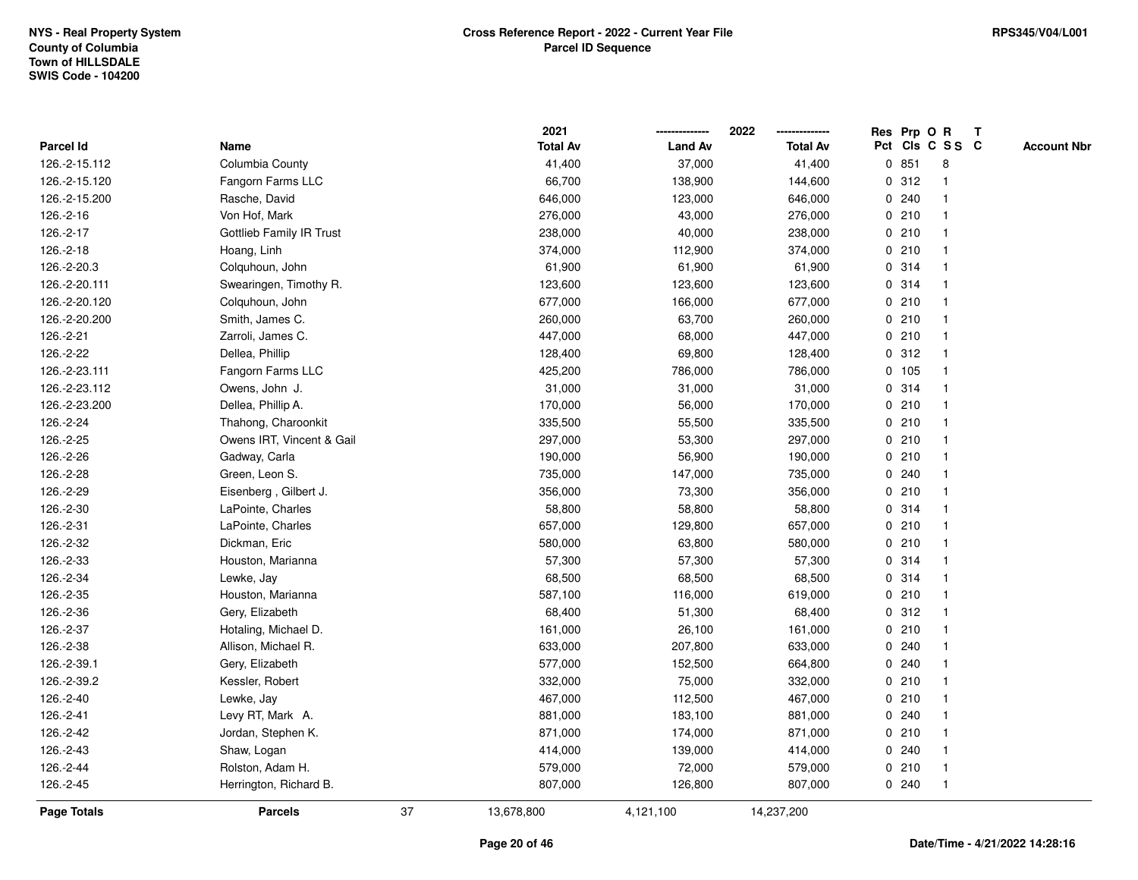|               |                                 |    | 2021            |                | 2022            |             |       | Res Prp O R             | $\mathbf{T}$ |                    |
|---------------|---------------------------------|----|-----------------|----------------|-----------------|-------------|-------|-------------------------|--------------|--------------------|
| Parcel Id     | Name                            |    | <b>Total Av</b> | <b>Land Av</b> | <b>Total Av</b> |             |       | Pct Cls C S S C         |              | <b>Account Nbr</b> |
| 126.-2-15.112 | Columbia County                 |    | 41,400          | 37,000         | 41,400          |             | 0851  | 8                       |              |                    |
| 126.-2-15.120 | Fangorn Farms LLC               |    | 66,700          | 138,900        | 144,600         |             | 0.312 |                         |              |                    |
| 126.-2-15.200 | Rasche, David                   |    | 646,000         | 123,000        | 646,000         |             | 0.240 |                         |              |                    |
| 126.-2-16     | Von Hof, Mark                   |    | 276,000         | 43,000         | 276,000         | $\mathbf 0$ | 210   | $\mathbf{1}$            |              |                    |
| 126.-2-17     | <b>Gottlieb Family IR Trust</b> |    | 238,000         | 40,000         | 238,000         |             | 0210  | $\mathbf 1$             |              |                    |
| 126.-2-18     | Hoang, Linh                     |    | 374,000         | 112,900        | 374,000         |             | 0210  |                         |              |                    |
| 126.-2-20.3   | Colquhoun, John                 |    | 61,900          | 61,900         | 61,900          |             | 0.314 |                         |              |                    |
| 126.-2-20.111 | Swearingen, Timothy R.          |    | 123,600         | 123,600        | 123,600         |             | 0.314 |                         |              |                    |
| 126.-2-20.120 | Colquhoun, John                 |    | 677,000         | 166,000        | 677,000         |             | 0210  | -1                      |              |                    |
| 126.-2-20.200 | Smith, James C.                 |    | 260,000         | 63,700         | 260,000         |             | 0210  |                         |              |                    |
| 126.-2-21     | Zarroli, James C.               |    | 447,000         | 68,000         | 447,000         |             | 0210  | $\mathbf{1}$            |              |                    |
| 126.-2-22     | Dellea, Phillip                 |    | 128,400         | 69,800         | 128,400         |             | 0.312 | $\mathbf{1}$            |              |                    |
| 126.-2-23.111 | Fangorn Farms LLC               |    | 425,200         | 786,000        | 786,000         |             | 0 105 |                         |              |                    |
| 126.-2-23.112 | Owens, John J.                  |    | 31,000          | 31,000         | 31,000          |             | 0.314 |                         |              |                    |
| 126.-2-23.200 | Dellea, Phillip A.              |    | 170,000         | 56,000         | 170,000         |             | 0210  |                         |              |                    |
| 126.-2-24     | Thahong, Charoonkit             |    | 335,500         | 55,500         | 335,500         |             | 0210  | -1                      |              |                    |
| 126.-2-25     | Owens IRT, Vincent & Gail       |    | 297,000         | 53,300         | 297,000         | $\mathbf 0$ | 210   | $\overline{\mathbf{1}}$ |              |                    |
| 126.-2-26     | Gadway, Carla                   |    | 190,000         | 56,900         | 190,000         |             | 0210  | -1                      |              |                    |
| 126.-2-28     | Green, Leon S.                  |    | 735,000         | 147,000        | 735,000         |             | 0.240 | -1                      |              |                    |
| 126.-2-29     | Eisenberg, Gilbert J.           |    | 356,000         | 73,300         | 356,000         |             | 0210  |                         |              |                    |
| 126.-2-30     | LaPointe, Charles               |    | 58,800          | 58,800         | 58,800          |             | 0.314 |                         |              |                    |
| 126.-2-31     | LaPointe, Charles               |    | 657,000         | 129,800        | 657,000         |             | 0210  |                         |              |                    |
| 126.-2-32     | Dickman, Eric                   |    | 580,000         | 63,800         | 580,000         |             | 0210  |                         |              |                    |
| 126.-2-33     | Houston, Marianna               |    | 57,300          | 57,300         | 57,300          |             | 0.314 | $\mathbf{1}$            |              |                    |
| 126.-2-34     | Lewke, Jay                      |    | 68,500          | 68,500         | 68,500          |             | 0.314 | -1                      |              |                    |
| 126.-2-35     | Houston, Marianna               |    | 587,100         | 116,000        | 619,000         |             | 0210  | $\mathbf 1$             |              |                    |
| 126.-2-36     | Gery, Elizabeth                 |    | 68,400          | 51,300         | 68,400          |             | 0.312 |                         |              |                    |
| 126.-2-37     | Hotaling, Michael D.            |    | 161,000         | 26,100         | 161,000         |             | 0210  |                         |              |                    |
| 126.-2-38     | Allison, Michael R.             |    | 633,000         | 207,800        | 633,000         |             | 0.240 |                         |              |                    |
| 126.-2-39.1   | Gery, Elizabeth                 |    | 577,000         | 152,500        | 664,800         |             | 0.240 |                         |              |                    |
| 126.-2-39.2   | Kessler, Robert                 |    | 332,000         | 75,000         | 332,000         |             | 0210  | -1                      |              |                    |
| 126.-2-40     | Lewke, Jay                      |    | 467,000         | 112,500        | 467,000         |             | 0210  | $\mathbf 1$             |              |                    |
| 126.-2-41     | Levy RT, Mark A.                |    | 881,000         | 183,100        | 881,000         |             | 0.240 |                         |              |                    |
| 126.-2-42     | Jordan, Stephen K.              |    | 871,000         | 174,000        | 871,000         |             | 0210  |                         |              |                    |
| 126.-2-43     | Shaw, Logan                     |    | 414,000         | 139,000        | 414,000         |             | 0.240 |                         |              |                    |
| 126.-2-44     | Rolston, Adam H.                |    | 579,000         | 72,000         | 579,000         |             | 0210  | $\mathbf{1}$            |              |                    |
| 126.-2-45     | Herrington, Richard B.          |    | 807,000         | 126,800        | 807,000         |             | 0.240 | -1                      |              |                    |
| Page Totals   | <b>Parcels</b>                  | 37 | 13,678,800      | 4,121,100      | 14,237,200      |             |       |                         |              |                    |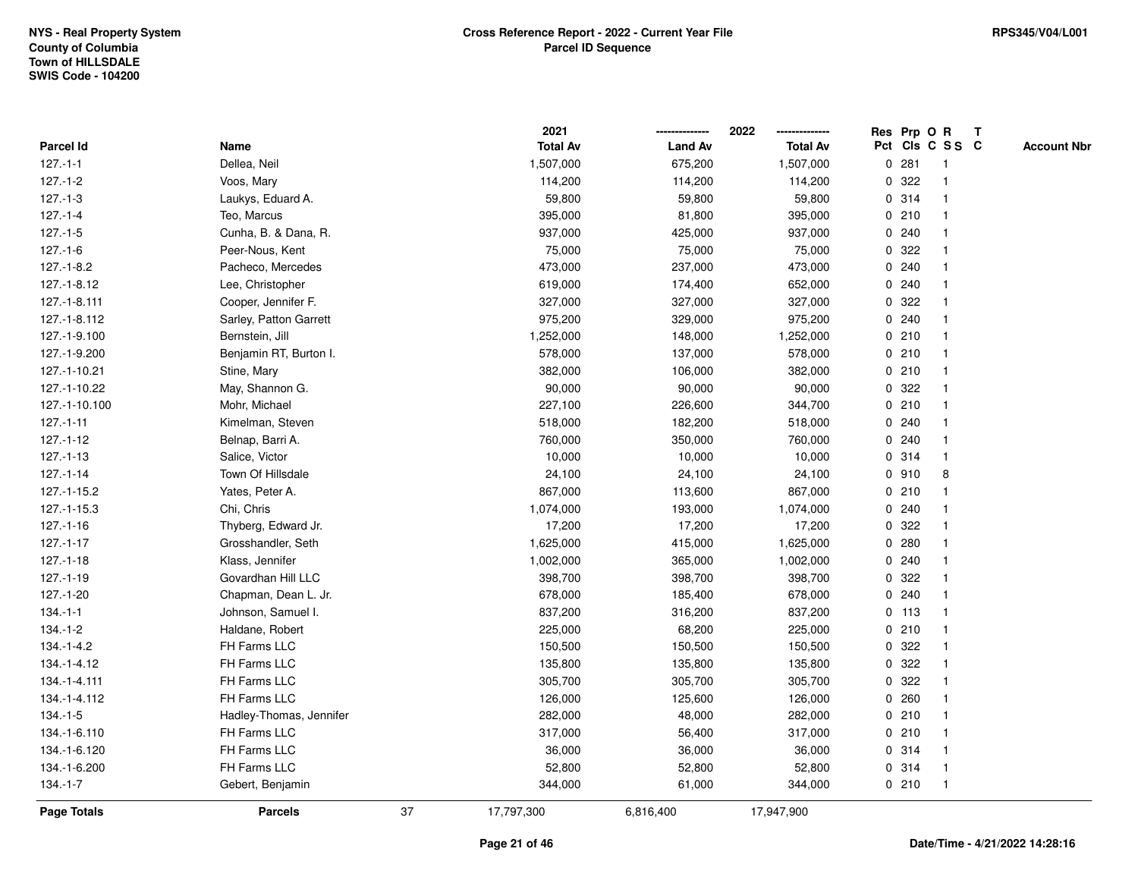|                |                         |    | 2021            |                | 2022            |   | Res Prp O R |                 | T |                    |
|----------------|-------------------------|----|-----------------|----------------|-----------------|---|-------------|-----------------|---|--------------------|
| Parcel Id      | Name                    |    | <b>Total Av</b> | <b>Land Av</b> | <b>Total Av</b> |   |             | Pct Cls C S S C |   | <b>Account Nbr</b> |
| $127 - 1 - 1$  | Dellea, Neil            |    | 1,507,000       | 675,200        | 1,507,000       | 0 | 281         | $\overline{1}$  |   |                    |
| $127 - 1 - 2$  | Voos, Mary              |    | 114,200         | 114,200        | 114,200         | 0 | 322         | $\overline{1}$  |   |                    |
| $127 - 1 - 3$  | Laukys, Eduard A.       |    | 59,800          | 59,800         | 59,800          |   | 0.314       | 1               |   |                    |
| $127 - 1 - 4$  | Teo, Marcus             |    | 395,000         | 81,800         | 395,000         |   | 0210        |                 |   |                    |
| $127 - 1 - 5$  | Cunha, B. & Dana, R.    |    | 937,000         | 425,000        | 937,000         |   | 0.240       |                 |   |                    |
| $127.-1-6$     | Peer-Nous, Kent         |    | 75,000          | 75,000         | 75,000          |   | 0.322       |                 |   |                    |
| $127.-1-8.2$   | Pacheco, Mercedes       |    | 473,000         | 237,000        | 473,000         |   | 0.240       |                 |   |                    |
| 127.-1-8.12    | Lee, Christopher        |    | 619,000         | 174,400        | 652,000         | 0 | 240         |                 |   |                    |
| 127.-1-8.111   | Cooper, Jennifer F.     |    | 327,000         | 327,000        | 327,000         | 0 | 322         |                 |   |                    |
| 127.-1-8.112   | Sarley, Patton Garrett  |    | 975,200         | 329,000        | 975,200         |   | 0.240       | -1              |   |                    |
| 127.-1-9.100   | Bernstein, Jill         |    | 1,252,000       | 148,000        | 1,252,000       |   | 0210        |                 |   |                    |
| 127.-1-9.200   | Benjamin RT, Burton I.  |    | 578,000         | 137,000        | 578,000         |   | 0210        |                 |   |                    |
| 127.-1-10.21   | Stine, Mary             |    | 382,000         | 106,000        | 382,000         |   | 0210        |                 |   |                    |
| 127.-1-10.22   | May, Shannon G.         |    | 90,000          | 90,000         | 90,000          |   | 0 322       |                 |   |                    |
| 127.-1-10.100  | Mohr, Michael           |    | 227,100         | 226,600        | 344,700         |   | 0210        | -1              |   |                    |
| $127 - 1 - 11$ | Kimelman, Steven        |    | 518,000         | 182,200        | 518,000         | 0 | 240         |                 |   |                    |
| $127 - 1 - 12$ | Belnap, Barri A.        |    | 760,000         | 350,000        | 760,000         |   | 0.240       |                 |   |                    |
| $127.-1-13$    | Salice, Victor          |    | 10,000          | 10,000         | 10,000          |   | 0.314       |                 |   |                    |
| $127.-1-14$    | Town Of Hillsdale       |    | 24,100          | 24,100         | 24,100          |   | 0.910       | 8               |   |                    |
| 127.-1-15.2    | Yates, Peter A.         |    | 867,000         | 113,600        | 867,000         |   | 0210        |                 |   |                    |
| 127.-1-15.3    | Chi, Chris              |    | 1,074,000       | 193,000        | 1,074,000       |   | 0.240       |                 |   |                    |
| $127.-1-16$    | Thyberg, Edward Jr.     |    | 17,200          | 17,200         | 17,200          |   | 0.322       |                 |   |                    |
| $127 - 1 - 17$ | Grosshandler, Seth      |    | 1,625,000       | 415,000        | 1,625,000       | 0 | 280         |                 |   |                    |
| $127.-1-18$    | Klass, Jennifer         |    | 1,002,000       | 365,000        | 1,002,000       |   | 0.240       |                 |   |                    |
| $127.-1-19$    | Govardhan Hill LLC      |    | 398,700         | 398,700        | 398,700         |   | 0.322       |                 |   |                    |
| $127.-1-20$    | Chapman, Dean L. Jr.    |    | 678,000         | 185,400        | 678,000         |   | 0.240       |                 |   |                    |
| $134 - 1 - 1$  | Johnson, Samuel I.      |    | 837,200         | 316,200        | 837,200         |   | $0$ 113     |                 |   |                    |
| $134.-1-2$     | Haldane, Robert         |    | 225,000         | 68,200         | 225,000         |   | 0210        |                 |   |                    |
| $134.-1-4.2$   | FH Farms LLC            |    | 150,500         | 150,500        | 150,500         |   | 0.322       |                 |   |                    |
| 134.-1-4.12    | FH Farms LLC            |    | 135,800         | 135,800        | 135,800         | 0 | 322         | -1              |   |                    |
| 134.-1-4.111   | FH Farms LLC            |    | 305,700         | 305,700        | 305,700         | 0 | 322         |                 |   |                    |
| 134.-1-4.112   | FH Farms LLC            |    | 126,000         | 125,600        | 126,000         |   | 0.260       |                 |   |                    |
| $134.-1-5$     | Hadley-Thomas, Jennifer |    | 282,000         | 48,000         | 282,000         |   | 0210        |                 |   |                    |
| 134.-1-6.110   | FH Farms LLC            |    | 317,000         | 56,400         | 317,000         |   | 0210        |                 |   |                    |
| 134.-1-6.120   | FH Farms LLC            |    | 36,000          | 36,000         | 36,000          |   | 0.314       | -1              |   |                    |
| 134.-1-6.200   | FH Farms LLC            |    | 52,800          | 52,800         | 52,800          |   | 0.314       | -1              |   |                    |
| $134.-1-7$     | Gebert, Benjamin        |    | 344,000         | 61,000         | 344,000         |   | 0210        | $\overline{1}$  |   |                    |
| Page Totals    | <b>Parcels</b>          | 37 | 17,797,300      | 6,816,400      | 17,947,900      |   |             |                 |   |                    |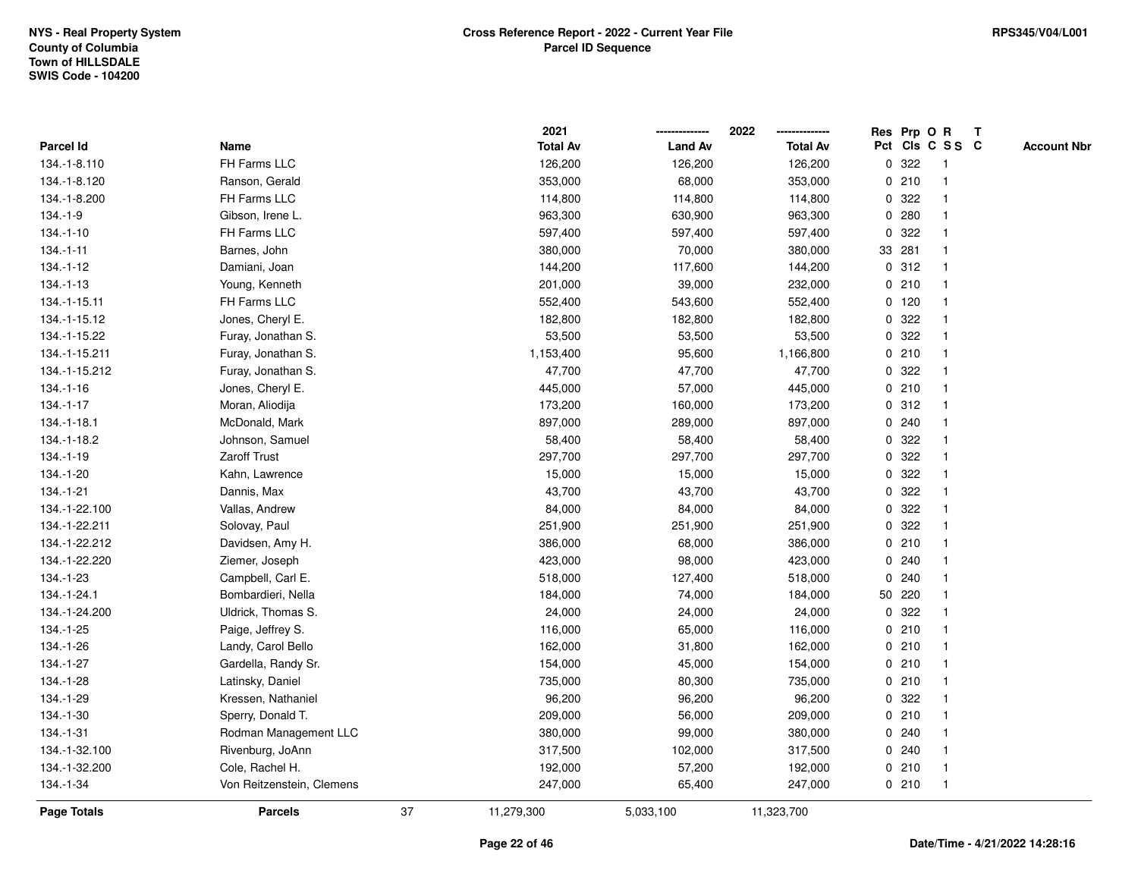|                  |                           |    | 2021            |                | 2022<br>        |              | Res Prp O R |                 | T |                    |
|------------------|---------------------------|----|-----------------|----------------|-----------------|--------------|-------------|-----------------|---|--------------------|
| <b>Parcel Id</b> | Name                      |    | <b>Total Av</b> | <b>Land Av</b> | <b>Total Av</b> |              |             | Pct Cls C S S C |   | <b>Account Nbr</b> |
| 134.-1-8.110     | FH Farms LLC              |    | 126,200         | 126,200        | 126,200         | $\mathbf 0$  | 322         | $\mathbf{1}$    |   |                    |
| 134.-1-8.120     | Ranson, Gerald            |    | 353,000         | 68,000         | 353,000         |              | 0210        |                 |   |                    |
| 134.-1-8.200     | FH Farms LLC              |    | 114,800         | 114,800        | 114,800         | 0            | 322         |                 |   |                    |
| $134.-1-9$       | Gibson, Irene L.          |    | 963,300         | 630,900        | 963,300         | $\mathbf 0$  | 280         | $\mathbf{1}$    |   |                    |
| $134.-1-10$      | FH Farms LLC              |    | 597,400         | 597,400        | 597,400         | 0            | 322         | $\overline{1}$  |   |                    |
| $134 - 1 - 11$   | Barnes, John              |    | 380,000         | 70,000         | 380,000         |              | 33 281      | $\mathbf{1}$    |   |                    |
| 134.-1-12        | Damiani, Joan             |    | 144,200         | 117,600        | 144,200         |              | 0.312       | $\mathbf 1$     |   |                    |
| $134.-1-13$      | Young, Kenneth            |    | 201,000         | 39,000         | 232,000         |              | 0210        |                 |   |                    |
| 134.-1-15.11     | FH Farms LLC              |    | 552,400         | 543,600        | 552,400         |              | $0$ 120     |                 |   |                    |
| 134.-1-15.12     | Jones, Cheryl E.          |    | 182,800         | 182,800        | 182,800         | 0            | 322         | $\mathbf{1}$    |   |                    |
| 134.-1-15.22     | Furay, Jonathan S.        |    | 53,500          | 53,500         | 53,500          | 0            | 322         | $\mathbf{1}$    |   |                    |
| 134.-1-15.211    | Furay, Jonathan S.        |    | 1,153,400       | 95,600         | 1,166,800       | 0            | 210         | $\overline{1}$  |   |                    |
| 134.-1-15.212    | Furay, Jonathan S.        |    | 47,700          | 47,700         | 47,700          |              | 0 322       | $\overline{1}$  |   |                    |
| 134.-1-16        | Jones, Cheryl E.          |    | 445,000         | 57,000         | 445,000         |              | 0210        | 1               |   |                    |
| $134.-1-17$      | Moran, Aliodija           |    | 173,200         | 160,000        | 173,200         |              | 0.312       |                 |   |                    |
| 134.-1-18.1      | McDonald, Mark            |    | 897,000         | 289,000        | 897,000         | 0            | 240         |                 |   |                    |
| 134.-1-18.2      | Johnson, Samuel           |    | 58,400          | 58,400         | 58,400          | 0            | 322         | $\mathbf{1}$    |   |                    |
| 134.-1-19        | <b>Zaroff Trust</b>       |    | 297,700         | 297,700        | 297,700         | 0            | 322         | -1              |   |                    |
| 134.-1-20        | Kahn, Lawrence            |    | 15,000          | 15,000         | 15,000          | 0            | 322         | $\overline{1}$  |   |                    |
| $134.-1-21$      | Dannis, Max               |    | 43,700          | 43,700         | 43,700          |              | 0.322       |                 |   |                    |
| 134.-1-22.100    | Vallas, Andrew            |    | 84,000          | 84,000         | 84,000          |              | 0 322       |                 |   |                    |
| 134.-1-22.211    | Solovay, Paul             |    | 251,900         | 251,900        | 251,900         | $\mathbf{0}$ | 322         |                 |   |                    |
| 134.-1-22.212    | Davidsen, Amy H.          |    | 386,000         | 68,000         | 386,000         |              | 0210        | -1              |   |                    |
| 134.-1-22.220    | Ziemer, Joseph            |    | 423,000         | 98,000         | 423,000         | 0            | 240         | -1              |   |                    |
| 134.-1-23        | Campbell, Carl E.         |    | 518,000         | 127,400        | 518,000         | $\mathbf 0$  | 240         | -1              |   |                    |
| 134.-1-24.1      | Bombardieri, Nella        |    | 184,000         | 74,000         | 184,000         |              | 50 220      | $\overline{1}$  |   |                    |
| 134.-1-24.200    | Uldrick, Thomas S.        |    | 24,000          | 24,000         | 24,000          |              | 0.322       |                 |   |                    |
| 134.-1-25        | Paige, Jeffrey S.         |    | 116,000         | 65,000         | 116,000         |              | 0210        |                 |   |                    |
| 134.-1-26        | Landy, Carol Bello        |    | 162,000         | 31,800         | 162,000         |              | 0210        | $\mathbf{1}$    |   |                    |
| 134.-1-27        | Gardella, Randy Sr.       |    | 154,000         | 45,000         | 154,000         | 0            | 210         | $\overline{1}$  |   |                    |
| 134.-1-28        | Latinsky, Daniel          |    | 735,000         | 80,300         | 735,000         | 0            | 210         | $\overline{1}$  |   |                    |
| 134.-1-29        | Kressen, Nathaniel        |    | 96,200          | 96,200         | 96,200          | 0            | 322         | $\overline{1}$  |   |                    |
| 134.-1-30        | Sperry, Donald T.         |    | 209,000         | 56,000         | 209,000         |              | 0210        | $\mathbf 1$     |   |                    |
| 134.-1-31        | Rodman Management LLC     |    | 380,000         | 99,000         | 380,000         |              | 0.240       |                 |   |                    |
| 134.-1-32.100    | Rivenburg, JoAnn          |    | 317,500         | 102,000        | 317,500         |              | 0.240       | 1               |   |                    |
| 134.-1-32.200    | Cole, Rachel H.           |    | 192,000         | 57,200         | 192,000         |              | 0210        | $\overline{1}$  |   |                    |
| 134.-1-34        | Von Reitzenstein, Clemens |    | 247,000         | 65,400         | 247,000         |              | 0210        | $\mathbf{1}$    |   |                    |
| Page Totals      | <b>Parcels</b>            | 37 | 11,279,300      | 5,033,100      | 11,323,700      |              |             |                 |   |                    |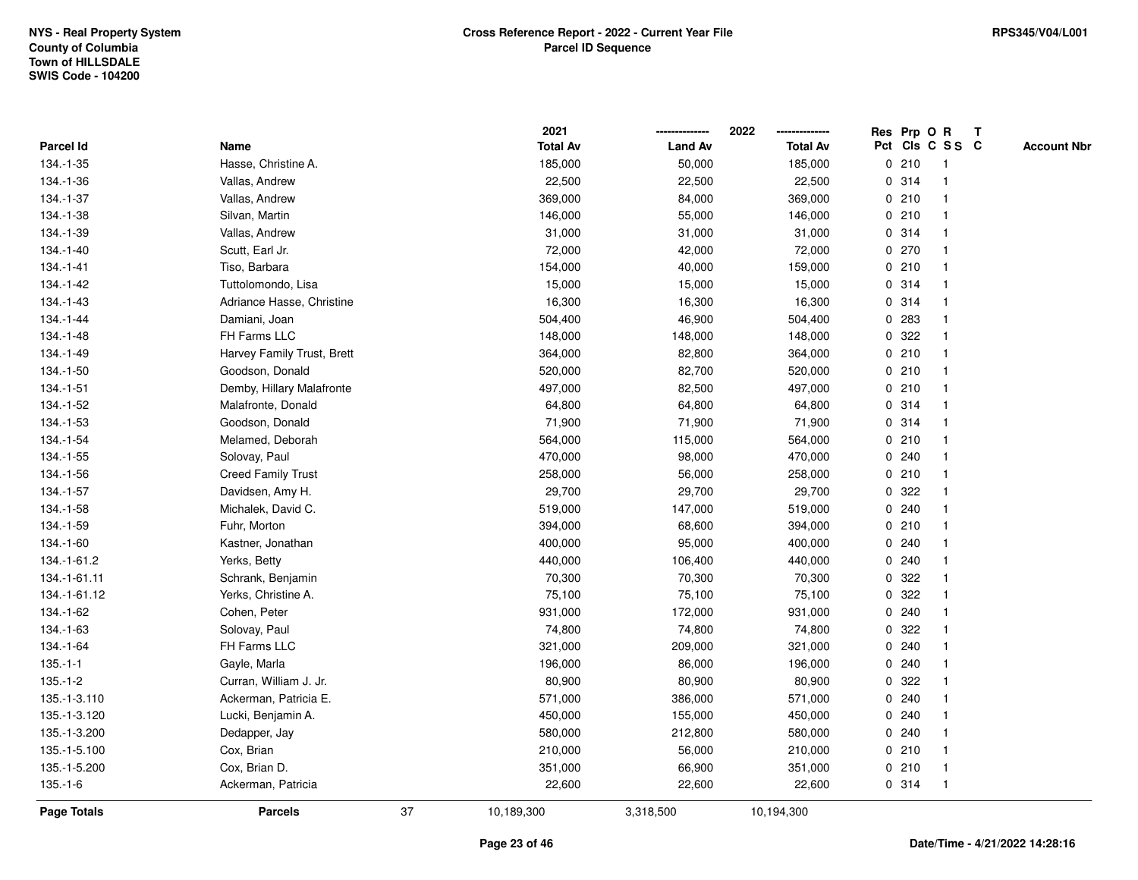|                    |                            |    | 2021            |                | 2022            |             |       | Res Prp O R             | $\mathsf{T}$ |                    |
|--------------------|----------------------------|----|-----------------|----------------|-----------------|-------------|-------|-------------------------|--------------|--------------------|
| Parcel Id          | Name                       |    | <b>Total Av</b> | <b>Land Av</b> | <b>Total Av</b> |             |       | Pct Cls C S S C         |              | <b>Account Nbr</b> |
| 134.-1-35          | Hasse, Christine A.        |    | 185,000         | 50,000         | 185,000         |             | 0210  |                         |              |                    |
| 134.-1-36          | Vallas, Andrew             |    | 22,500          | 22,500         | 22,500          |             | 0.314 |                         |              |                    |
| 134.-1-37          | Vallas, Andrew             |    | 369,000         | 84,000         | 369,000         |             | 0210  |                         |              |                    |
| 134.-1-38          | Silvan, Martin             |    | 146,000         | 55,000         | 146,000         | $\mathbf 0$ | 210   | -1                      |              |                    |
| 134.-1-39          | Vallas, Andrew             |    | 31,000          | 31,000         | 31,000          |             | 0.314 | -1                      |              |                    |
| 134.-1-40          | Scutt, Earl Jr.            |    | 72,000          | 42,000         | 72,000          |             | 0270  |                         |              |                    |
| 134.-1-41          | Tiso, Barbara              |    | 154,000         | 40,000         | 159,000         |             | 0210  |                         |              |                    |
| 134.-1-42          | Tuttolomondo, Lisa         |    | 15,000          | 15,000         | 15,000          |             | 0.314 |                         |              |                    |
| 134.-1-43          | Adriance Hasse, Christine  |    | 16,300          | 16,300         | 16,300          |             | 0.314 |                         |              |                    |
| 134.-1-44          | Damiani, Joan              |    | 504,400         | 46,900         | 504,400         | 0           | 283   |                         |              |                    |
| 134.-1-48          | FH Farms LLC               |    | 148,000         | 148,000        | 148,000         | 0           | 322   | -1                      |              |                    |
| 134.-1-49          | Harvey Family Trust, Brett |    | 364,000         | 82,800         | 364,000         |             | 0210  | $\mathbf 1$             |              |                    |
| 134.-1-50          | Goodson, Donald            |    | 520,000         | 82,700         | 520,000         |             | 0210  |                         |              |                    |
| 134.-1-51          | Demby, Hillary Malafronte  |    | 497,000         | 82,500         | 497,000         |             | 0210  |                         |              |                    |
| 134.-1-52          | Malafronte, Donald         |    | 64,800          | 64,800         | 64,800          |             | 0.314 |                         |              |                    |
| 134.-1-53          | Goodson, Donald            |    | 71,900          | 71,900         | 71,900          |             | 0.314 |                         |              |                    |
| 134.-1-54          | Melamed, Deborah           |    | 564,000         | 115,000        | 564,000         | $\mathbf 0$ | 210   |                         |              |                    |
| 134.-1-55          | Solovay, Paul              |    | 470,000         | 98,000         | 470,000         | 0           | 240   |                         |              |                    |
| 134.-1-56          | <b>Creed Family Trust</b>  |    | 258,000         | 56,000         | 258,000         |             | 0210  | -1                      |              |                    |
| 134.-1-57          | Davidsen, Amy H.           |    | 29,700          | 29,700         | 29,700          |             | 0 322 |                         |              |                    |
| 134.-1-58          | Michalek, David C.         |    | 519,000         | 147,000        | 519,000         |             | 0.240 |                         |              |                    |
| 134.-1-59          | Fuhr, Morton               |    | 394,000         | 68,600         | 394,000         |             | 0210  |                         |              |                    |
| 134.-1-60          | Kastner, Jonathan          |    | 400,000         | 95,000         | 400,000         |             | 0.240 |                         |              |                    |
| 134.-1-61.2        | Yerks, Betty               |    | 440,000         | 106,400        | 440,000         | $\mathbf 0$ | 240   | $\overline{\mathbf{1}}$ |              |                    |
| 134.-1-61.11       | Schrank, Benjamin          |    | 70,300          | 70,300         | 70,300          | 0           | 322   |                         |              |                    |
| 134.-1-61.12       | Yerks, Christine A.        |    | 75,100          | 75,100         | 75,100          |             | 0.322 |                         |              |                    |
| 134.-1-62          | Cohen, Peter               |    | 931,000         | 172,000        | 931,000         |             | 0.240 |                         |              |                    |
| 134.-1-63          | Solovay, Paul              |    | 74,800          | 74,800         | 74,800          | 0           | 322   |                         |              |                    |
| 134.-1-64          | FH Farms LLC               |    | 321,000         | 209,000        | 321,000         | $\mathbf 0$ | 240   |                         |              |                    |
| $135.-1-1$         | Gayle, Marla               |    | 196,000         | 86,000         | 196,000         | 0           | 240   |                         |              |                    |
| $135.-1-2$         | Curran, William J. Jr.     |    | 80,900          | 80,900         | 80,900          | 0           | 322   |                         |              |                    |
| 135.-1-3.110       | Ackerman, Patricia E.      |    | 571,000         | 386,000        | 571,000         |             | 0.240 |                         |              |                    |
| 135.-1-3.120       | Lucki, Benjamin A.         |    | 450,000         | 155,000        | 450,000         |             | 0.240 |                         |              |                    |
| 135.-1-3.200       | Dedapper, Jay              |    | 580,000         | 212,800        | 580,000         |             | 0.240 |                         |              |                    |
| 135.-1-5.100       | Cox, Brian                 |    | 210,000         | 56,000         | 210,000         |             | 0210  |                         |              |                    |
| 135.-1-5.200       | Cox, Brian D.              |    | 351,000         | 66,900         | 351,000         |             | 0210  | $\mathbf 1$             |              |                    |
| $135.-1-6$         | Ackerman, Patricia         |    | 22,600          | 22,600         | 22,600          |             | 0 314 | -1                      |              |                    |
| <b>Page Totals</b> | <b>Parcels</b>             | 37 | 10,189,300      | 3,318,500      | 10,194,300      |             |       |                         |              |                    |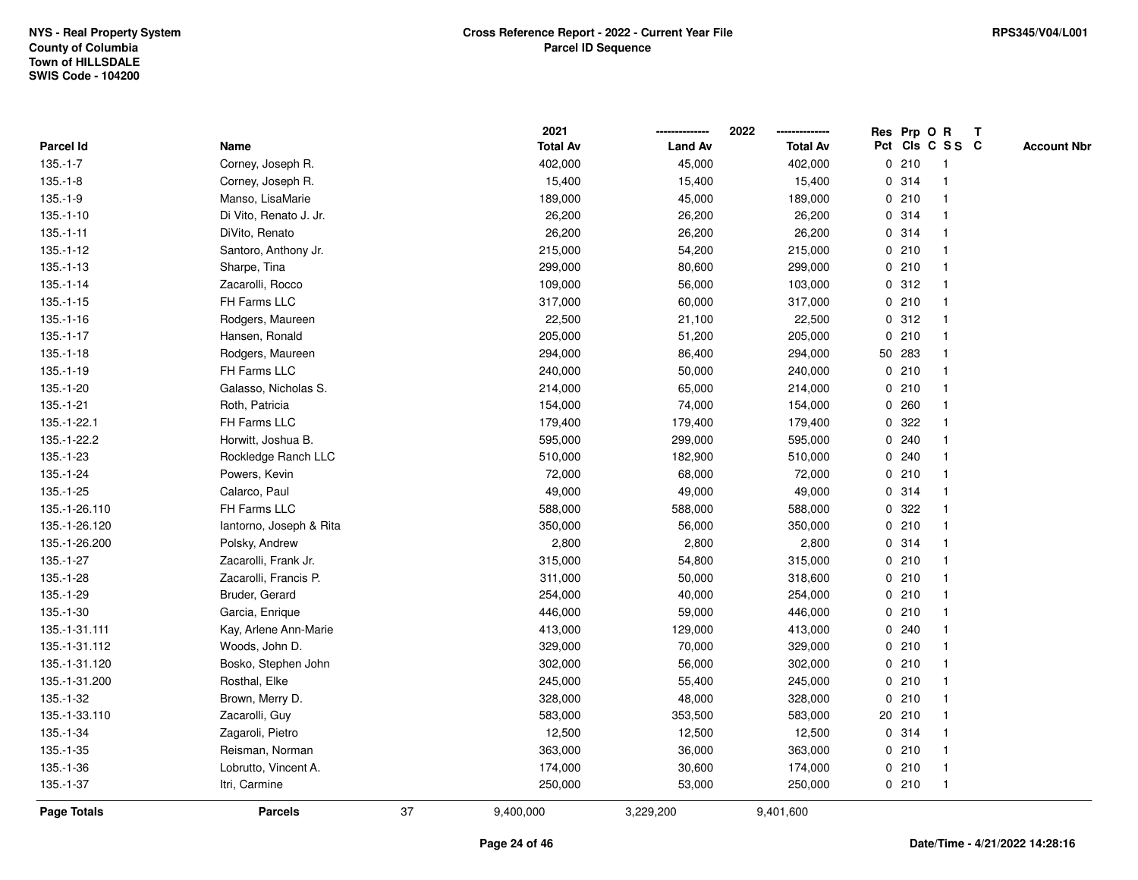|                  |                         |    | 2021            |                | 2022            |              |        | Res Prp O R     | $\mathbf{T}$       |
|------------------|-------------------------|----|-----------------|----------------|-----------------|--------------|--------|-----------------|--------------------|
| <b>Parcel Id</b> | Name                    |    | <b>Total Av</b> | <b>Land Av</b> | <b>Total Av</b> |              |        | Pct Cls C S S C | <b>Account Nbr</b> |
| $135.-1-7$       | Corney, Joseph R.       |    | 402,000         | 45,000         | 402,000         |              | 0210   |                 |                    |
| $135.-1-8$       | Corney, Joseph R.       |    | 15,400          | 15,400         | 15,400          |              | 0 314  |                 |                    |
| $135.-1-9$       | Manso, LisaMarie        |    | 189,000         | 45,000         | 189,000         |              | 0210   |                 |                    |
| $135.-1-10$      | Di Vito, Renato J. Jr.  |    | 26,200          | 26,200         | 26,200          | 0            | 314    |                 |                    |
| $135.-1-11$      | DiVito, Renato          |    | 26,200          | 26,200         | 26,200          |              | 0 314  |                 |                    |
| $135.-1-12$      | Santoro, Anthony Jr.    |    | 215,000         | 54,200         | 215,000         |              | 0210   |                 |                    |
| $135.-1-13$      | Sharpe, Tina            |    | 299,000         | 80,600         | 299,000         |              | 0210   |                 |                    |
| $135.-1-14$      | Zacarolli, Rocco        |    | 109,000         | 56,000         | 103,000         |              | 0.312  |                 |                    |
| $135.-1-15$      | FH Farms LLC            |    | 317,000         | 60,000         | 317,000         |              | 0210   |                 |                    |
| $135.-1-16$      | Rodgers, Maureen        |    | 22,500          | 21,100         | 22,500          | 0            | 312    |                 |                    |
| $135.-1-17$      | Hansen, Ronald          |    | 205,000         | 51,200         | 205,000         | 0            | 210    |                 |                    |
| $135.-1-18$      | Rodgers, Maureen        |    | 294,000         | 86,400         | 294,000         |              | 50 283 | $\mathbf 1$     |                    |
| $135.-1-19$      | FH Farms LLC            |    | 240,000         | 50,000         | 240,000         |              | 0210   |                 |                    |
| 135.-1-20        | Galasso, Nicholas S.    |    | 214,000         | 65,000         | 214,000         |              | 0210   |                 |                    |
| 135.-1-21        | Roth, Patricia          |    | 154,000         | 74,000         | 154,000         | 0            | 260    |                 |                    |
| 135.-1-22.1      | FH Farms LLC            |    | 179,400         | 179,400        | 179,400         |              | 0 322  |                 |                    |
| 135.-1-22.2      | Horwitt, Joshua B.      |    | 595,000         | 299,000        | 595,000         | 0            | 240    |                 |                    |
| 135.-1-23        | Rockledge Ranch LLC     |    | 510,000         | 182,900        | 510,000         | 0            | 240    |                 |                    |
| 135.-1-24        | Powers, Kevin           |    | 72,000          | 68,000         | 72,000          |              | 0210   |                 |                    |
| $135.-1-25$      | Calarco, Paul           |    | 49,000          | 49,000         | 49,000          |              | 0 314  |                 |                    |
| 135.-1-26.110    | FH Farms LLC            |    | 588,000         | 588,000        | 588,000         |              | 0 322  |                 |                    |
| 135.-1-26.120    | lantorno, Joseph & Rita |    | 350,000         | 56,000         | 350,000         |              | 0210   |                 |                    |
| 135.-1-26.200    | Polsky, Andrew          |    | 2,800           | 2,800          | 2,800           |              | 0.314  |                 |                    |
| 135.-1-27        | Zacarolli, Frank Jr.    |    | 315,000         | 54,800         | 315,000         | $\mathbf{0}$ | 210    |                 |                    |
| 135.-1-28        | Zacarolli, Francis P.   |    | 311,000         | 50,000         | 318,600         |              | 0210   |                 |                    |
| 135.-1-29        | Bruder, Gerard          |    | 254,000         | 40,000         | 254,000         |              | 0210   |                 |                    |
| 135.-1-30        | Garcia, Enrique         |    | 446,000         | 59,000         | 446,000         |              | 0210   |                 |                    |
| 135.-1-31.111    | Kay, Arlene Ann-Marie   |    | 413,000         | 129,000        | 413,000         |              | 0.240  |                 |                    |
| 135.-1-31.112    | Woods, John D.          |    | 329,000         | 70,000         | 329,000         |              | 0210   |                 |                    |
| 135.-1-31.120    | Bosko, Stephen John     |    | 302,000         | 56,000         | 302,000         |              | 0210   |                 |                    |
| 135.-1-31.200    | Rosthal, Elke           |    | 245,000         | 55,400         | 245,000         | 0            | 210    |                 |                    |
| 135.-1-32        | Brown, Merry D.         |    | 328,000         | 48,000         | 328,000         |              | 0210   |                 |                    |
| 135.-1-33.110    | Zacarolli, Guy          |    | 583,000         | 353,500        | 583,000         |              | 20 210 |                 |                    |
| 135.-1-34        | Zagaroli, Pietro        |    | 12,500          | 12,500         | 12,500          |              | 0.314  |                 |                    |
| 135.-1-35        | Reisman, Norman         |    | 363,000         | 36,000         | 363,000         |              | 0210   |                 |                    |
| 135.-1-36        | Lobrutto, Vincent A.    |    | 174,000         | 30,600         | 174,000         |              | 0210   | -1              |                    |
| 135.-1-37        | Itri, Carmine           |    | 250,000         | 53,000         | 250,000         |              | 0210   | -1              |                    |
| Page Totals      | <b>Parcels</b>          | 37 | 9,400,000       | 3,229,200      | 9,401,600       |              |        |                 |                    |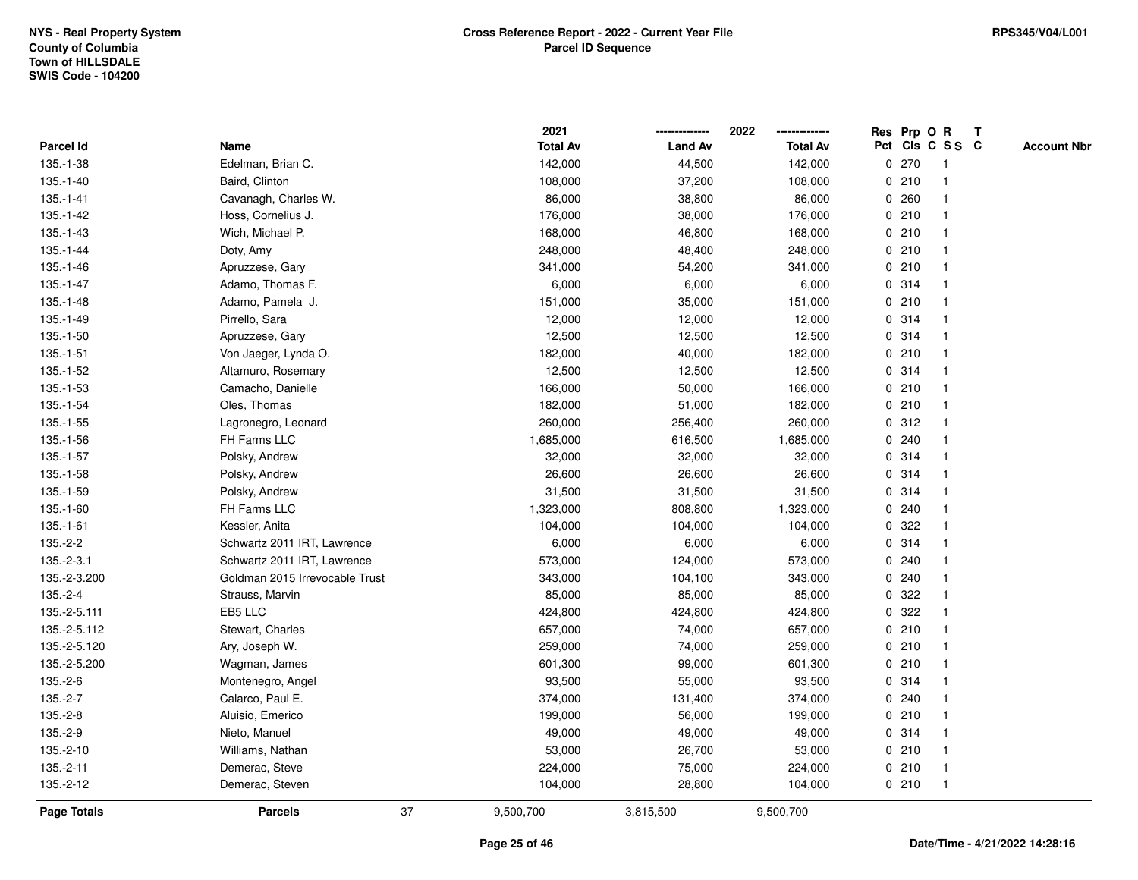|                  |                                |    | 2021            |                | 2022            |              |       | Res Prp O R     | $\mathbf{T}$ |                    |
|------------------|--------------------------------|----|-----------------|----------------|-----------------|--------------|-------|-----------------|--------------|--------------------|
| <b>Parcel Id</b> | Name                           |    | <b>Total Av</b> | <b>Land Av</b> | <b>Total Av</b> |              |       | Pct Cls C S S C |              | <b>Account Nbr</b> |
| 135.-1-38        | Edelman, Brian C.              |    | 142,000         | 44,500         | 142,000         |              | 0270  |                 |              |                    |
| 135.-1-40        | Baird, Clinton                 |    | 108,000         | 37,200         | 108,000         |              | 0210  |                 |              |                    |
| $135.-1-41$      | Cavanagh, Charles W.           |    | 86,000          | 38,800         | 86,000          |              | 0.260 |                 |              |                    |
| 135.-1-42        | Hoss, Cornelius J.             |    | 176,000         | 38,000         | 176,000         | 0            | 210   | $\mathbf 1$     |              |                    |
| 135.-1-43        | Wich, Michael P.               |    | 168,000         | 46,800         | 168,000         |              | 0210  |                 |              |                    |
| 135.-1-44        | Doty, Amy                      |    | 248,000         | 48,400         | 248,000         |              | 0210  |                 |              |                    |
| 135.-1-46        | Apruzzese, Gary                |    | 341,000         | 54,200         | 341,000         |              | 0210  |                 |              |                    |
| $135.-1-47$      | Adamo, Thomas F.               |    | 6,000           | 6,000          | 6,000           |              | 0 314 |                 |              |                    |
| 135.-1-48        | Adamo, Pamela J.               |    | 151,000         | 35,000         | 151,000         |              | 0210  |                 |              |                    |
| 135.-1-49        | Pirrello, Sara                 |    | 12,000          | 12,000         | 12,000          | 0            | 314   |                 |              |                    |
| $135.-1-50$      | Apruzzese, Gary                |    | 12,500          | 12,500         | 12,500          |              | 0.314 | -1              |              |                    |
| $135.-1-51$      | Von Jaeger, Lynda O.           |    | 182,000         | 40,000         | 182,000         |              | 0210  |                 |              |                    |
| 135.-1-52        | Altamuro, Rosemary             |    | 12,500          | 12,500         | 12,500          |              | 0 314 |                 |              |                    |
| $135.-1-53$      | Camacho, Danielle              |    | 166,000         | 50,000         | 166,000         |              | 0210  |                 |              |                    |
| 135.-1-54        | Oles, Thomas                   |    | 182,000         | 51,000         | 182,000         |              | 0210  |                 |              |                    |
| $135.-1-55$      | Lagronegro, Leonard            |    | 260,000         | 256,400        | 260,000         |              | 0.312 |                 |              |                    |
| 135.-1-56        | FH Farms LLC                   |    | 1,685,000       | 616,500        | 1,685,000       | 0            | 240   |                 |              |                    |
| 135.-1-57        | Polsky, Andrew                 |    | 32,000          | 32,000         | 32,000          |              | 0.314 | -1              |              |                    |
| 135.-1-58        | Polsky, Andrew                 |    | 26,600          | 26,600         | 26,600          |              | 0.314 |                 |              |                    |
| 135.-1-59        | Polsky, Andrew                 |    | 31,500          | 31,500         | 31,500          |              | 0 314 |                 |              |                    |
| 135.-1-60        | FH Farms LLC                   |    | 1,323,000       | 808,800        | 1,323,000       |              | 0.240 |                 |              |                    |
| $135.-1-61$      | Kessler, Anita                 |    | 104,000         | 104,000        | 104,000         |              | 0 322 |                 |              |                    |
| $135.-2-2$       | Schwartz 2011 IRT, Lawrence    |    | 6,000           | 6,000          | 6,000           |              | 0.314 |                 |              |                    |
| $135.-2-3.1$     | Schwartz 2011 IRT, Lawrence    |    | 573,000         | 124,000        | 573,000         | $\mathbf{0}$ | 240   |                 |              |                    |
| 135.-2-3.200     | Goldman 2015 Irrevocable Trust |    | 343,000         | 104,100        | 343,000         | 0            | 240   |                 |              |                    |
| $135.-2-4$       | Strauss, Marvin                |    | 85,000          | 85,000         | 85,000          |              | 0.322 |                 |              |                    |
| 135.-2-5.111     | EB5 LLC                        |    | 424,800         | 424,800        | 424,800         |              | 0.322 |                 |              |                    |
| 135.-2-5.112     | Stewart, Charles               |    | 657,000         | 74,000         | 657,000         |              | 0210  |                 |              |                    |
| 135.-2-5.120     | Ary, Joseph W.                 |    | 259,000         | 74,000         | 259,000         |              | 0210  |                 |              |                    |
| 135.-2-5.200     | Wagman, James                  |    | 601,300         | 99,000         | 601,300         |              | 0210  |                 |              |                    |
| 135.-2-6         | Montenegro, Angel              |    | 93,500          | 55,000         | 93,500          |              | 0.314 | -1              |              |                    |
| $135.-2-7$       | Calarco, Paul E.               |    | 374,000         | 131,400        | 374,000         |              | 0.240 |                 |              |                    |
| $135.-2-8$       | Aluisio, Emerico               |    | 199,000         | 56,000         | 199,000         |              | 0210  |                 |              |                    |
| 135.-2-9         | Nieto, Manuel                  |    | 49,000          | 49,000         | 49,000          |              | 0 314 |                 |              |                    |
| 135.-2-10        | Williams, Nathan               |    | 53,000          | 26,700         | 53,000          |              | 0210  |                 |              |                    |
| $135.-2-11$      | Demerac, Steve                 |    | 224,000         | 75,000         | 224,000         |              | 0210  | $\mathbf 1$     |              |                    |
| 135.-2-12        | Demerac, Steven                |    | 104,000         | 28,800         | 104,000         |              | 0210  | $\mathbf 1$     |              |                    |
| Page Totals      | <b>Parcels</b>                 | 37 | 9,500,700       | 3,815,500      | 9,500,700       |              |       |                 |              |                    |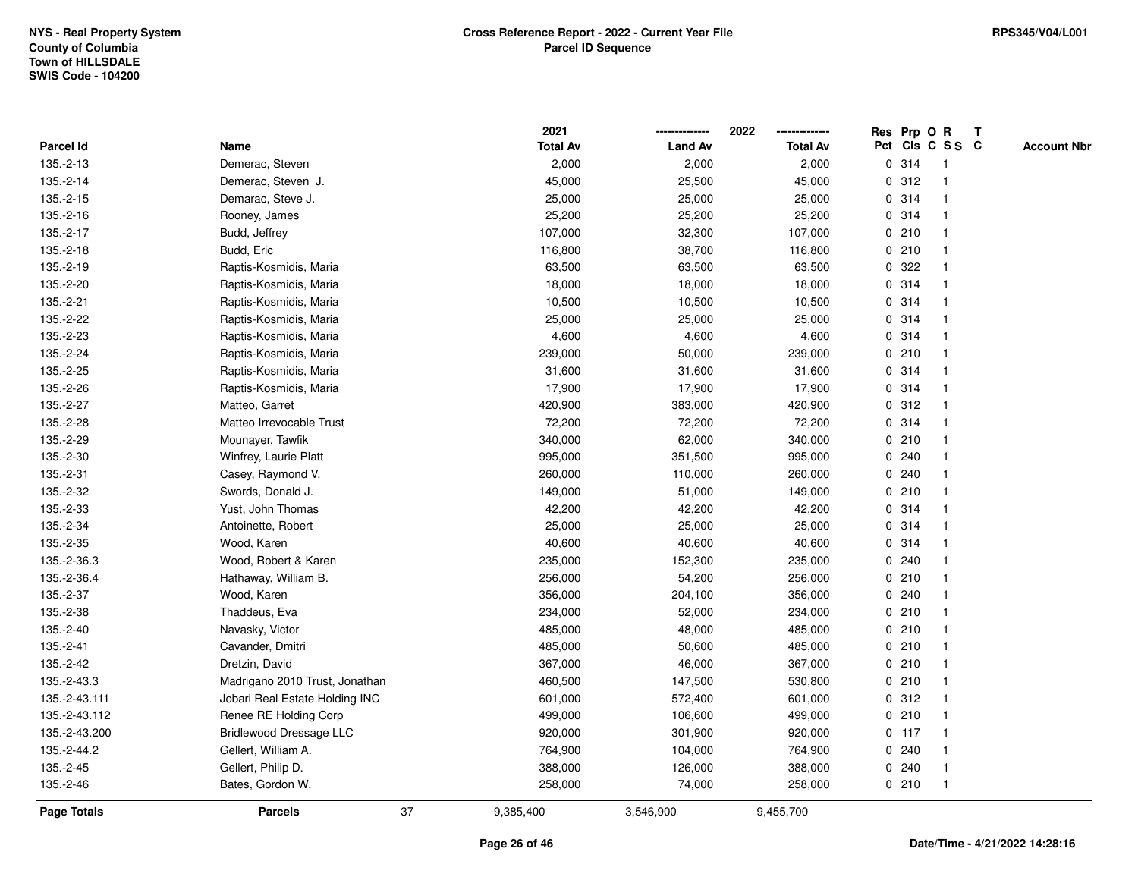|               |                                |    | 2021            |                | 2022            |             |         | Res Prp O R     | $\mathbf{T}$ |                    |
|---------------|--------------------------------|----|-----------------|----------------|-----------------|-------------|---------|-----------------|--------------|--------------------|
| Parcel Id     | Name                           |    | <b>Total Av</b> | <b>Land Av</b> | <b>Total Av</b> |             |         | Pct Cls C S S C |              | <b>Account Nbr</b> |
| 135.-2-13     | Demerac, Steven                |    | 2,000           | 2,000          | 2,000           | 0           | 314     | $\mathbf{1}$    |              |                    |
| 135.-2-14     | Demerac, Steven J.             |    | 45,000          | 25,500         | 45,000          | 0           | 312     |                 |              |                    |
| 135.-2-15     | Demarac, Steve J.              |    | 25,000          | 25,000         | 25,000          |             | 0.314   |                 |              |                    |
| 135.-2-16     | Rooney, James                  |    | 25,200          | 25,200         | 25,200          |             | 0 314   |                 |              |                    |
| 135.-2-17     | Budd, Jeffrey                  |    | 107,000         | 32,300         | 107,000         |             | 0210    |                 |              |                    |
| 135.-2-18     | Budd, Eric                     |    | 116,800         | 38,700         | 116,800         |             | 0210    |                 |              |                    |
| 135.-2-19     | Raptis-Kosmidis, Maria         |    | 63,500          | 63,500         | 63,500          |             | 0.322   |                 |              |                    |
| 135.-2-20     | Raptis-Kosmidis, Maria         |    | 18,000          | 18,000         | 18,000          | 0           | 314     |                 |              |                    |
| 135.-2-21     | Raptis-Kosmidis, Maria         |    | 10,500          | 10,500         | 10,500          |             | 0 314   |                 |              |                    |
| 135.-2-22     | Raptis-Kosmidis, Maria         |    | 25,000          | 25,000         | 25,000          |             | 0 314   |                 |              |                    |
| 135.-2-23     | Raptis-Kosmidis, Maria         |    | 4,600           | 4,600          | 4,600           |             | 0.314   |                 |              |                    |
| 135.-2-24     | Raptis-Kosmidis, Maria         |    | 239,000         | 50,000         | 239,000         |             | 0210    |                 |              |                    |
| 135.-2-25     | Raptis-Kosmidis, Maria         |    | 31,600          | 31,600         | 31,600          |             | 0 314   |                 |              |                    |
| 135.-2-26     | Raptis-Kosmidis, Maria         |    | 17,900          | 17,900         | 17,900          |             | 0.314   |                 |              |                    |
| 135.-2-27     | Matteo, Garret                 |    | 420,900         | 383,000        | 420,900         | 0           | 312     |                 |              |                    |
| 135.-2-28     | Matteo Irrevocable Trust       |    | 72,200          | 72,200         | 72,200          |             | 0.314   | -1              |              |                    |
| 135.-2-29     | Mounayer, Tawfik               |    | 340,000         | 62,000         | 340,000         |             | 0210    |                 |              |                    |
| 135.-2-30     | Winfrey, Laurie Platt          |    | 995,000         | 351,500        | 995,000         |             | 0.240   |                 |              |                    |
| 135.-2-31     | Casey, Raymond V.              |    | 260,000         | 110,000        | 260,000         |             | 0.240   |                 |              |                    |
| 135.-2-32     | Swords, Donald J.              |    | 149,000         | 51,000         | 149,000         |             | 0210    |                 |              |                    |
| 135.-2-33     | Yust, John Thomas              |    | 42,200          | 42,200         | 42,200          |             | 0.314   |                 |              |                    |
| 135.-2-34     | Antoinette, Robert             |    | 25,000          | 25,000         | 25,000          | 0           | 314     |                 |              |                    |
| 135.-2-35     | Wood, Karen                    |    | 40,600          | 40,600         | 40,600          |             | 0.314   | -1              |              |                    |
| 135.-2-36.3   | Wood, Robert & Karen           |    | 235,000         | 152,300        | 235,000         | $\mathbf 0$ | 240     |                 |              |                    |
| 135.-2-36.4   | Hathaway, William B.           |    | 256,000         | 54,200         | 256,000         |             | 0210    |                 |              |                    |
| 135.-2-37     | Wood, Karen                    |    | 356,000         | 204,100        | 356,000         |             | 0.240   |                 |              |                    |
| 135.-2-38     | Thaddeus, Eva                  |    | 234,000         | 52,000         | 234,000         |             | 0210    |                 |              |                    |
| 135.-2-40     | Navasky, Victor                |    | 485,000         | 48,000         | 485,000         |             | 0210    |                 |              |                    |
| 135.-2-41     | Cavander, Dmitri               |    | 485,000         | 50,600         | 485,000         |             | 0210    |                 |              |                    |
| 135.-2-42     | Dretzin, David                 |    | 367,000         | 46,000         | 367,000         | 0           | 210     |                 |              |                    |
| 135.-2-43.3   | Madrigano 2010 Trust, Jonathan |    | 460,500         | 147,500        | 530,800         | 0           | 210     |                 |              |                    |
| 135.-2-43.111 | Jobari Real Estate Holding INC |    | 601,000         | 572,400        | 601,000         |             | 0.312   |                 |              |                    |
| 135.-2-43.112 | Renee RE Holding Corp          |    | 499,000         | 106,600        | 499,000         |             | 0210    |                 |              |                    |
| 135.-2-43.200 | <b>Bridlewood Dressage LLC</b> |    | 920,000         | 301,900        | 920,000         |             | $0$ 117 |                 |              |                    |
| 135.-2-44.2   | Gellert, William A.            |    | 764,900         | 104,000        | 764,900         |             | 0.240   |                 |              |                    |
| 135.-2-45     | Gellert, Philip D.             |    | 388,000         | 126,000        | 388,000         | 0           | 240     |                 |              |                    |
| 135.-2-46     | Bates, Gordon W.               |    | 258,000         | 74,000         | 258,000         |             | 0210    | $\mathbf{1}$    |              |                    |
| Page Totals   | <b>Parcels</b>                 | 37 | 9,385,400       | 3,546,900      | 9,455,700       |             |         |                 |              |                    |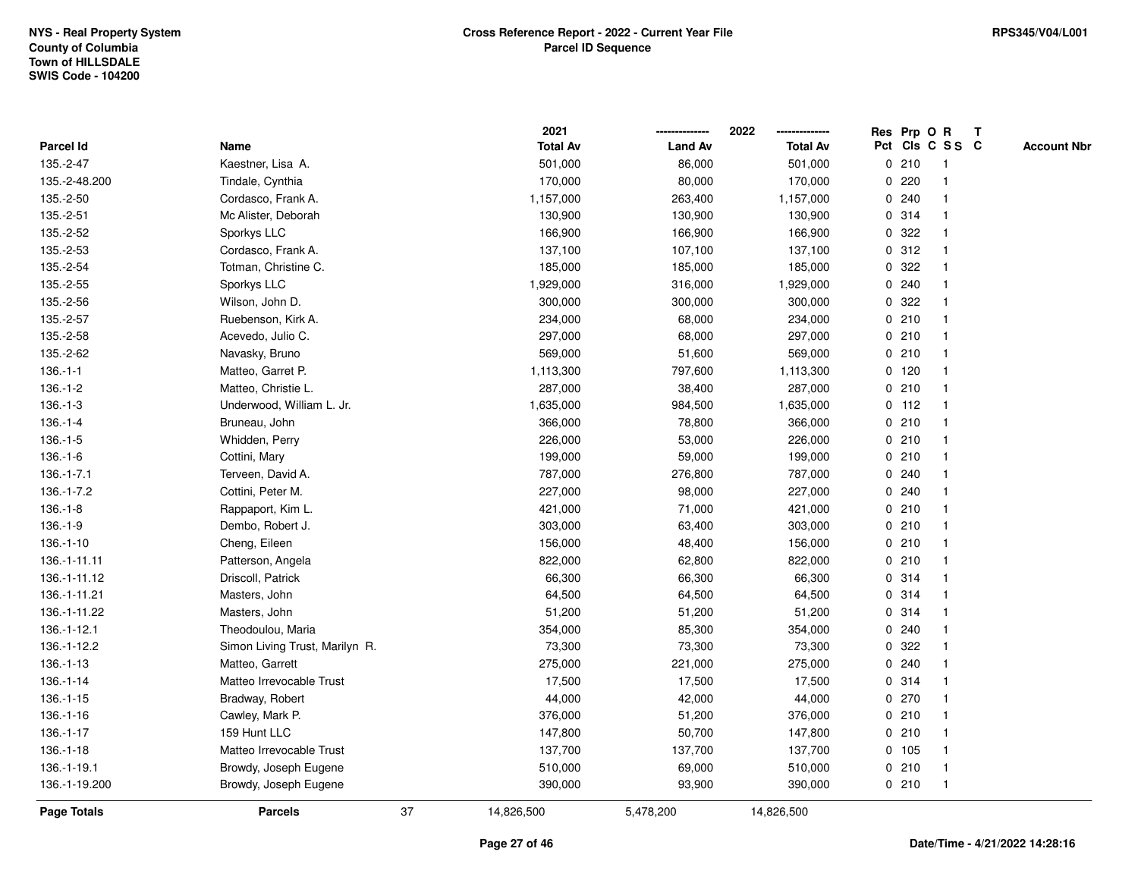|               |                                |    | 2021            |                | 2022            |             |         | Res Prp O R     | T |                    |
|---------------|--------------------------------|----|-----------------|----------------|-----------------|-------------|---------|-----------------|---|--------------------|
| Parcel Id     | Name                           |    | <b>Total Av</b> | <b>Land Av</b> | <b>Total Av</b> |             |         | Pct Cls C S S C |   | <b>Account Nbr</b> |
| 135.-2-47     | Kaestner, Lisa A.              |    | 501,000         | 86,000         | 501,000         |             | 0210    | -1              |   |                    |
| 135.-2-48.200 | Tindale, Cynthia               |    | 170,000         | 80,000         | 170,000         | 0           | 220     |                 |   |                    |
| 135.-2-50     | Cordasco, Frank A.             |    | 1,157,000       | 263,400        | 1,157,000       |             | 0.240   | $\mathbf 1$     |   |                    |
| 135.-2-51     | Mc Alister, Deborah            |    | 130,900         | 130,900        | 130,900         |             | 0 314   |                 |   |                    |
| 135.-2-52     | Sporkys LLC                    |    | 166,900         | 166,900        | 166,900         |             | 0 322   |                 |   |                    |
| 135.-2-53     | Cordasco, Frank A.             |    | 137,100         | 107,100        | 137,100         |             | 0.312   |                 |   |                    |
| 135.-2-54     | Totman, Christine C.           |    | 185,000         | 185,000        | 185,000         |             | 0 322   |                 |   |                    |
| 135.-2-55     | Sporkys LLC                    |    | 1,929,000       | 316,000        | 1,929,000       | 0           | 240     | 1               |   |                    |
| 135.-2-56     | Wilson, John D.                |    | 300,000         | 300,000        | 300,000         | 0           | 322     |                 |   |                    |
| 135.-2-57     | Ruebenson, Kirk A.             |    | 234,000         | 68,000         | 234,000         |             | 0210    | $\mathbf 1$     |   |                    |
| 135.-2-58     | Acevedo, Julio C.              |    | 297,000         | 68,000         | 297,000         |             | 0210    |                 |   |                    |
| 135.-2-62     | Navasky, Bruno                 |    | 569,000         | 51,600         | 569,000         |             | 0210    |                 |   |                    |
| $136.-1-1$    | Matteo, Garret P.              |    | 1,113,300       | 797,600        | 1,113,300       |             | $0$ 120 |                 |   |                    |
| $136.-1-2$    | Matteo, Christie L.            |    | 287,000         | 38,400         | 287,000         |             | 0210    |                 |   |                    |
| $136.-1-3$    | Underwood, William L. Jr.      |    | 1,635,000       | 984,500        | 1,635,000       | 0           | 112     | $\overline{1}$  |   |                    |
| $136.-1-4$    | Bruneau, John                  |    | 366,000         | 78,800         | 366,000         | 0           | 210     | -1              |   |                    |
| $136.-1-5$    | Whidden, Perry                 |    | 226,000         | 53,000         | 226,000         |             | 0210    | $\mathbf 1$     |   |                    |
| $136.-1-6$    | Cottini, Mary                  |    | 199,000         | 59,000         | 199,000         |             | 0210    |                 |   |                    |
| $136.-1-7.1$  | Terveen, David A.              |    | 787,000         | 276,800        | 787,000         |             | 0.240   |                 |   |                    |
| 136.-1-7.2    | Cottini, Peter M.              |    | 227,000         | 98,000         | 227,000         |             | 0.240   |                 |   |                    |
| $136.-1-8$    | Rappaport, Kim L.              |    | 421,000         | 71,000         | 421,000         |             | 0210    |                 |   |                    |
| $136.-1-9$    | Dembo, Robert J.               |    | 303,000         | 63,400         | 303,000         | $\mathbf 0$ | 210     |                 |   |                    |
| $136.-1-10$   | Cheng, Eileen                  |    | 156,000         | 48,400         | 156,000         |             | 0210    | $\overline{1}$  |   |                    |
| 136.-1-11.11  | Patterson, Angela              |    | 822,000         | 62,800         | 822,000         |             | 0210    | -1              |   |                    |
| 136.-1-11.12  | Driscoll, Patrick              |    | 66,300          | 66,300         | 66,300          |             | 0.314   |                 |   |                    |
| 136.-1-11.21  | Masters, John                  |    | 64,500          | 64,500         | 64,500          |             | 0.314   |                 |   |                    |
| 136.-1-11.22  | Masters, John                  |    | 51,200          | 51,200         | 51,200          |             | 0.314   |                 |   |                    |
| 136.-1-12.1   | Theodoulou, Maria              |    | 354,000         | 85,300         | 354,000         |             | 0.240   |                 |   |                    |
| 136.-1-12.2   | Simon Living Trust, Marilyn R. |    | 73,300          | 73,300         | 73,300          | 0           | 322     |                 |   |                    |
| $136.-1-13$   | Matteo, Garrett                |    | 275,000         | 221,000        | 275,000         | $\mathbf 0$ | 240     | $\overline{1}$  |   |                    |
| $136.-1-14$   | Matteo Irrevocable Trust       |    | 17,500          | 17,500         | 17,500          |             | 0 314   | $\mathbf{1}$    |   |                    |
| $136.-1-15$   | Bradway, Robert                |    | 44,000          | 42,000         | 44,000          |             | 0270    |                 |   |                    |
| $136.-1-16$   | Cawley, Mark P.                |    | 376,000         | 51,200         | 376,000         |             | 0210    |                 |   |                    |
| $136.-1-17$   | 159 Hunt LLC                   |    | 147,800         | 50,700         | 147,800         |             | 0210    |                 |   |                    |
| $136.-1-18$   | Matteo Irrevocable Trust       |    | 137,700         | 137,700        | 137,700         |             | 0 105   |                 |   |                    |
| 136.-1-19.1   | Browdy, Joseph Eugene          |    | 510,000         | 69,000         | 510,000         |             | 0210    | $\overline{1}$  |   |                    |
| 136.-1-19.200 | Browdy, Joseph Eugene          |    | 390,000         | 93,900         | 390,000         |             | 0210    | $\overline{1}$  |   |                    |
| Page Totals   | <b>Parcels</b>                 | 37 | 14,826,500      | 5,478,200      | 14,826,500      |             |         |                 |   |                    |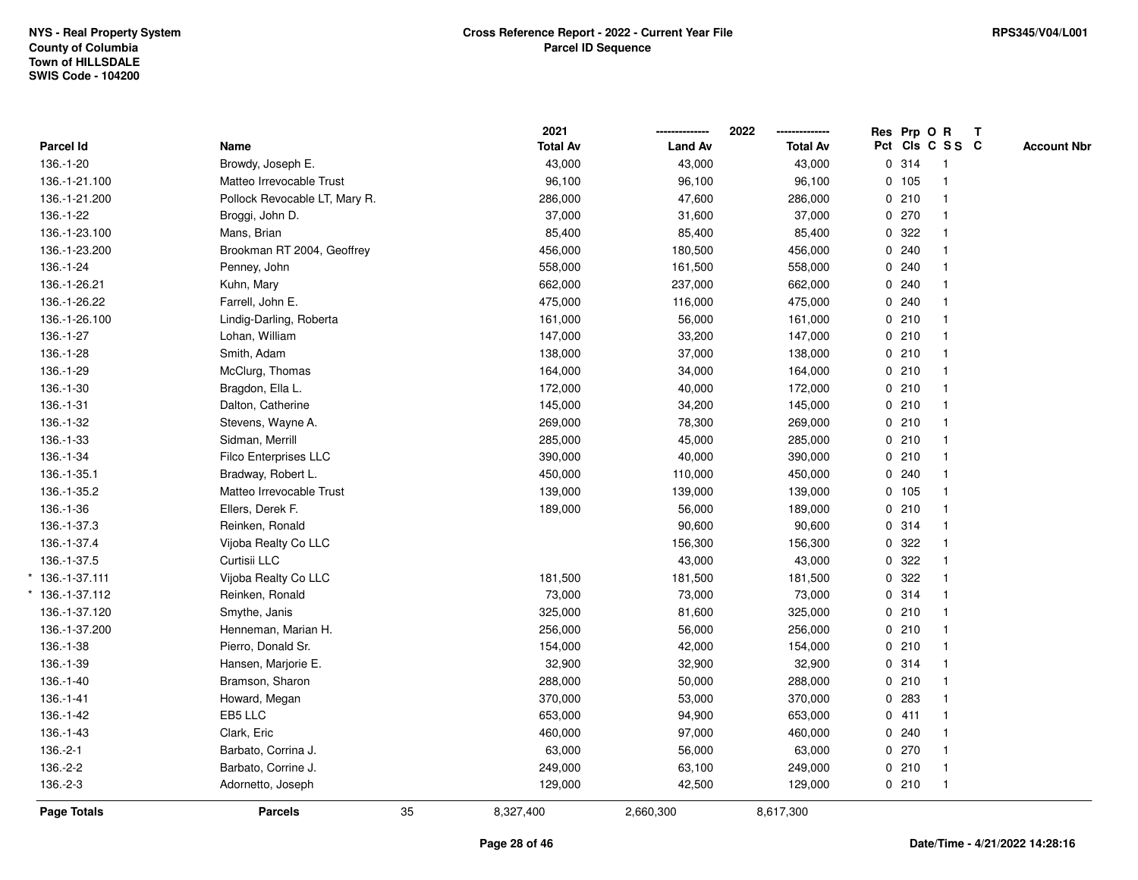|                   |                               |    | 2021            |                | 2022            | Res Prp O R |                 | T |                    |
|-------------------|-------------------------------|----|-----------------|----------------|-----------------|-------------|-----------------|---|--------------------|
| Parcel Id         | Name                          |    | <b>Total Av</b> | <b>Land Av</b> | <b>Total Av</b> |             | Pct Cls C S S C |   | <b>Account Nbr</b> |
| 136.-1-20         | Browdy, Joseph E.             |    | 43,000          | 43,000         | 43,000          | 0.314       | $\mathbf{1}$    |   |                    |
| 136.-1-21.100     | Matteo Irrevocable Trust      |    | 96,100          | 96,100         | 96,100          | 0 105       |                 |   |                    |
| 136.-1-21.200     | Pollock Revocable LT, Mary R. |    | 286,000         | 47,600         | 286,000         | 0210        |                 |   |                    |
| 136.-1-22         | Broggi, John D.               |    | 37,000          | 31,600         | 37,000          | 0270        |                 |   |                    |
| 136.-1-23.100     | Mans, Brian                   |    | 85,400          | 85,400         | 85,400          | 0.322       |                 |   |                    |
| 136.-1-23.200     | Brookman RT 2004, Geoffrey    |    | 456,000         | 180,500        | 456,000         | 0.240       |                 |   |                    |
| 136.-1-24         | Penney, John                  |    | 558,000         | 161,500        | 558,000         | 0.240       |                 |   |                    |
| 136.-1-26.21      | Kuhn, Mary                    |    | 662,000         | 237,000        | 662,000         | 0.240       |                 |   |                    |
| 136.-1-26.22      | Farrell, John E.              |    | 475,000         | 116,000        | 475,000         | 0.240       |                 |   |                    |
| 136.-1-26.100     | Lindig-Darling, Roberta       |    | 161,000         | 56,000         | 161,000         | 0210        |                 |   |                    |
| 136.-1-27         | Lohan, William                |    | 147,000         | 33,200         | 147,000         | 0210        |                 |   |                    |
| 136.-1-28         | Smith, Adam                   |    | 138,000         | 37,000         | 138,000         | 0210        |                 |   |                    |
| 136.-1-29         | McClurg, Thomas               |    | 164,000         | 34,000         | 164,000         | 0210        |                 |   |                    |
| 136.-1-30         | Bragdon, Ella L.              |    | 172,000         | 40,000         | 172,000         | 0210        |                 |   |                    |
| 136.-1-31         | Dalton, Catherine             |    | 145,000         | 34,200         | 145,000         | 0210        |                 |   |                    |
| 136.-1-32         | Stevens, Wayne A.             |    | 269,000         | 78,300         | 269,000         | 0210        | $\mathbf{1}$    |   |                    |
| 136.-1-33         | Sidman, Merrill               |    | 285,000         | 45,000         | 285,000         | 0210        |                 |   |                    |
| 136.-1-34         | Filco Enterprises LLC         |    | 390,000         | 40,000         | 390,000         | 0210        |                 |   |                    |
| 136.-1-35.1       | Bradway, Robert L.            |    | 450,000         | 110,000        | 450,000         | 0.240       |                 |   |                    |
| 136.-1-35.2       | Matteo Irrevocable Trust      |    | 139,000         | 139,000        | 139,000         | 0, 105      |                 |   |                    |
| 136.-1-36         | Ellers, Derek F.              |    | 189,000         | 56,000         | 189,000         | 0210        |                 |   |                    |
| 136.-1-37.3       | Reinken, Ronald               |    |                 | 90,600         | 90,600          | 0.314       |                 |   |                    |
| 136.-1-37.4       | Vijoba Realty Co LLC          |    |                 | 156,300        | 156,300         | 0.322       |                 |   |                    |
| 136.-1-37.5       | Curtisii LLC                  |    |                 | 43,000         | 43,000          | 0 322       |                 |   |                    |
| $*$ 136.-1-37.111 | Vijoba Realty Co LLC          |    | 181,500         | 181,500        | 181,500         | 0.322       |                 |   |                    |
| 136.-1-37.112     | Reinken, Ronald               |    | 73,000          | 73,000         | 73,000          | 0.314       |                 |   |                    |
| 136.-1-37.120     | Smythe, Janis                 |    | 325,000         | 81,600         | 325,000         | 0210        |                 |   |                    |
| 136.-1-37.200     | Henneman, Marian H.           |    | 256,000         | 56,000         | 256,000         | 0210        |                 |   |                    |
| 136.-1-38         | Pierro, Donald Sr.            |    | 154,000         | 42,000         | 154,000         | 0210        |                 |   |                    |
| 136.-1-39         | Hansen, Marjorie E.           |    | 32,900          | 32,900         | 32,900          | 0 314       |                 |   |                    |
| 136.-1-40         | Bramson, Sharon               |    | 288,000         | 50,000         | 288,000         | 0210        |                 |   |                    |
| $136.-1-41$       | Howard, Megan                 |    | 370,000         | 53,000         | 370,000         | 0.283       |                 |   |                    |
| 136.-1-42         | EB5 LLC                       |    | 653,000         | 94,900         | 653,000         | 0411        |                 |   |                    |
| 136.-1-43         | Clark, Eric                   |    | 460,000         | 97,000         | 460,000         | 0.240       |                 |   |                    |
| $136.-2-1$        | Barbato, Corrina J.           |    | 63,000          | 56,000         | 63,000          | $0$ 270     |                 |   |                    |
| 136.-2-2          | Barbato, Corrine J.           |    | 249,000         | 63,100         | 249,000         | 0210        | $\overline{1}$  |   |                    |
| 136.-2-3          | Adornetto, Joseph             |    | 129,000         | 42,500         | 129,000         | 0210        | $\mathbf{1}$    |   |                    |
| Page Totals       | <b>Parcels</b>                | 35 | 8,327,400       | 2,660,300      | 8,617,300       |             |                 |   |                    |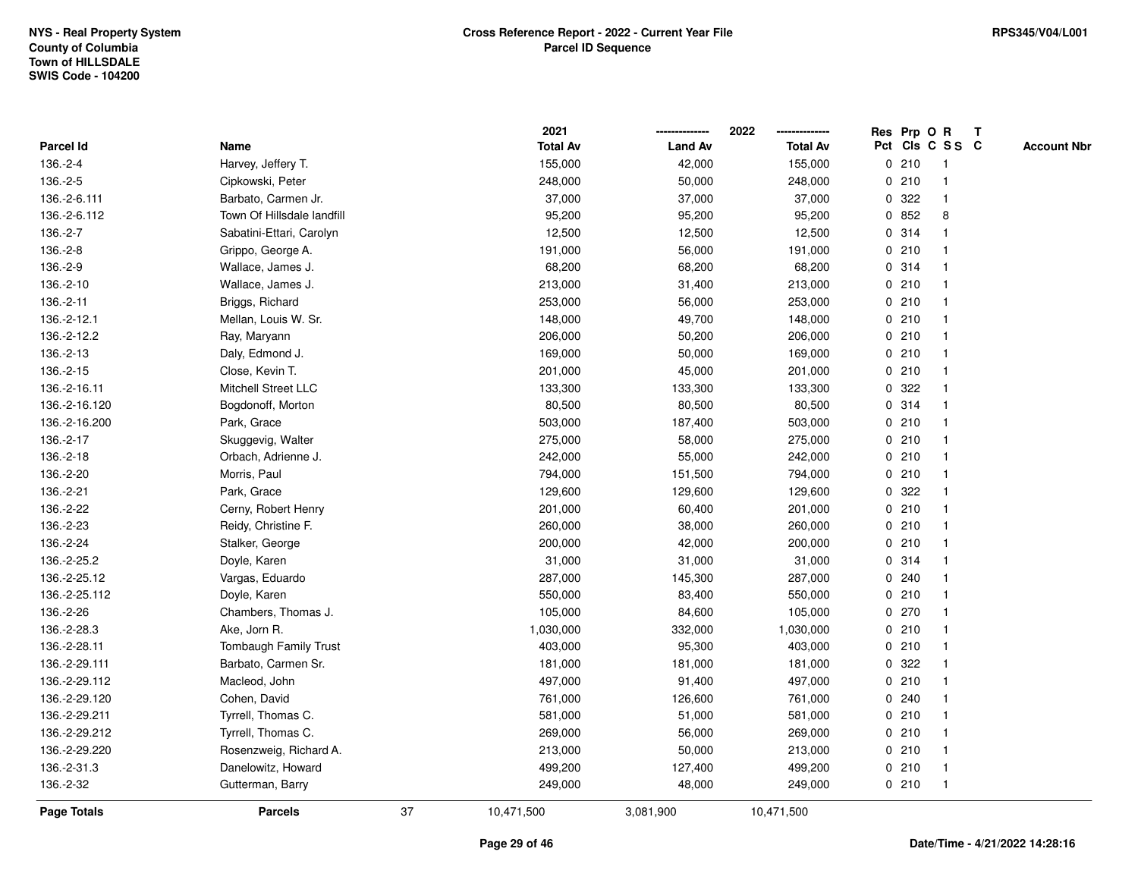|               |                            |    | 2021            |                | 2022            |             |       | Res Prp O R     | $\mathbf{T}$ |                    |
|---------------|----------------------------|----|-----------------|----------------|-----------------|-------------|-------|-----------------|--------------|--------------------|
| Parcel Id     | Name                       |    | <b>Total Av</b> | <b>Land Av</b> | <b>Total Av</b> |             |       | Pct Cls C S S C |              | <b>Account Nbr</b> |
| 136.-2-4      | Harvey, Jeffery T.         |    | 155,000         | 42,000         | 155,000         |             | 0210  |                 |              |                    |
| 136.-2-5      | Cipkowski, Peter           |    | 248,000         | 50,000         | 248,000         |             | 0210  |                 |              |                    |
| 136.-2-6.111  | Barbato, Carmen Jr.        |    | 37,000          | 37,000         | 37,000          | $\mathbf 0$ | 322   | -1              |              |                    |
| 136.-2-6.112  | Town Of Hillsdale landfill |    | 95,200          | 95,200         | 95,200          | $\mathbf 0$ | 852   | 8               |              |                    |
| 136.-2-7      | Sabatini-Ettari, Carolyn   |    | 12,500          | 12,500         | 12,500          |             | 0 314 | $\mathbf 1$     |              |                    |
| 136.-2-8      | Grippo, George A.          |    | 191,000         | 56,000         | 191,000         |             | 0210  |                 |              |                    |
| 136.-2-9      | Wallace, James J.          |    | 68,200          | 68,200         | 68,200          |             | 0.314 |                 |              |                    |
| 136.-2-10     | Wallace, James J.          |    | 213,000         | 31,400         | 213,000         |             | 0210  |                 |              |                    |
| 136.-2-11     | Briggs, Richard            |    | 253,000         | 56,000         | 253,000         |             | 0210  |                 |              |                    |
| 136.-2-12.1   | Mellan, Louis W. Sr.       |    | 148,000         | 49,700         | 148,000         |             | 0210  |                 |              |                    |
| 136.-2-12.2   | Ray, Maryann               |    | 206,000         | 50,200         | 206,000         |             | 0210  | $\mathbf 1$     |              |                    |
| 136.-2-13     | Daly, Edmond J.            |    | 169,000         | 50,000         | 169,000         |             | 0210  | $\mathbf{1}$    |              |                    |
| 136.-2-15     | Close, Kevin T.            |    | 201,000         | 45,000         | 201,000         |             | 0210  |                 |              |                    |
| 136.-2-16.11  | Mitchell Street LLC        |    | 133,300         | 133,300        | 133,300         |             | 0.322 |                 |              |                    |
| 136.-2-16.120 | Bogdonoff, Morton          |    | 80,500          | 80,500         | 80,500          |             | 0.314 |                 |              |                    |
| 136.-2-16.200 | Park, Grace                |    | 503,000         | 187,400        | 503,000         |             | 0210  |                 |              |                    |
| 136.-2-17     | Skuggevig, Walter          |    | 275,000         | 58,000         | 275,000         | $\mathbf 0$ | 210   |                 |              |                    |
| 136.-2-18     | Orbach, Adrienne J.        |    | 242,000         | 55,000         | 242,000         |             | 0210  | -1              |              |                    |
| 136.-2-20     | Morris, Paul               |    | 794,000         | 151,500        | 794,000         |             | 0210  | $\mathbf{1}$    |              |                    |
| 136.-2-21     | Park, Grace                |    | 129,600         | 129,600        | 129,600         |             | 0.322 |                 |              |                    |
| 136.-2-22     | Cerny, Robert Henry        |    | 201,000         | 60,400         | 201,000         |             | 0210  |                 |              |                    |
| 136.-2-23     | Reidy, Christine F.        |    | 260,000         | 38,000         | 260,000         |             | 0210  |                 |              |                    |
| 136.-2-24     | Stalker, George            |    | 200,000         | 42,000         | 200,000         |             | 0210  |                 |              |                    |
| 136.-2-25.2   | Doyle, Karen               |    | 31,000          | 31,000         | 31,000          |             | 0.314 | $\overline{1}$  |              |                    |
| 136.-2-25.12  | Vargas, Eduardo            |    | 287,000         | 145,300        | 287,000         | 0           | 240   |                 |              |                    |
| 136.-2-25.112 | Doyle, Karen               |    | 550,000         | 83,400         | 550,000         |             | 0210  | $\mathbf 1$     |              |                    |
| 136.-2-26     | Chambers, Thomas J.        |    | 105,000         | 84,600         | 105,000         |             | 0270  |                 |              |                    |
| 136.-2-28.3   | Ake, Jorn R.               |    | 1,030,000       | 332,000        | 1,030,000       |             | 0210  |                 |              |                    |
| 136.-2-28.11  | Tombaugh Family Trust      |    | 403,000         | 95,300         | 403,000         |             | 0210  |                 |              |                    |
| 136.-2-29.111 | Barbato, Carmen Sr.        |    | 181,000         | 181,000        | 181,000         | 0           | 322   |                 |              |                    |
| 136.-2-29.112 | Macleod, John              |    | 497,000         | 91,400         | 497,000         |             | 0210  | $\overline{1}$  |              |                    |
| 136.-2-29.120 | Cohen, David               |    | 761,000         | 126,600        | 761,000         |             | 0.240 | $\mathbf 1$     |              |                    |
| 136.-2-29.211 | Tyrrell, Thomas C.         |    | 581,000         | 51,000         | 581,000         |             | 0210  |                 |              |                    |
| 136.-2-29.212 | Tyrrell, Thomas C.         |    | 269,000         | 56,000         | 269,000         |             | 0210  |                 |              |                    |
| 136.-2-29.220 | Rosenzweig, Richard A.     |    | 213,000         | 50,000         | 213,000         |             | 0210  |                 |              |                    |
| 136.-2-31.3   | Danelowitz, Howard         |    | 499,200         | 127,400        | 499,200         |             | 0210  | $\mathbf{1}$    |              |                    |
| 136.-2-32     | Gutterman, Barry           |    | 249,000         | 48,000         | 249,000         |             | 0210  | -1              |              |                    |
| Page Totals   | <b>Parcels</b>             | 37 | 10,471,500      | 3,081,900      | 10,471,500      |             |       |                 |              |                    |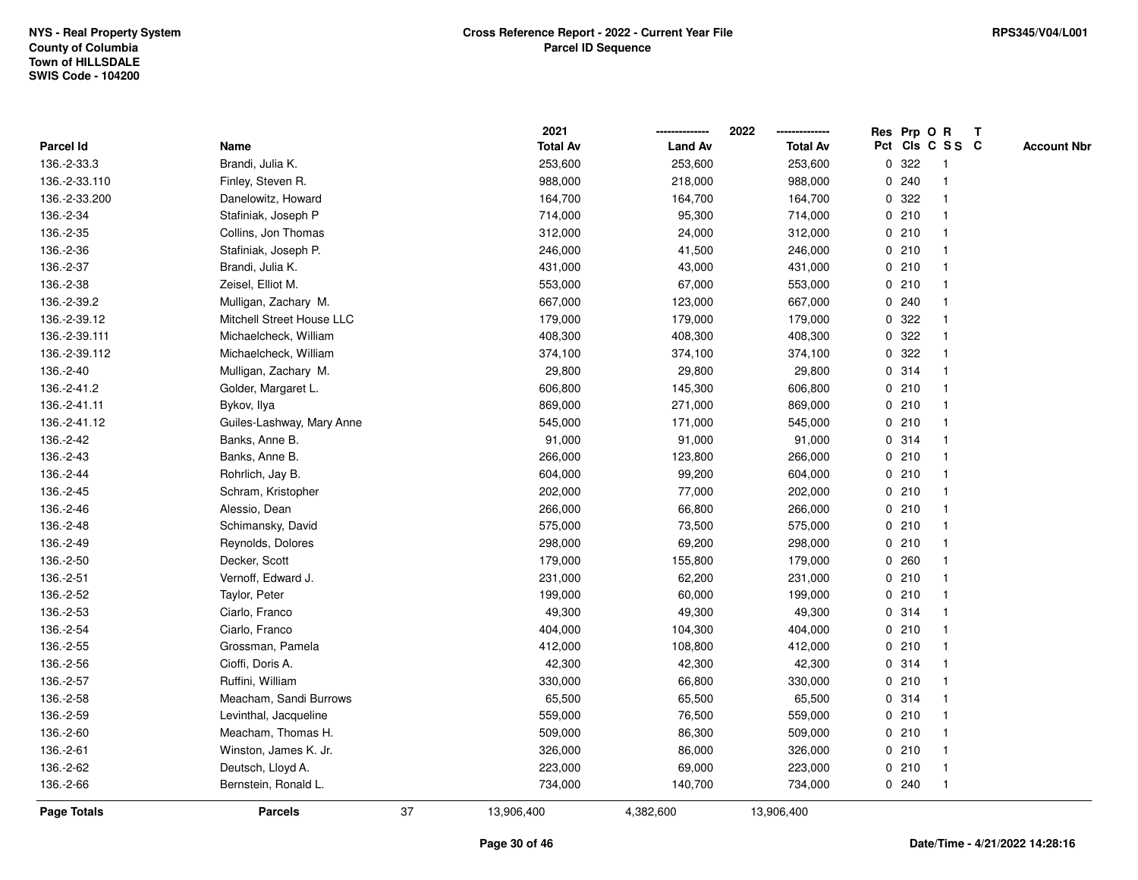|               |                           |    | 2021            |                | 2022            |              |       | Res Prp O R     | $\mathbf{T}$ |                    |
|---------------|---------------------------|----|-----------------|----------------|-----------------|--------------|-------|-----------------|--------------|--------------------|
| Parcel Id     | Name                      |    | <b>Total Av</b> | <b>Land Av</b> | <b>Total Av</b> |              |       | Pct Cls C S S C |              | <b>Account Nbr</b> |
| 136.-2-33.3   | Brandi, Julia K.          |    | 253,600         | 253,600        | 253,600         | 0            | 322   |                 |              |                    |
| 136.-2-33.110 | Finley, Steven R.         |    | 988,000         | 218,000        | 988,000         | 0            | 240   |                 |              |                    |
| 136.-2-33.200 | Danelowitz, Howard        |    | 164,700         | 164,700        | 164,700         | 0            | 322   | 1               |              |                    |
| 136.-2-34     | Stafiniak, Joseph P       |    | 714,000         | 95,300         | 714,000         |              | 0210  | $\mathbf{1}$    |              |                    |
| 136.-2-35     | Collins, Jon Thomas       |    | 312,000         | 24,000         | 312,000         |              | 0210  | $\mathbf{1}$    |              |                    |
| 136.-2-36     | Stafiniak, Joseph P.      |    | 246,000         | 41,500         | 246,000         |              | 0210  | $\mathbf 1$     |              |                    |
| 136.-2-37     | Brandi, Julia K.          |    | 431,000         | 43,000         | 431,000         |              | 0210  |                 |              |                    |
| 136.-2-38     | Zeisel, Elliot M.         |    | 553,000         | 67,000         | 553,000         |              | 0210  |                 |              |                    |
| 136.-2-39.2   | Mulligan, Zachary M.      |    | 667,000         | 123,000        | 667,000         |              | 0.240 | $\mathbf{1}$    |              |                    |
| 136.-2-39.12  | Mitchell Street House LLC |    | 179,000         | 179,000        | 179,000         |              | 0.322 | $\mathbf{1}$    |              |                    |
| 136.-2-39.111 | Michaelcheck, William     |    | 408,300         | 408,300        | 408,300         | 0            | 322   | $\mathbf{1}$    |              |                    |
| 136.-2-39.112 | Michaelcheck, William     |    | 374,100         | 374,100        | 374,100         | $\mathbf{0}$ | 322   | $\mathbf{1}$    |              |                    |
| 136.-2-40     | Mulligan, Zachary M.      |    | 29,800          | 29,800         | 29,800          |              | 0.314 | 1               |              |                    |
| 136.-2-41.2   | Golder, Margaret L.       |    | 606,800         | 145,300        | 606,800         |              | 0210  |                 |              |                    |
| 136.-2-41.11  | Bykov, Ilya               |    | 869,000         | 271,000        | 869,000         |              | 0210  |                 |              |                    |
| 136.-2-41.12  | Guiles-Lashway, Mary Anne |    | 545,000         | 171,000        | 545,000         |              | 0210  | $\mathbf 1$     |              |                    |
| 136.-2-42     | Banks, Anne B.            |    | 91,000          | 91,000         | 91,000          | 0            | 314   | $\mathbf{1}$    |              |                    |
| 136.-2-43     | Banks, Anne B.            |    | 266,000         | 123,800        | 266,000         |              | 0210  | 1               |              |                    |
| 136.-2-44     | Rohrlich, Jay B.          |    | 604,000         | 99,200         | 604,000         |              | 0210  | $\mathbf{1}$    |              |                    |
| 136.-2-45     | Schram, Kristopher        |    | 202,000         | 77,000         | 202,000         |              | 0210  |                 |              |                    |
| 136.-2-46     | Alessio, Dean             |    | 266,000         | 66,800         | 266,000         |              | 0210  |                 |              |                    |
| 136.-2-48     | Schimansky, David         |    | 575,000         | 73,500         | 575,000         |              | 0210  |                 |              |                    |
| 136.-2-49     | Reynolds, Dolores         |    | 298,000         | 69,200         | 298,000         |              | 0210  | $\mathbf{1}$    |              |                    |
| 136.-2-50     | Decker, Scott             |    | 179,000         | 155,800        | 179,000         |              | 0.260 | $\mathbf{1}$    |              |                    |
| 136.-2-51     | Vernoff, Edward J.        |    | 231,000         | 62,200         | 231,000         |              | 0210  | 1               |              |                    |
| 136.-2-52     | Taylor, Peter             |    | 199,000         | 60,000         | 199,000         |              | 0210  | $\mathbf 1$     |              |                    |
| 136.-2-53     | Ciarlo, Franco            |    | 49,300          | 49,300         | 49,300          |              | 0.314 |                 |              |                    |
| 136.-2-54     | Ciarlo, Franco            |    | 404,000         | 104,300        | 404,000         |              | 0210  |                 |              |                    |
| 136.-2-55     | Grossman, Pamela          |    | 412,000         | 108,800        | 412,000         |              | 0210  | $\mathbf{1}$    |              |                    |
| 136.-2-56     | Cioffi, Doris A.          |    | 42,300          | 42,300         | 42,300          | 0            | 314   | $\mathbf 1$     |              |                    |
| 136.-2-57     | Ruffini, William          |    | 330,000         | 66,800         | 330,000         |              | 0210  | $\mathbf{1}$    |              |                    |
| 136.-2-58     | Meacham, Sandi Burrows    |    | 65,500          | 65,500         | 65,500          |              | 0.314 | 1               |              |                    |
| 136.-2-59     | Levinthal, Jacqueline     |    | 559,000         | 76,500         | 559,000         |              | 0210  | $\mathbf 1$     |              |                    |
| 136.-2-60     | Meacham, Thomas H.        |    | 509,000         | 86,300         | 509,000         |              | 0210  |                 |              |                    |
| 136.-2-61     | Winston, James K. Jr.     |    | 326,000         | 86,000         | 326,000         |              | 0210  | $\mathbf 1$     |              |                    |
| 136.-2-62     | Deutsch, Lloyd A.         |    | 223,000         | 69,000         | 223,000         |              | 0210  | $\mathbf{1}$    |              |                    |
| 136.-2-66     | Bernstein, Ronald L.      |    | 734,000         | 140,700        | 734,000         |              | 0.240 | $\mathbf{1}$    |              |                    |
| Page Totals   | <b>Parcels</b>            | 37 | 13,906,400      | 4,382,600      | 13,906,400      |              |       |                 |              |                    |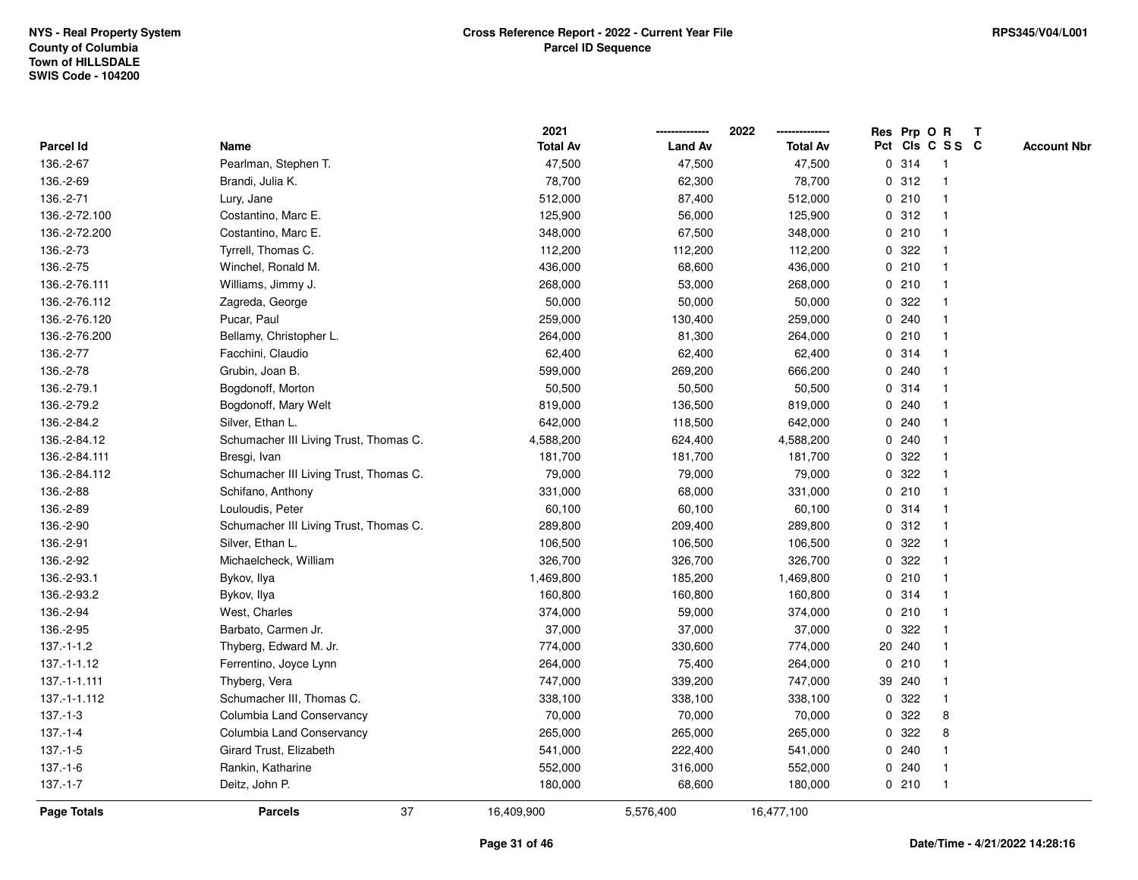|                 |                                        | 2021            |                | 2022            |              |        | Res Prp O R     | T |                    |
|-----------------|----------------------------------------|-----------------|----------------|-----------------|--------------|--------|-----------------|---|--------------------|
| Parcel Id       | Name                                   | <b>Total Av</b> | <b>Land Av</b> | <b>Total Av</b> |              |        | Pct Cls C S S C |   | <b>Account Nbr</b> |
| 136.-2-67       | Pearlman, Stephen T.                   | 47,500          | 47,500         | 47,500          |              | 0.314  | $\mathbf{1}$    |   |                    |
| 136.-2-69       | Brandi, Julia K.                       | 78,700          | 62,300         | 78,700          | 0            | 312    | -1              |   |                    |
| 136.-2-71       | Lury, Jane                             | 512,000         | 87,400         | 512,000         |              | 0210   | 1               |   |                    |
| 136.-2-72.100   | Costantino, Marc E.                    | 125,900         | 56,000         | 125,900         |              | 0.312  |                 |   |                    |
| 136.-2-72.200   | Costantino, Marc E.                    | 348,000         | 67,500         | 348,000         |              | 0210   |                 |   |                    |
| 136.-2-73       | Tyrrell, Thomas C.                     | 112,200         | 112,200        | 112,200         |              | 0.322  |                 |   |                    |
| 136.-2-75       | Winchel, Ronald M.                     | 436,000         | 68,600         | 436,000         |              | 0210   |                 |   |                    |
| 136.-2-76.111   | Williams, Jimmy J.                     | 268,000         | 53,000         | 268,000         |              | 0210   | $\mathbf{1}$    |   |                    |
| 136.-2-76.112   | Zagreda, George                        | 50,000          | 50,000         | 50,000          | 0            | 322    |                 |   |                    |
| 136.-2-76.120   | Pucar, Paul                            | 259,000         | 130,400        | 259,000         |              | 0.240  | 1               |   |                    |
| 136.-2-76.200   | Bellamy, Christopher L.                | 264,000         | 81,300         | 264,000         |              | 0210   |                 |   |                    |
| 136.-2-77       | Facchini, Claudio                      | 62,400          | 62,400         | 62,400          |              | 0.314  |                 |   |                    |
| 136.-2-78       | Grubin, Joan B.                        | 599,000         | 269,200        | 666,200         |              | 0.240  |                 |   |                    |
| 136.-2-79.1     | Bogdonoff, Morton                      | 50,500          | 50,500         | 50,500          |              | 0.314  |                 |   |                    |
| 136.-2-79.2     | Bogdonoff, Mary Welt                   | 819,000         | 136,500        | 819,000         | 0            | 240    |                 |   |                    |
| 136.-2-84.2     | Silver, Ethan L.                       | 642,000         | 118,500        | 642,000         | $\mathbf{0}$ | 240    |                 |   |                    |
| 136.-2-84.12    | Schumacher III Living Trust, Thomas C. | 4,588,200       | 624,400        | 4,588,200       |              | 0.240  | $\mathbf{1}$    |   |                    |
| 136.-2-84.111   | Bresgi, Ivan                           | 181,700         | 181,700        | 181,700         |              | 0.322  |                 |   |                    |
| 136.-2-84.112   | Schumacher III Living Trust, Thomas C. | 79,000          | 79,000         | 79,000          |              | 0.322  |                 |   |                    |
| 136.-2-88       | Schifano, Anthony                      | 331,000         | 68,000         | 331,000         |              | 0210   |                 |   |                    |
| 136.-2-89       | Louloudis, Peter                       | 60,100          | 60,100         | 60,100          |              | 0 314  |                 |   |                    |
| 136.-2-90       | Schumacher III Living Trust, Thomas C. | 289,800         | 209,400        | 289,800         | 0            | 312    |                 |   |                    |
| 136.-2-91       | Silver, Ethan L.                       | 106,500         | 106,500        | 106,500         | $\mathbf{0}$ | 322    |                 |   |                    |
| 136.-2-92       | Michaelcheck, William                  | 326,700         | 326,700        | 326,700         | $\mathbf{0}$ | 322    |                 |   |                    |
| 136.-2-93.1     | Bykov, Ilya                            | 1,469,800       | 185,200        | 1,469,800       |              | 0210   | -1              |   |                    |
| 136.-2-93.2     | Bykov, Ilya                            | 160,800         | 160,800        | 160,800         |              | 0.314  |                 |   |                    |
| 136.-2-94       | West, Charles                          | 374,000         | 59,000         | 374,000         |              | 0210   |                 |   |                    |
| 136.-2-95       | Barbato, Carmen Jr.                    | 37,000          | 37,000         | 37,000          | $\mathbf 0$  | 322    |                 |   |                    |
| $137 - 1 - 1.2$ | Thyberg, Edward M. Jr.                 | 774,000         | 330,600        | 774,000         |              | 20 240 |                 |   |                    |
| $137.-1-1.12$   | Ferrentino, Joyce Lynn                 | 264,000         | 75,400         | 264,000         | $\mathbf 0$  | 210    |                 |   |                    |
| 137.-1-1.111    | Thyberg, Vera                          | 747,000         | 339,200        | 747,000         |              | 39 240 | -1              |   |                    |
| 137.-1-1.112    | Schumacher III, Thomas C.              | 338,100         | 338,100        | 338,100         |              | 0.322  | -1              |   |                    |
| $137 - 1 - 3$   | Columbia Land Conservancy              | 70,000          | 70,000         | 70,000          |              | 0.322  | 8               |   |                    |
| $137 - 1 - 4$   | Columbia Land Conservancy              | 265,000         | 265,000        | 265,000         |              | 0.322  | 8               |   |                    |
| $137 - 1 - 5$   | Girard Trust, Elizabeth                | 541,000         | 222,400        | 541,000         |              | 0.240  |                 |   |                    |
| 137.-1-6        | Rankin, Katharine                      | 552,000         | 316,000        | 552,000         | $\mathbf{0}$ | 240    |                 |   |                    |
| $137 - 1 - 7$   | Deitz, John P.                         | 180,000         | 68,600         | 180,000         |              | 0210   | $\overline{1}$  |   |                    |
| Page Totals     | 37<br><b>Parcels</b>                   | 16,409,900      | 5,576,400      | 16,477,100      |              |        |                 |   |                    |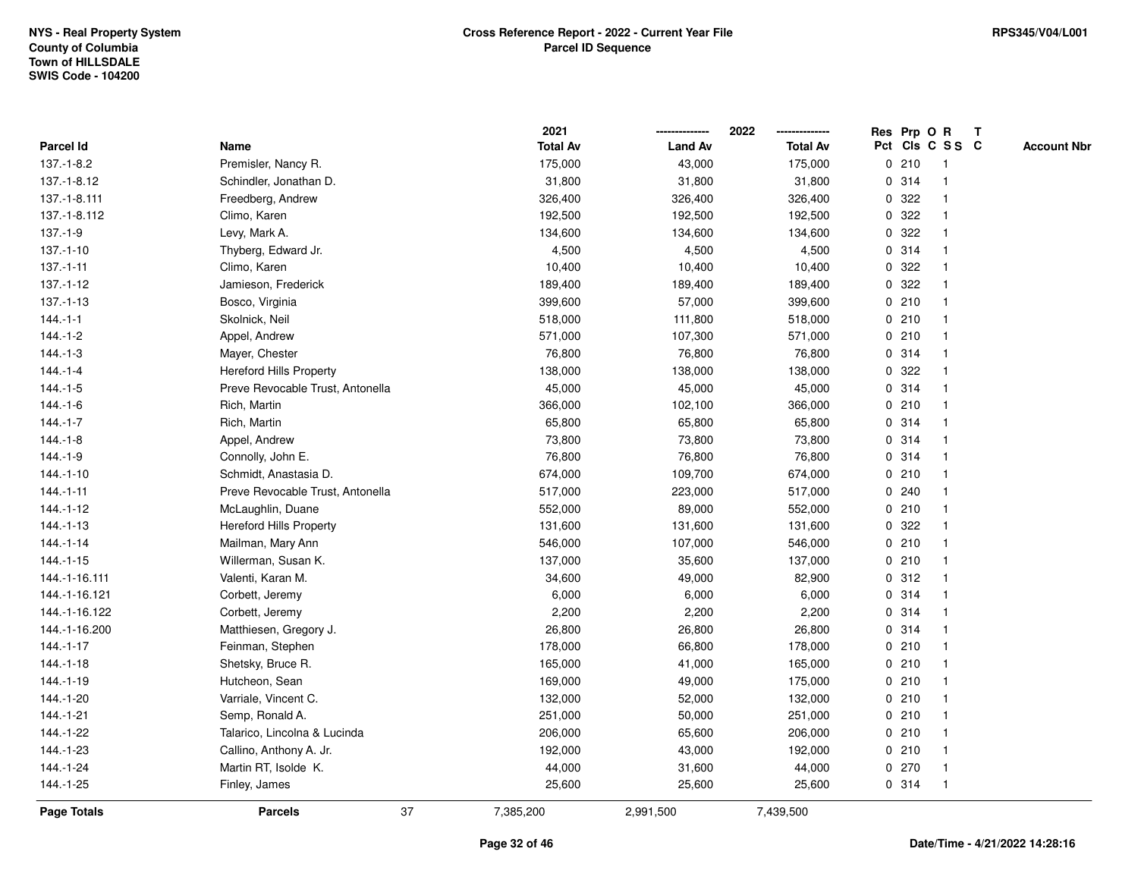|                    |                                  |    | 2021            |                | 2022            |             |         | Res Prp O R     | $\mathbf{T}$ |                    |
|--------------------|----------------------------------|----|-----------------|----------------|-----------------|-------------|---------|-----------------|--------------|--------------------|
| Parcel Id          | Name                             |    | <b>Total Av</b> | <b>Land Av</b> | <b>Total Av</b> |             |         | Pct Cls C S S C |              | <b>Account Nbr</b> |
| $137 - 1 - 8.2$    | Premisler, Nancy R.              |    | 175,000         | 43,000         | 175,000         |             | 0210    | -1              |              |                    |
| 137.-1-8.12        | Schindler, Jonathan D.           |    | 31,800          | 31,800         | 31,800          |             | 0.314   |                 |              |                    |
| 137.-1-8.111       | Freedberg, Andrew                |    | 326,400         | 326,400        | 326,400         | $\mathbf 0$ | 322     | -1              |              |                    |
| 137.-1-8.112       | Climo, Karen                     |    | 192,500         | 192,500        | 192,500         | $\mathbf 0$ | 322     | $\mathbf{1}$    |              |                    |
| $137.-1-9$         | Levy, Mark A.                    |    | 134,600         | 134,600        | 134,600         | 0           | 322     | $\mathbf{1}$    |              |                    |
| $137 - 1 - 10$     | Thyberg, Edward Jr.              |    | 4,500           | 4,500          | 4,500           |             | 0.314   | $\mathbf 1$     |              |                    |
| $137 - 1 - 11$     | Climo, Karen                     |    | 10,400          | 10,400         | 10,400          |             | 0.322   |                 |              |                    |
| 137.-1-12          | Jamieson, Frederick              |    | 189,400         | 189,400        | 189,400         |             | 0 322   |                 |              |                    |
| $137.-1-13$        | Bosco, Virginia                  |    | 399,600         | 57,000         | 399,600         |             | 0210    | $\mathbf{1}$    |              |                    |
| $144.-1-1$         | Skolnick, Neil                   |    | 518,000         | 111,800        | 518,000         |             | 0210    | $\overline{1}$  |              |                    |
| $144.-1-2$         | Appel, Andrew                    |    | 571,000         | 107,300        | 571,000         |             | 0210    | $\mathbf{1}$    |              |                    |
| $144.-1-3$         | Mayer, Chester                   |    | 76,800          | 76,800         | 76,800          |             | 0.314   | $\mathbf{1}$    |              |                    |
| $144 - 1 - 4$      | <b>Hereford Hills Property</b>   |    | 138,000         | 138,000        | 138,000         |             | 0 322   | -1              |              |                    |
| $144.-1-5$         | Preve Revocable Trust, Antonella |    | 45,000          | 45,000         | 45,000          |             | 0.314   |                 |              |                    |
| $144.-1-6$         | Rich, Martin                     |    | 366,000         | 102,100        | 366,000         |             | 0210    |                 |              |                    |
| $144.-1-7$         | Rich, Martin                     |    | 65,800          | 65,800         | 65,800          |             | 0.314   | -1              |              |                    |
| $144.-1-8$         | Appel, Andrew                    |    | 73,800          | 73,800         | 73,800          | $\mathbf 0$ | 314     | $\overline{1}$  |              |                    |
| $144.-1-9$         | Connolly, John E.                |    | 76,800          | 76,800         | 76,800          |             | 0.314   | -1              |              |                    |
| $144.-1-10$        | Schmidt, Anastasia D.            |    | 674,000         | 109,700        | 674,000         |             | 0210    | $\mathbf{1}$    |              |                    |
| $144.-1-11$        | Preve Revocable Trust, Antonella |    | 517,000         | 223,000        | 517,000         |             | 0.240   |                 |              |                    |
| $144 - 1 - 12$     | McLaughlin, Duane                |    | 552,000         | 89,000         | 552,000         |             | 0210    |                 |              |                    |
| $144.-1-13$        | <b>Hereford Hills Property</b>   |    | 131,600         | 131,600        | 131,600         |             | 0 322   |                 |              |                    |
| $144.-1-14$        | Mailman, Mary Ann                |    | 546,000         | 107,000        | 546,000         |             | 0210    | $\mathbf 1$     |              |                    |
| $144.-1-15$        | Willerman, Susan K.              |    | 137,000         | 35,600         | 137,000         |             | 0210    | $\mathbf{1}$    |              |                    |
| 144.-1-16.111      | Valenti, Karan M.                |    | 34,600          | 49,000         | 82,900          |             | 0.312   | $\mathbf 1$     |              |                    |
| 144.-1-16.121      | Corbett, Jeremy                  |    | 6,000           | 6,000          | 6,000           |             | 0.314   | -1              |              |                    |
| 144.-1-16.122      | Corbett, Jeremy                  |    | 2,200           | 2,200          | 2,200           |             | 0.314   |                 |              |                    |
| 144.-1-16.200      | Matthiesen, Gregory J.           |    | 26,800          | 26,800         | 26,800          |             | 0.314   |                 |              |                    |
| $144 - 1 - 17$     | Feinman, Stephen                 |    | 178,000         | 66,800         | 178,000         |             | 0210    | $\overline{1}$  |              |                    |
| $144.-1-18$        | Shetsky, Bruce R.                |    | 165,000         | 41,000         | 165,000         |             | 0210    | -1              |              |                    |
| 144.-1-19          | Hutcheon, Sean                   |    | 169,000         | 49,000         | 175,000         |             | 0210    | $\mathbf{1}$    |              |                    |
| 144.-1-20          | Varriale, Vincent C.             |    | 132,000         | 52,000         | 132,000         |             | 0210    | $\mathbf 1$     |              |                    |
| 144.-1-21          | Semp, Ronald A.                  |    | 251,000         | 50,000         | 251,000         |             | 0210    | $\mathbf 1$     |              |                    |
| 144.-1-22          | Talarico, Lincolna & Lucinda     |    | 206,000         | 65,600         | 206,000         |             | 0210    |                 |              |                    |
| 144.-1-23          | Callino, Anthony A. Jr.          |    | 192,000         | 43,000         | 192,000         |             | 0210    | -1              |              |                    |
| 144.-1-24          | Martin RT, Isolde K.             |    | 44,000          | 31,600         | 44,000          |             | $0$ 270 | $\mathbf{1}$    |              |                    |
| 144.-1-25          | Finley, James                    |    | 25,600          | 25,600         | 25,600          |             | 0.314   | $\mathbf{1}$    |              |                    |
| <b>Page Totals</b> | <b>Parcels</b>                   | 37 | 7,385,200       | 2,991,500      | 7,439,500       |             |         |                 |              |                    |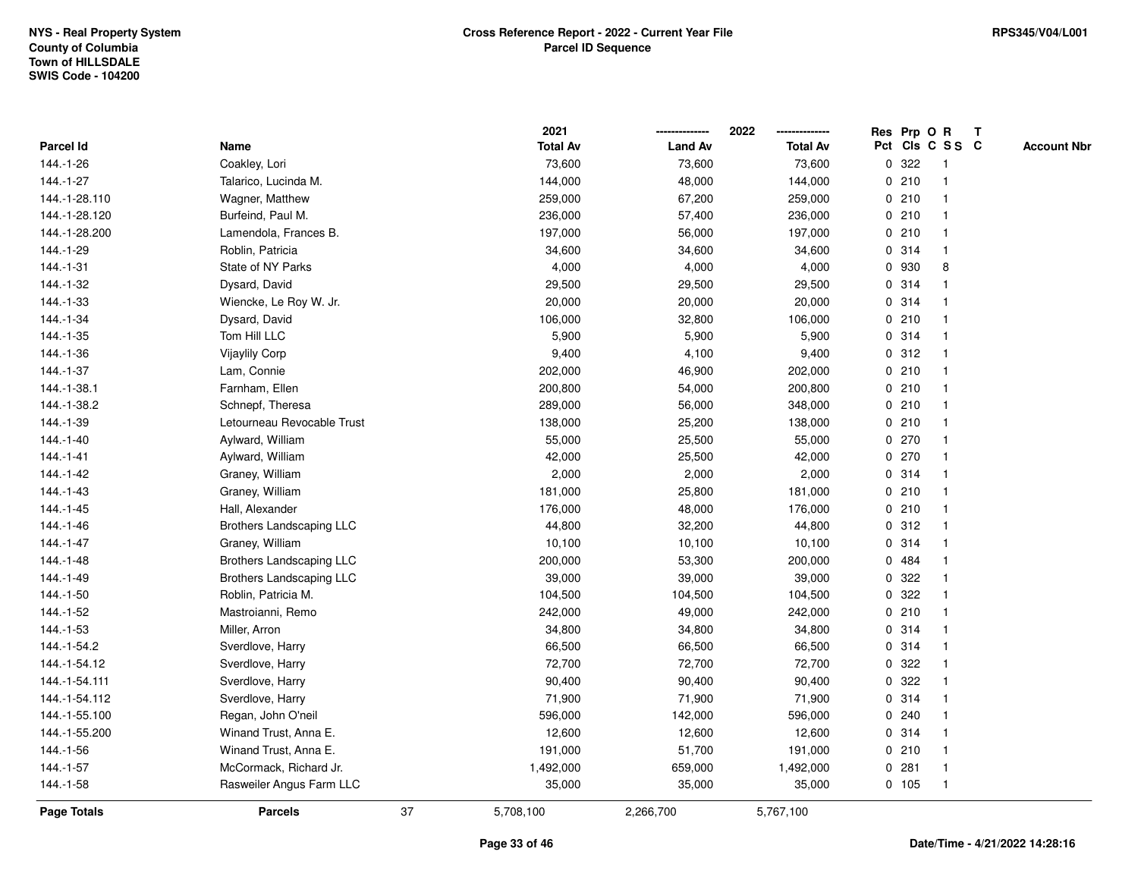|               |                                 |    | 2021            |                | 2022<br>-------------- |   | Res Prp O R |                 | T |                    |
|---------------|---------------------------------|----|-----------------|----------------|------------------------|---|-------------|-----------------|---|--------------------|
| Parcel Id     | Name                            |    | <b>Total Av</b> | <b>Land Av</b> | <b>Total Av</b>        |   |             | Pct Cls C S S C |   | <b>Account Nbr</b> |
| 144.-1-26     | Coakley, Lori                   |    | 73,600          | 73,600         | 73,600                 | 0 | 322         | $\overline{1}$  |   |                    |
| 144.-1-27     | Talarico, Lucinda M.            |    | 144,000         | 48,000         | 144,000                |   | 0210        | $\overline{1}$  |   |                    |
| 144.-1-28.110 | Wagner, Matthew                 |    | 259,000         | 67,200         | 259,000                |   | 0210        | $\mathbf{1}$    |   |                    |
| 144.-1-28.120 | Burfeind, Paul M.               |    | 236,000         | 57,400         | 236,000                |   | 0210        | -1              |   |                    |
| 144.-1-28.200 | Lamendola, Frances B.           |    | 197,000         | 56,000         | 197,000                |   | 0210        |                 |   |                    |
| 144.-1-29     | Roblin, Patricia                |    | 34,600          | 34,600         | 34,600                 |   | 0.314       |                 |   |                    |
| 144.-1-31     | State of NY Parks               |    | 4,000           | 4,000          | 4,000                  |   | 0 930       | 8               |   |                    |
| 144.-1-32     | Dysard, David                   |    | 29,500          | 29,500         | 29,500                 | 0 | 314         | -1              |   |                    |
| 144.-1-33     | Wiencke, Le Roy W. Jr.          |    | 20,000          | 20,000         | 20,000                 |   | 0.314       | -1              |   |                    |
| 144.-1-34     | Dysard, David                   |    | 106,000         | 32,800         | 106,000                |   | 0210        | $\mathbf 1$     |   |                    |
| 144.-1-35     | Tom Hill LLC                    |    | 5,900           | 5,900          | 5,900                  |   | 0.314       | 1               |   |                    |
| 144.-1-36     | Vijaylily Corp                  |    | 9,400           | 4,100          | 9,400                  |   | 0.312       |                 |   |                    |
| 144.-1-37     | Lam, Connie                     |    | 202,000         | 46,900         | 202,000                |   | 0210        |                 |   |                    |
| 144.-1-38.1   | Farnham, Ellen                  |    | 200,800         | 54,000         | 200,800                |   | 0210        |                 |   |                    |
| 144.-1-38.2   | Schnepf, Theresa                |    | 289,000         | 56,000         | 348,000                |   | 0210        | -1              |   |                    |
| 144.-1-39     | Letourneau Revocable Trust      |    | 138,000         | 25,200         | 138,000                |   | 0210        | $\overline{1}$  |   |                    |
| $144.-1-40$   | Aylward, William                |    | 55,000          | 25,500         | 55,000                 |   | 0270        | $\mathbf{1}$    |   |                    |
| $144.-1-41$   | Aylward, William                |    | 42,000          | 25,500         | 42,000                 |   | 0270        |                 |   |                    |
| 144.-1-42     | Graney, William                 |    | 2,000           | 2,000          | 2,000                  |   | 0.314       |                 |   |                    |
| 144.-1-43     | Graney, William                 |    | 181,000         | 25,800         | 181,000                |   | 0210        |                 |   |                    |
| 144.-1-45     | Hall, Alexander                 |    | 176,000         | 48,000         | 176,000                |   | 0210        | -1              |   |                    |
| 144.-1-46     | <b>Brothers Landscaping LLC</b> |    | 44,800          | 32,200         | 44,800                 |   | 0.312       | -1              |   |                    |
| 144.-1-47     | Graney, William                 |    | 10,100          | 10,100         | 10,100                 |   | 0.314       | $\overline{1}$  |   |                    |
| 144.-1-48     | <b>Brothers Landscaping LLC</b> |    | 200,000         | 53,300         | 200,000                |   | 0 484       | 1               |   |                    |
| 144.-1-49     | <b>Brothers Landscaping LLC</b> |    | 39,000          | 39,000         | 39,000                 |   | 0.322       |                 |   |                    |
| 144.-1-50     | Roblin, Patricia M.             |    | 104,500         | 104,500        | 104,500                |   | 0.322       |                 |   |                    |
| 144.-1-52     | Mastroianni, Remo               |    | 242,000         | 49,000         | 242,000                |   | 0210        |                 |   |                    |
| 144.-1-53     | Miller, Arron                   |    | 34,800          | 34,800         | 34,800                 |   | 0.314       |                 |   |                    |
| 144.-1-54.2   | Sverdlove, Harry                |    | 66,500          | 66,500         | 66,500                 |   | 0.314       | 1               |   |                    |
| 144.-1-54.12  | Sverdlove, Harry                |    | 72,700          | 72,700         | 72,700                 | 0 | 322         | -1              |   |                    |
| 144.-1-54.111 | Sverdlove, Harry                |    | 90,400          | 90,400         | 90,400                 |   | 0.322       | 1               |   |                    |
| 144.-1-54.112 | Sverdlove, Harry                |    | 71,900          | 71,900         | 71,900                 |   | 0.314       | 1               |   |                    |
| 144.-1-55.100 | Regan, John O'neil              |    | 596,000         | 142,000        | 596,000                |   | 0.240       |                 |   |                    |
| 144.-1-55.200 | Winand Trust, Anna E.           |    | 12,600          | 12,600         | 12,600                 |   | 0.314       |                 |   |                    |
| 144.-1-56     | Winand Trust, Anna E.           |    | 191,000         | 51,700         | 191,000                |   | 0210        | $\mathbf{1}$    |   |                    |
| 144.-1-57     | McCormack, Richard Jr.          |    | 1,492,000       | 659,000        | 1,492,000              | 0 | 281         | $\overline{1}$  |   |                    |
| 144.-1-58     | Rasweiler Angus Farm LLC        |    | 35,000          | 35,000         | 35,000                 |   | 0 105       | $\overline{1}$  |   |                    |
| Page Totals   | <b>Parcels</b>                  | 37 | 5,708,100       | 2,266,700      | 5,767,100              |   |             |                 |   |                    |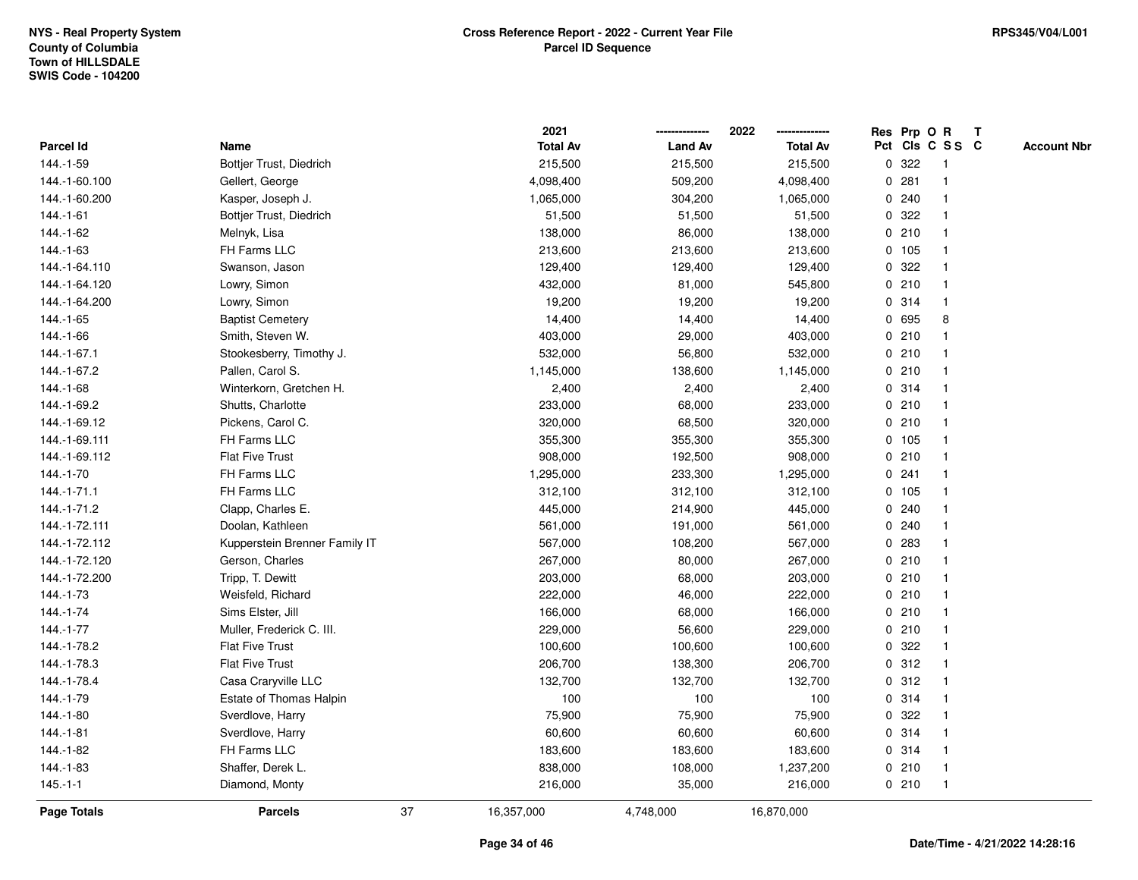|                   |                               |    | 2021            |                | 2022            |             |        | Res Prp O R     | T |                    |
|-------------------|-------------------------------|----|-----------------|----------------|-----------------|-------------|--------|-----------------|---|--------------------|
| <b>Parcel Id</b>  | Name                          |    | <b>Total Av</b> | <b>Land Av</b> | <b>Total Av</b> |             |        | Pct Cls C S S C |   | <b>Account Nbr</b> |
| 144.-1-59         | Bottjer Trust, Diedrich       |    | 215,500         | 215,500        | 215,500         | 0           | 322    | $\mathbf{1}$    |   |                    |
| 144.-1-60.100     | Gellert, George               |    | 4,098,400       | 509,200        | 4,098,400       | 0           | 281    |                 |   |                    |
| 144.-1-60.200     | Kasper, Joseph J.             |    | 1,065,000       | 304,200        | 1,065,000       |             | 0.240  | -1              |   |                    |
| 144.-1-61         | Bottjer Trust, Diedrich       |    | 51,500          | 51,500         | 51,500          |             | 0 322  |                 |   |                    |
| 144.-1-62         | Melnyk, Lisa                  |    | 138,000         | 86,000         | 138,000         |             | 0210   |                 |   |                    |
| 144.-1-63         | FH Farms LLC                  |    | 213,600         | 213,600        | 213,600         |             | 0 105  |                 |   |                    |
| 144.-1-64.110     | Swanson, Jason                |    | 129,400         | 129,400        | 129,400         |             | 0.322  |                 |   |                    |
| 144.-1-64.120     | Lowry, Simon                  |    | 432,000         | 81,000         | 545,800         |             | 0210   |                 |   |                    |
| 144.-1-64.200     | Lowry, Simon                  |    | 19,200          | 19,200         | 19,200          |             | 0.314  | $\overline{1}$  |   |                    |
| 144.-1-65         | <b>Baptist Cemetery</b>       |    | 14,400          | 14,400         | 14,400          |             | 0 695  | 8               |   |                    |
| 144.-1-66         | Smith, Steven W.              |    | 403,000         | 29,000         | 403,000         |             | 0210   |                 |   |                    |
| 144.-1-67.1       | Stookesberry, Timothy J.      |    | 532,000         | 56,800         | 532,000         |             | 0210   |                 |   |                    |
| 144.-1-67.2       | Pallen, Carol S.              |    | 1,145,000       | 138,600        | 1,145,000       |             | 0210   |                 |   |                    |
| 144.-1-68         | Winterkorn, Gretchen H.       |    | 2,400           | 2,400          | 2,400           |             | 0.314  |                 |   |                    |
| 144.-1-69.2       | Shutts, Charlotte             |    | 233,000         | 68,000         | 233,000         |             | 0210   |                 |   |                    |
| 144.-1-69.12      | Pickens, Carol C.             |    | 320,000         | 68,500         | 320,000         |             | 0210   | $\mathbf{1}$    |   |                    |
| 144.-1-69.111     | FH Farms LLC                  |    | 355,300         | 355,300        | 355,300         |             | 0 105  |                 |   |                    |
| 144.-1-69.112     | <b>Flat Five Trust</b>        |    | 908,000         | 192,500        | 908,000         |             | 0210   |                 |   |                    |
| 144.-1-70         | FH Farms LLC                  |    | 1,295,000       | 233,300        | 1,295,000       |             | 0.241  |                 |   |                    |
| $144. - 1 - 71.1$ | FH Farms LLC                  |    | 312,100         | 312,100        | 312,100         |             | 0, 105 |                 |   |                    |
| 144.-1-71.2       | Clapp, Charles E.             |    | 445,000         | 214,900        | 445,000         |             | 0.240  |                 |   |                    |
| 144.-1-72.111     | Doolan, Kathleen              |    | 561,000         | 191,000        | 561,000         |             | 0.240  |                 |   |                    |
| 144.-1-72.112     | Kupperstein Brenner Family IT |    | 567,000         | 108,200        | 567,000         | 0           | 283    |                 |   |                    |
| 144.-1-72.120     | Gerson, Charles               |    | 267,000         | 80,000         | 267,000         | $\mathbf 0$ | 210    |                 |   |                    |
| 144.-1-72.200     | Tripp, T. Dewitt              |    | 203,000         | 68,000         | 203,000         |             | 0210   |                 |   |                    |
| 144.-1-73         | Weisfeld, Richard             |    | 222,000         | 46,000         | 222,000         |             | 0210   |                 |   |                    |
| 144.-1-74         | Sims Elster, Jill             |    | 166,000         | 68,000         | 166,000         |             | 0210   |                 |   |                    |
| 144.-1-77         | Muller, Frederick C. III.     |    | 229,000         | 56,600         | 229,000         |             | 0210   |                 |   |                    |
| 144.-1-78.2       | <b>Flat Five Trust</b>        |    | 100,600         | 100,600        | 100,600         | $\mathbf 0$ | 322    |                 |   |                    |
| 144.-1-78.3       | <b>Flat Five Trust</b>        |    | 206,700         | 138,300        | 206,700         | 0           | 312    |                 |   |                    |
| 144.-1-78.4       | Casa Craryville LLC           |    | 132,700         | 132,700        | 132,700         |             | 0.312  |                 |   |                    |
| 144.-1-79         | Estate of Thomas Halpin       |    | 100             | 100            | 100             |             | 0 314  | $\mathbf 1$     |   |                    |
| 144.-1-80         | Sverdlove, Harry              |    | 75,900          | 75,900         | 75,900          |             | 0.322  |                 |   |                    |
| 144.-1-81         | Sverdlove, Harry              |    | 60,600          | 60,600         | 60,600          |             | 0 314  |                 |   |                    |
| 144.-1-82         | FH Farms LLC                  |    | 183,600         | 183,600        | 183,600         |             | 0 314  |                 |   |                    |
| 144.-1-83         | Shaffer, Derek L.             |    | 838,000         | 108,000        | 1,237,200       |             | 0210   | $\mathbf{1}$    |   |                    |
| $145.-1-1$        | Diamond, Monty                |    | 216,000         | 35,000         | 216,000         |             | 0210   | $\overline{1}$  |   |                    |
| Page Totals       | <b>Parcels</b>                | 37 | 16,357,000      | 4,748,000      | 16,870,000      |             |        |                 |   |                    |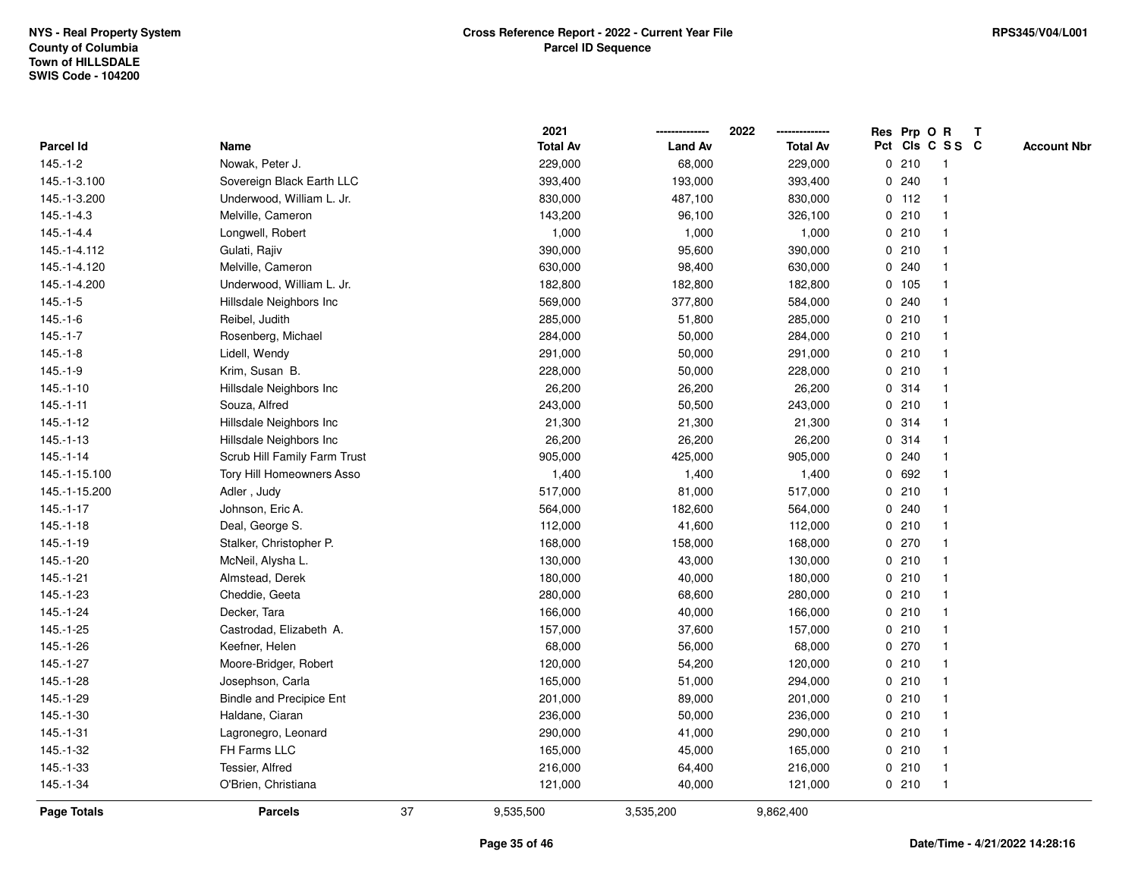|                  |                                 |    | 2021            |                | 2022            | Res Prp O |         | $\mathsf R$     | $\mathbf{T}$ |                    |
|------------------|---------------------------------|----|-----------------|----------------|-----------------|-----------|---------|-----------------|--------------|--------------------|
| <b>Parcel Id</b> | Name                            |    | <b>Total Av</b> | <b>Land Av</b> | <b>Total Av</b> |           |         | Pct Cls C S S C |              | <b>Account Nbr</b> |
| $145.-1-2$       | Nowak, Peter J.                 |    | 229,000         | 68,000         | 229,000         |           | 0210    |                 |              |                    |
| 145.-1-3.100     | Sovereign Black Earth LLC       |    | 393,400         | 193,000        | 393,400         | 0         | 240     |                 |              |                    |
| 145.-1-3.200     | Underwood, William L. Jr.       |    | 830,000         | 487,100        | 830,000         |           | $0$ 112 |                 |              |                    |
| $145 - 1 - 4.3$  | Melville, Cameron               |    | 143,200         | 96,100         | 326,100         | 0         | 210     | -1              |              |                    |
| $145.-1-4.4$     | Longwell, Robert                |    | 1,000           | 1,000          | 1,000           |           | 0210    |                 |              |                    |
| 145.-1-4.112     | Gulati, Rajiv                   |    | 390,000         | 95,600         | 390,000         |           | 0210    |                 |              |                    |
| 145.-1-4.120     | Melville, Cameron               |    | 630,000         | 98,400         | 630,000         |           | 0.240   |                 |              |                    |
| 145.-1-4.200     | Underwood, William L. Jr.       |    | 182,800         | 182,800        | 182,800         |           | 0 105   |                 |              |                    |
| $145 - 1 - 5$    | Hillsdale Neighbors Inc         |    | 569,000         | 377,800        | 584,000         |           | 0.240   |                 |              |                    |
| $145.-1-6$       | Reibel, Judith                  |    | 285,000         | 51,800         | 285,000         |           | 0210    |                 |              |                    |
| $145.-1-7$       | Rosenberg, Michael              |    | 284,000         | 50,000         | 284,000         |           | 0210    |                 |              |                    |
| $145.-1-8$       | Lidell, Wendy                   |    | 291,000         | 50,000         | 291,000         |           | 0210    |                 |              |                    |
| $145.-1-9$       | Krim, Susan B.                  |    | 228,000         | 50,000         | 228,000         |           | 0210    |                 |              |                    |
| $145.-1-10$      | Hillsdale Neighbors Inc         |    | 26,200          | 26,200         | 26,200          |           | 0.314   |                 |              |                    |
| $145.-1-11$      | Souza, Alfred                   |    | 243,000         | 50,500         | 243,000         |           | 0210    |                 |              |                    |
| $145.-1-12$      | Hillsdale Neighbors Inc         |    | 21,300          | 21,300         | 21,300          |           | 0.314   |                 |              |                    |
| $145.-1-13$      | Hillsdale Neighbors Inc         |    | 26,200          | 26,200         | 26,200          | 0         | 314     |                 |              |                    |
| $145 - 1 - 14$   | Scrub Hill Family Farm Trust    |    | 905,000         | 425,000        | 905,000         | 0         | 240     |                 |              |                    |
| 145.-1-15.100    | Tory Hill Homeowners Asso       |    | 1,400           | 1,400          | 1,400           |           | 0 692   |                 |              |                    |
| 145.-1-15.200    | Adler, Judy                     |    | 517,000         | 81,000         | 517,000         |           | 0210    |                 |              |                    |
| $145.-1-17$      | Johnson, Eric A.                |    | 564,000         | 182,600        | 564,000         |           | 0.240   |                 |              |                    |
| $145.-1-18$      | Deal, George S.                 |    | 112,000         | 41,600         | 112,000         |           | 0210    |                 |              |                    |
| 145.-1-19        | Stalker, Christopher P.         |    | 168,000         | 158,000        | 168,000         |           | 0 270   |                 |              |                    |
| $145.-1-20$      | McNeil, Alysha L.               |    | 130,000         | 43,000         | 130,000         | 0         | 210     |                 |              |                    |
| $145.-1-21$      | Almstead, Derek                 |    | 180,000         | 40,000         | 180,000         |           | 0210    |                 |              |                    |
| 145.-1-23        | Cheddie, Geeta                  |    | 280,000         | 68,600         | 280,000         |           | 0210    |                 |              |                    |
| $145.-1-24$      | Decker, Tara                    |    | 166,000         | 40,000         | 166,000         |           | 0210    |                 |              |                    |
| 145.-1-25        | Castrodad, Elizabeth A.         |    | 157,000         | 37,600         | 157,000         |           | 0210    |                 |              |                    |
| 145.-1-26        | Keefner, Helen                  |    | 68,000          | 56,000         | 68,000          |           | 0 270   |                 |              |                    |
| 145.-1-27        | Moore-Bridger, Robert           |    | 120,000         | 54,200         | 120,000         |           | 0210    |                 |              |                    |
| 145.-1-28        | Josephson, Carla                |    | 165,000         | 51,000         | 294,000         |           | 0210    |                 |              |                    |
| 145.-1-29        | <b>Bindle and Precipice Ent</b> |    | 201,000         | 89,000         | 201,000         |           | 0210    |                 |              |                    |
| 145.-1-30        | Haldane, Ciaran                 |    | 236,000         | 50,000         | 236,000         |           | 0210    |                 |              |                    |
| $145.-1-31$      | Lagronegro, Leonard             |    | 290,000         | 41,000         | 290,000         |           | 0210    |                 |              |                    |
| 145.-1-32        | FH Farms LLC                    |    | 165,000         | 45,000         | 165,000         |           | 0210    |                 |              |                    |
| 145.-1-33        | Tessier, Alfred                 |    | 216,000         | 64,400         | 216,000         |           | 0210    | $\mathbf 1$     |              |                    |
| 145.-1-34        | O'Brien, Christiana             |    | 121,000         | 40,000         | 121,000         |           | 0210    | $\mathbf 1$     |              |                    |
| Page Totals      | <b>Parcels</b>                  | 37 | 9,535,500       | 3,535,200      | 9,862,400       |           |         |                 |              |                    |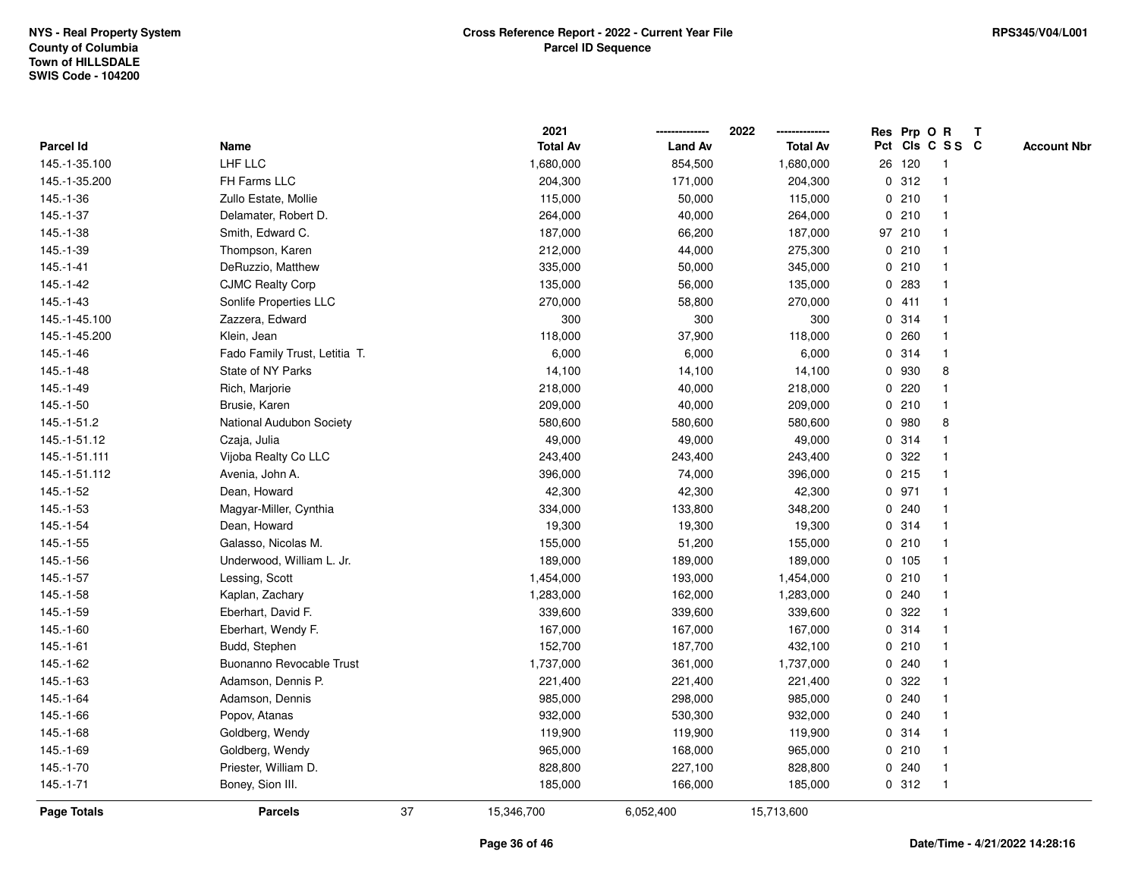|                    |                               |    | 2021            |                | 2022            |   | Res Prp O R |                         | T |                    |
|--------------------|-------------------------------|----|-----------------|----------------|-----------------|---|-------------|-------------------------|---|--------------------|
| Parcel Id          | Name                          |    | <b>Total Av</b> | <b>Land Av</b> | <b>Total Av</b> |   |             | Pct Cls C S S C         |   | <b>Account Nbr</b> |
| 145.-1-35.100      | LHF LLC                       |    | 1,680,000       | 854,500        | 1,680,000       |   | 26 120      | $\overline{1}$          |   |                    |
| 145.-1-35.200      | FH Farms LLC                  |    | 204,300         | 171,000        | 204,300         |   | 0.312       | $\overline{\mathbf{1}}$ |   |                    |
| 145.-1-36          | Zullo Estate, Mollie          |    | 115,000         | 50,000         | 115,000         |   | 0210        | -1                      |   |                    |
| 145.-1-37          | Delamater, Robert D.          |    | 264,000         | 40,000         | 264,000         |   | 0210        | -1                      |   |                    |
| 145.-1-38          | Smith, Edward C.              |    | 187,000         | 66,200         | 187,000         |   | 97 210      |                         |   |                    |
| 145.-1-39          | Thompson, Karen               |    | 212,000         | 44,000         | 275,300         |   | 0210        |                         |   |                    |
| $145 - 1 - 41$     | DeRuzzio, Matthew             |    | 335,000         | 50,000         | 345,000         |   | 0210        |                         |   |                    |
| $145.-1-42$        | <b>CJMC Realty Corp</b>       |    | 135,000         | 56,000         | 135,000         |   | 0.283       | $\overline{\mathbf{1}}$ |   |                    |
| 145.-1-43          | Sonlife Properties LLC        |    | 270,000         | 58,800         | 270,000         |   | 0411        | -1                      |   |                    |
| 145.-1-45.100      | Zazzera, Edward               |    | 300             | 300            | 300             |   | 0.314       | $\mathbf{1}$            |   |                    |
| 145.-1-45.200      | Klein, Jean                   |    | 118,000         | 37,900         | 118,000         |   | 0.260       |                         |   |                    |
| 145.-1-46          | Fado Family Trust, Letitia T. |    | 6,000           | 6,000          | 6,000           |   | 0.314       |                         |   |                    |
| 145.-1-48          | State of NY Parks             |    | 14,100          | 14,100         | 14,100          |   | 0 930       | 8                       |   |                    |
| 145.-1-49          | Rich, Marjorie                |    | 218,000         | 40,000         | 218,000         |   | 0.220       |                         |   |                    |
| 145.-1-50          | Brusie, Karen                 |    | 209,000         | 40,000         | 209,000         |   | 0210        |                         |   |                    |
| 145.-1-51.2        | National Audubon Society      |    | 580,600         | 580,600        | 580,600         |   | 0 980       | 8                       |   |                    |
| 145.-1-51.12       | Czaja, Julia                  |    | 49,000          | 49,000         | 49,000          |   | 0.314       |                         |   |                    |
| 145.-1-51.111      | Vijoba Realty Co LLC          |    | 243,400         | 243,400        | 243,400         |   | 0 322       |                         |   |                    |
| 145.-1-51.112      | Avenia, John A.               |    | 396,000         | 74,000         | 396,000         |   | $0$ 215     |                         |   |                    |
| 145.-1-52          | Dean, Howard                  |    | 42,300          | 42,300         | 42,300          |   | 0 971       |                         |   |                    |
| 145.-1-53          | Magyar-Miller, Cynthia        |    | 334,000         | 133,800        | 348,200         |   | 0.240       |                         |   |                    |
| 145.-1-54          | Dean, Howard                  |    | 19,300          | 19,300         | 19,300          |   | 0.314       |                         |   |                    |
| 145.-1-55          | Galasso, Nicolas M.           |    | 155,000         | 51,200         | 155,000         |   | 0210        | $\overline{\mathbf{1}}$ |   |                    |
| 145.-1-56          | Underwood, William L. Jr.     |    | 189,000         | 189,000        | 189,000         |   | 0 105       |                         |   |                    |
| 145.-1-57          | Lessing, Scott                |    | 1,454,000       | 193,000        | 1,454,000       |   | 0210        |                         |   |                    |
| $145.-1-58$        | Kaplan, Zachary               |    | 1,283,000       | 162,000        | 1,283,000       |   | 0.240       |                         |   |                    |
| 145.-1-59          | Eberhart, David F.            |    | 339,600         | 339,600        | 339,600         |   | 0.322       |                         |   |                    |
| 145.-1-60          | Eberhart, Wendy F.            |    | 167,000         | 167,000        | 167,000         |   | 0.314       |                         |   |                    |
| $145.-1-61$        | Budd, Stephen                 |    | 152,700         | 187,700        | 432,100         |   | 0210        | -1                      |   |                    |
| 145.-1-62          | Buonanno Revocable Trust      |    | 1,737,000       | 361,000        | 1,737,000       |   | 0.240       | -1                      |   |                    |
| 145.-1-63          | Adamson, Dennis P.            |    | 221,400         | 221,400        | 221,400         | 0 | 322         | -1                      |   |                    |
| 145.-1-64          | Adamson, Dennis               |    | 985,000         | 298,000        | 985,000         |   | 0.240       |                         |   |                    |
| 145.-1-66          | Popov, Atanas                 |    | 932,000         | 530,300        | 932,000         |   | 0.240       |                         |   |                    |
| 145.-1-68          | Goldberg, Wendy               |    | 119,900         | 119,900        | 119,900         |   | 0.314       |                         |   |                    |
| 145.-1-69          | Goldberg, Wendy               |    | 965,000         | 168,000        | 965,000         |   | 0210        | -1                      |   |                    |
| 145.-1-70          | Priester, William D.          |    | 828,800         | 227,100        | 828,800         |   | 0.240       | $\overline{\mathbf{1}}$ |   |                    |
| $145.-1-71$        | Boney, Sion III.              |    | 185,000         | 166,000        | 185,000         |   | 0.312       | $\overline{1}$          |   |                    |
| <b>Page Totals</b> | <b>Parcels</b>                | 37 | 15,346,700      | 6,052,400      | 15,713,600      |   |             |                         |   |                    |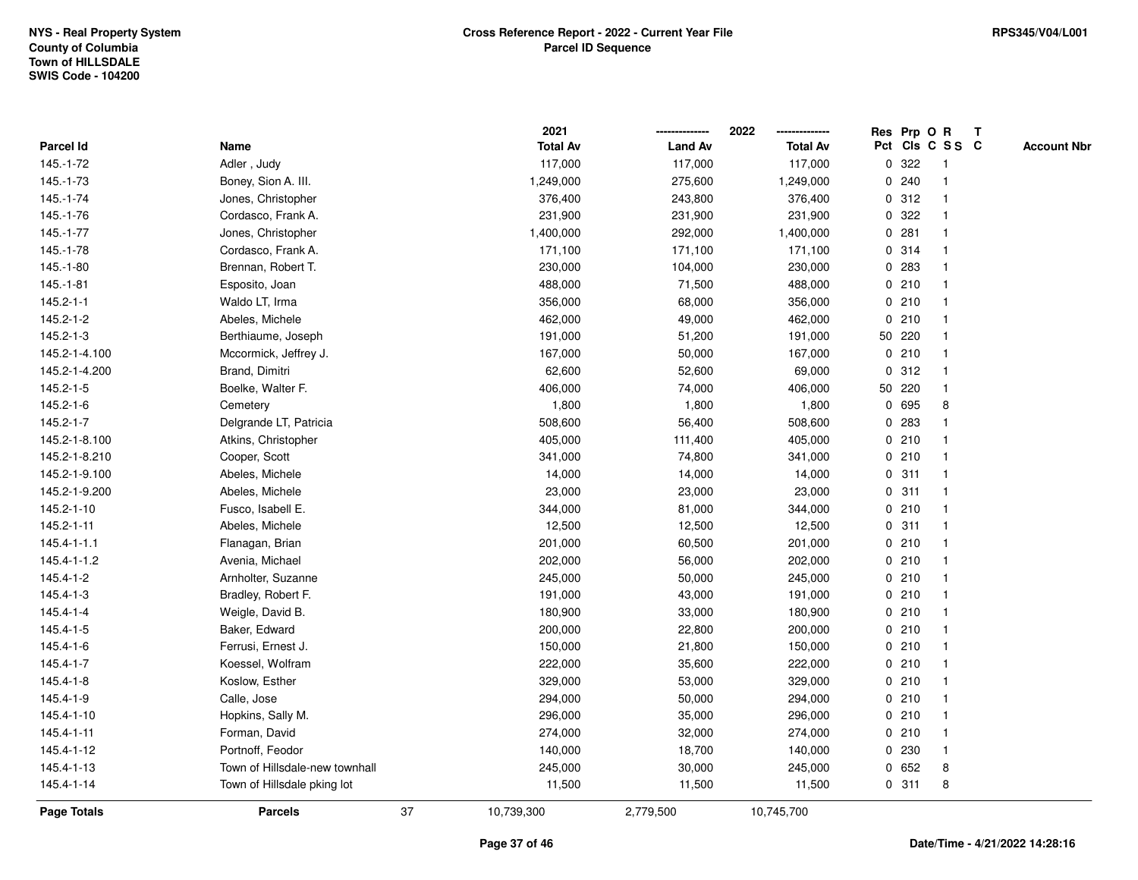|                    |                                |    | 2021            |                | 2022            |             |        | Res Prp O R     | T |                    |
|--------------------|--------------------------------|----|-----------------|----------------|-----------------|-------------|--------|-----------------|---|--------------------|
| Parcel Id          | Name                           |    | <b>Total Av</b> | <b>Land Av</b> | <b>Total Av</b> |             |        | Pct Cls C S S C |   | <b>Account Nbr</b> |
| 145.-1-72          | Adler, Judy                    |    | 117,000         | 117,000        | 117,000         | 0           | 322    | -1              |   |                    |
| 145.-1-73          | Boney, Sion A. III.            |    | 1,249,000       | 275,600        | 1,249,000       | 0           | 240    | $\overline{1}$  |   |                    |
| 145.-1-74          | Jones, Christopher             |    | 376,400         | 243,800        | 376,400         |             | 0.312  | $\mathbf{1}$    |   |                    |
| 145.-1-76          | Cordasco, Frank A.             |    | 231,900         | 231,900        | 231,900         |             | 0 322  |                 |   |                    |
| $145.-1-77$        | Jones, Christopher             |    | 1,400,000       | 292,000        | 1,400,000       |             | 0.281  |                 |   |                    |
| 145.-1-78          | Cordasco, Frank A.             |    | 171,100         | 171,100        | 171,100         |             | 0 314  |                 |   |                    |
| 145.-1-80          | Brennan, Robert T.             |    | 230,000         | 104,000        | 230,000         |             | 0.283  |                 |   |                    |
| $145.-1-81$        | Esposito, Joan                 |    | 488,000         | 71,500         | 488,000         | 0           | 210    | $\mathbf{1}$    |   |                    |
| 145.2-1-1          | Waldo LT, Irma                 |    | 356,000         | 68,000         | 356,000         |             | 0210   | -1              |   |                    |
| 145.2-1-2          | Abeles, Michele                |    | 462,000         | 49,000         | 462,000         |             | 0210   | -1              |   |                    |
| 145.2-1-3          | Berthiaume, Joseph             |    | 191,000         | 51,200         | 191,000         |             | 50 220 |                 |   |                    |
| 145.2-1-4.100      | Mccormick, Jeffrey J.          |    | 167,000         | 50,000         | 167,000         |             | 0210   |                 |   |                    |
| 145.2-1-4.200      | Brand, Dimitri                 |    | 62,600          | 52,600         | 69,000          |             | 0.312  |                 |   |                    |
| 145.2-1-5          | Boelke, Walter F.              |    | 406,000         | 74,000         | 406,000         |             | 50 220 |                 |   |                    |
| 145.2-1-6          | Cemetery                       |    | 1,800           | 1,800          | 1,800           | $\mathbf 0$ | 695    | 8               |   |                    |
| 145.2-1-7          | Delgrande LT, Patricia         |    | 508,600         | 56,400         | 508,600         | 0           | 283    | $\overline{1}$  |   |                    |
| 145.2-1-8.100      | Atkins, Christopher            |    | 405,000         | 111,400        | 405,000         |             | 0210   | $\mathbf{1}$    |   |                    |
| 145.2-1-8.210      | Cooper, Scott                  |    | 341,000         | 74,800         | 341,000         |             | 0210   |                 |   |                    |
| 145.2-1-9.100      | Abeles, Michele                |    | 14,000          | 14,000         | 14,000          |             | 0.311  |                 |   |                    |
| 145.2-1-9.200      | Abeles, Michele                |    | 23,000          | 23,000         | 23,000          |             | 0.311  |                 |   |                    |
| 145.2-1-10         | Fusco, Isabell E.              |    | 344,000         | 81,000         | 344,000         |             | 0210   |                 |   |                    |
| 145.2-1-11         | Abeles, Michele                |    | 12,500          | 12,500         | 12,500          |             | 0.311  |                 |   |                    |
| 145.4-1-1.1        | Flanagan, Brian                |    | 201,000         | 60,500         | 201,000         |             | 0210   | -1              |   |                    |
| 145.4-1-1.2        | Avenia, Michael                |    | 202,000         | 56,000         | 202,000         |             | 0210   | $\overline{1}$  |   |                    |
| 145.4-1-2          | Arnholter, Suzanne             |    | 245,000         | 50,000         | 245,000         |             | 0210   | -1              |   |                    |
| 145.4-1-3          | Bradley, Robert F.             |    | 191,000         | 43,000         | 191,000         |             | 0210   |                 |   |                    |
| 145.4-1-4          | Weigle, David B.               |    | 180,900         | 33,000         | 180,900         |             | 0210   |                 |   |                    |
| 145.4-1-5          | Baker, Edward                  |    | 200,000         | 22,800         | 200,000         |             | 0210   |                 |   |                    |
| 145.4-1-6          | Ferrusi, Ernest J.             |    | 150,000         | 21,800         | 150,000         |             | 0210   |                 |   |                    |
| $145.4 - 1 - 7$    | Koessel, Wolfram               |    | 222,000         | 35,600         | 222,000         | 0           | 210    | -1              |   |                    |
| 145.4-1-8          | Koslow, Esther                 |    | 329,000         | 53,000         | 329,000         |             | 0210   | -1              |   |                    |
| 145.4-1-9          | Calle, Jose                    |    | 294,000         | 50,000         | 294,000         |             | 0210   | -1              |   |                    |
| 145.4-1-10         | Hopkins, Sally M.              |    | 296,000         | 35,000         | 296,000         |             | 0210   |                 |   |                    |
| 145.4-1-11         | Forman, David                  |    | 274,000         | 32,000         | 274,000         |             | 0210   |                 |   |                    |
| 145.4-1-12         | Portnoff, Feodor               |    | 140,000         | 18,700         | 140,000         |             | 0 230  | -1              |   |                    |
| 145.4-1-13         | Town of Hillsdale-new townhall |    | 245,000         | 30,000         | 245,000         | 0           | 652    | 8               |   |                    |
| 145.4-1-14         | Town of Hillsdale pking lot    |    | 11,500          | 11,500         | 11,500          |             | 0.311  | 8               |   |                    |
| <b>Page Totals</b> | <b>Parcels</b>                 | 37 | 10,739,300      | 2,779,500      | 10,745,700      |             |        |                 |   |                    |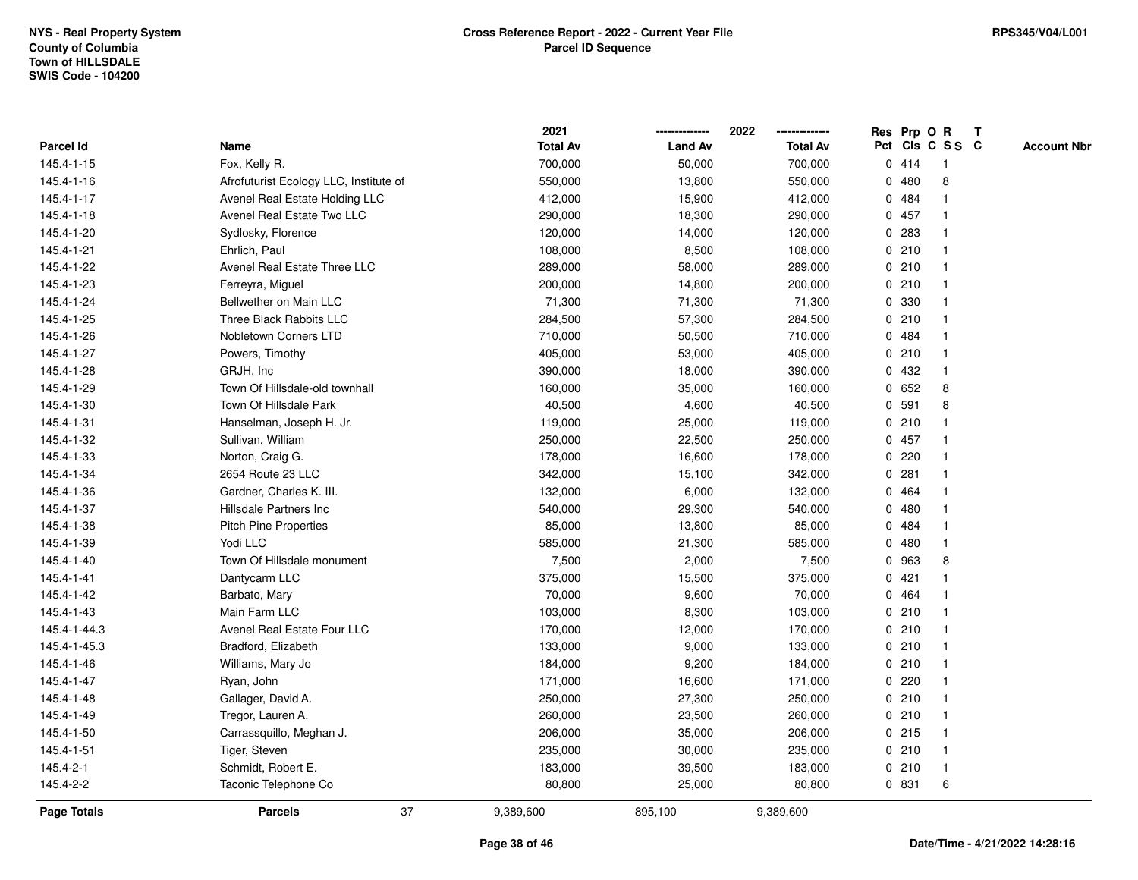|              |                                        | 2021            |                | 2022<br>-------------- |   |         | Res Prp O R             | T |                    |
|--------------|----------------------------------------|-----------------|----------------|------------------------|---|---------|-------------------------|---|--------------------|
| Parcel Id    | Name                                   | <b>Total Av</b> | <b>Land Av</b> | <b>Total Av</b>        |   |         | Pct Cls C S S C         |   | <b>Account Nbr</b> |
| 145.4-1-15   | Fox, Kelly R.                          | 700,000         | 50,000         | 700,000                |   | 0414    | -1                      |   |                    |
| 145.4-1-16   | Afrofuturist Ecology LLC, Institute of | 550,000         | 13,800         | 550,000                |   | 0480    | 8                       |   |                    |
| 145.4-1-17   | Avenel Real Estate Holding LLC         | 412,000         | 15,900         | 412,000                |   | 0 484   | 1                       |   |                    |
| 145.4-1-18   | Avenel Real Estate Two LLC             | 290,000         | 18,300         | 290,000                |   | 0 457   | 1                       |   |                    |
| 145.4-1-20   | Sydlosky, Florence                     | 120,000         | 14,000         | 120,000                |   | 0 283   |                         |   |                    |
| 145.4-1-21   | Ehrlich, Paul                          | 108,000         | 8,500          | 108,000                |   | 0210    |                         |   |                    |
| 145.4-1-22   | Avenel Real Estate Three LLC           | 289,000         | 58,000         | 289,000                |   | 0210    |                         |   |                    |
| 145.4-1-23   | Ferreyra, Miguel                       | 200,000         | 14,800         | 200,000                |   | 0210    | $\overline{\mathbf{1}}$ |   |                    |
| 145.4-1-24   | Bellwether on Main LLC                 | 71,300          | 71,300         | 71,300                 |   | 0 330   | -1                      |   |                    |
| 145.4-1-25   | Three Black Rabbits LLC                | 284,500         | 57,300         | 284,500                |   | 0210    | $\mathbf{1}$            |   |                    |
| 145.4-1-26   | Nobletown Corners LTD                  | 710,000         | 50,500         | 710,000                |   | 0 484   |                         |   |                    |
| 145.4-1-27   | Powers, Timothy                        | 405,000         | 53,000         | 405,000                |   | 0210    |                         |   |                    |
| 145.4-1-28   | GRJH, Inc.                             | 390,000         | 18,000         | 390,000                |   | 0 432   |                         |   |                    |
| 145.4-1-29   | Town Of Hillsdale-old townhall         | 160,000         | 35,000         | 160,000                |   | 0652    | 8                       |   |                    |
| 145.4-1-30   | Town Of Hillsdale Park                 | 40,500          | 4,600          | 40,500                 | 0 | 591     | 8                       |   |                    |
| 145.4-1-31   | Hanselman, Joseph H. Jr.               | 119,000         | 25,000         | 119,000                | 0 | 210     | $\mathbf{1}$            |   |                    |
| 145.4-1-32   | Sullivan, William                      | 250,000         | 22,500         | 250,000                |   | 0 457   | 1                       |   |                    |
| 145.4-1-33   | Norton, Craig G.                       | 178,000         | 16,600         | 178,000                |   | 0220    | 1                       |   |                    |
| 145.4-1-34   | 2654 Route 23 LLC                      | 342,000         | 15,100         | 342,000                |   | 0.281   |                         |   |                    |
| 145.4-1-36   | Gardner, Charles K. III.               | 132,000         | 6,000          | 132,000                |   | 0 464   |                         |   |                    |
| 145.4-1-37   | Hillsdale Partners Inc                 | 540,000         | 29,300         | 540,000                |   | 0480    |                         |   |                    |
| 145.4-1-38   | <b>Pitch Pine Properties</b>           | 85,000          | 13,800         | 85,000                 |   | 0 484   |                         |   |                    |
| 145.4-1-39   | Yodi LLC                               | 585,000         | 21,300         | 585,000                |   | 0480    | $\overline{\mathbf{1}}$ |   |                    |
| 145.4-1-40   | Town Of Hillsdale monument             | 7,500           | 2,000          | 7,500                  | 0 | 963     | 8                       |   |                    |
| 145.4-1-41   | Dantycarm LLC                          | 375,000         | 15,500         | 375,000                |   | 0421    | -1                      |   |                    |
| 145.4-1-42   | Barbato, Mary                          | 70,000          | 9,600          | 70,000                 |   | 0 464   |                         |   |                    |
| 145.4-1-43   | Main Farm LLC                          | 103,000         | 8,300          | 103,000                |   | 0210    |                         |   |                    |
| 145.4-1-44.3 | Avenel Real Estate Four LLC            | 170,000         | 12,000         | 170,000                |   | 0210    |                         |   |                    |
| 145.4-1-45.3 | Bradford, Elizabeth                    | 133,000         | 9,000          | 133,000                |   | 0210    | $\overline{1}$          |   |                    |
| 145.4-1-46   | Williams, Mary Jo                      | 184,000         | 9,200          | 184,000                |   | 0210    | -1                      |   |                    |
| 145.4-1-47   | Ryan, John                             | 171,000         | 16,600         | 171,000                |   | 0220    | $\mathbf{1}$            |   |                    |
| 145.4-1-48   | Gallager, David A.                     | 250,000         | 27,300         | 250,000                |   | 0210    | -1                      |   |                    |
| 145.4-1-49   | Tregor, Lauren A.                      | 260,000         | 23,500         | 260,000                |   | 0210    | -1                      |   |                    |
| 145.4-1-50   | Carrassquillo, Meghan J.               | 206,000         | 35,000         | 206,000                |   | $0$ 215 |                         |   |                    |
| 145.4-1-51   | Tiger, Steven                          | 235,000         | 30,000         | 235,000                |   | 0210    | $\mathbf{1}$            |   |                    |
| 145.4-2-1    | Schmidt, Robert E.                     | 183,000         | 39,500         | 183,000                |   | 0210    | $\overline{\mathbf{1}}$ |   |                    |
| 145.4-2-2    | Taconic Telephone Co                   | 80,800          | 25,000         | 80,800                 |   | 0 831   | 6                       |   |                    |
| Page Totals  | 37<br><b>Parcels</b>                   | 9,389,600       | 895,100        | 9,389,600              |   |         |                         |   |                    |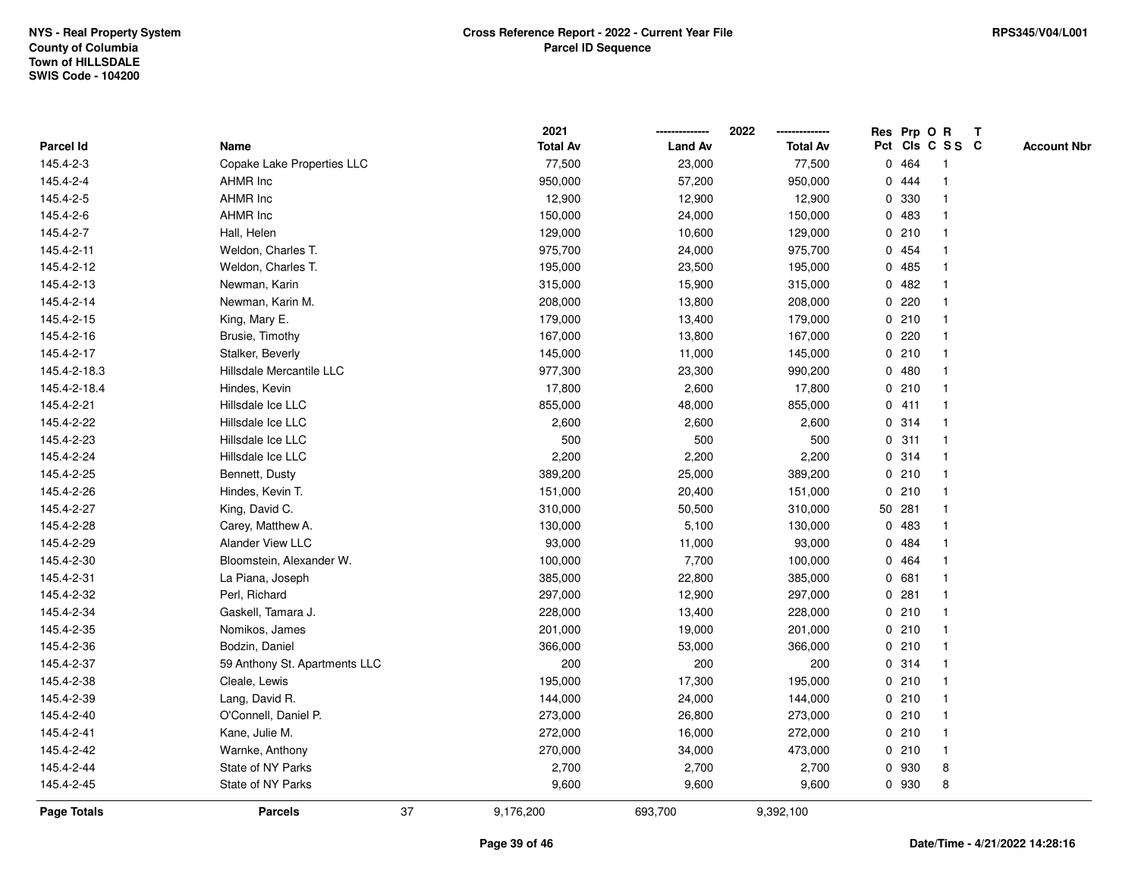|              |                               |    | 2021            | --------------- | 2022<br>-------------- |   |         | Res Prp O R             | Т               |                    |
|--------------|-------------------------------|----|-----------------|-----------------|------------------------|---|---------|-------------------------|-----------------|--------------------|
| Parcel Id    | Name                          |    | <b>Total Av</b> | <b>Land Av</b>  | <b>Total Av</b>        |   |         |                         | Pct Cls C S S C | <b>Account Nbr</b> |
| 145.4-2-3    | Copake Lake Properties LLC    |    | 77,500          | 23,000          | 77,500                 |   | 0 464   | -1                      |                 |                    |
| 145.4-2-4    | <b>AHMR Inc</b>               |    | 950,000         | 57,200          | 950,000                |   | 0 444   | -1                      |                 |                    |
| 145.4-2-5    | AHMR Inc                      |    | 12,900          | 12,900          | 12,900                 |   | 0 330   | -1                      |                 |                    |
| 145.4-2-6    | AHMR Inc                      |    | 150,000         | 24,000          | 150,000                |   | 0 483   |                         |                 |                    |
| 145.4-2-7    | Hall, Helen                   |    | 129,000         | 10,600          | 129,000                |   | 0210    |                         |                 |                    |
| 145.4-2-11   | Weldon, Charles T.            |    | 975,700         | 24,000          | 975,700                |   | 0 454   |                         |                 |                    |
| 145.4-2-12   | Weldon, Charles T.            |    | 195,000         | 23,500          | 195,000                |   | 0485    | 1                       |                 |                    |
| 145.4-2-13   | Newman, Karin                 |    | 315,000         | 15,900          | 315,000                |   | 0482    |                         |                 |                    |
| 145.4-2-14   | Newman, Karin M.              |    | 208,000         | 13,800          | 208,000                | 0 | 220     | $\mathbf{1}$            |                 |                    |
| 145.4-2-15   | King, Mary E.                 |    | 179,000         | 13,400          | 179,000                |   | 0210    | $\mathbf{1}$            |                 |                    |
| 145.4-2-16   | Brusie, Timothy               |    | 167,000         | 13,800          | 167,000                |   | $0$ 220 |                         |                 |                    |
| 145.4-2-17   | Stalker, Beverly              |    | 145,000         | 11,000          | 145,000                |   | 0210    |                         |                 |                    |
| 145.4-2-18.3 | Hillsdale Mercantile LLC      |    | 977,300         | 23,300          | 990,200                |   | 0480    |                         |                 |                    |
| 145.4-2-18.4 | Hindes, Kevin                 |    | 17,800          | 2,600           | 17,800                 |   | 0210    |                         |                 |                    |
| 145.4-2-21   | Hillsdale Ice LLC             |    | 855,000         | 48,000          | 855,000                |   | 0411    | $\overline{1}$          |                 |                    |
| 145.4-2-22   | Hillsdale Ice LLC             |    | 2,600           | 2,600           | 2,600                  |   | 0.314   | $\overline{\mathbf{1}}$ |                 |                    |
| 145.4-2-23   | Hillsdale Ice LLC             |    | 500             | 500             | 500                    |   | 0.311   | $\mathbf{1}$            |                 |                    |
| 145.4-2-24   | Hillsdale Ice LLC             |    | 2,200           | 2,200           | 2,200                  |   | 0.314   | $\mathbf{1}$            |                 |                    |
| 145.4-2-25   | Bennett, Dusty                |    | 389,200         | 25,000          | 389,200                |   | 0210    |                         |                 |                    |
| 145.4-2-26   | Hindes, Kevin T.              |    | 151,000         | 20,400          | 151,000                |   | 0210    |                         |                 |                    |
| 145.4-2-27   | King, David C.                |    | 310,000         | 50,500          | 310,000                |   | 50 281  |                         |                 |                    |
| 145.4-2-28   | Carey, Matthew A.             |    | 130,000         | 5,100           | 130,000                |   | 0 483   | $\overline{1}$          |                 |                    |
| 145.4-2-29   | Alander View LLC              |    | 93,000          | 11,000          | 93,000                 |   | 0 484   | $\overline{\mathbf{1}}$ |                 |                    |
| 145.4-2-30   | Bloomstein, Alexander W.      |    | 100,000         | 7,700           | 100,000                |   | 0464    | $\mathbf{1}$            |                 |                    |
| 145.4-2-31   | La Piana, Joseph              |    | 385,000         | 22,800          | 385,000                |   | 0681    | -1                      |                 |                    |
| 145.4-2-32   | Perl, Richard                 |    | 297,000         | 12,900          | 297,000                |   | 0.281   |                         |                 |                    |
| 145.4-2-34   | Gaskell, Tamara J.            |    | 228,000         | 13,400          | 228,000                |   | 0210    |                         |                 |                    |
| 145.4-2-35   | Nomikos, James                |    | 201,000         | 19,000          | 201,000                |   | 0210    |                         |                 |                    |
| 145.4-2-36   | Bodzin, Daniel                |    | 366,000         | 53,000          | 366,000                |   | 0210    | $\overline{1}$          |                 |                    |
| 145.4-2-37   | 59 Anthony St. Apartments LLC |    | 200             | 200             | 200                    |   | 0.314   | $\overline{\mathbf{1}}$ |                 |                    |
| 145.4-2-38   | Cleale, Lewis                 |    | 195,000         | 17,300          | 195,000                |   | 0210    | $\mathbf{1}$            |                 |                    |
| 145.4-2-39   | Lang, David R.                |    | 144,000         | 24,000          | 144,000                |   | 0210    | 1                       |                 |                    |
| 145.4-2-40   | O'Connell, Daniel P.          |    | 273,000         | 26,800          | 273,000                |   | 0210    |                         |                 |                    |
| 145.4-2-41   | Kane, Julie M.                |    | 272,000         | 16,000          | 272,000                |   | 0210    |                         |                 |                    |
| 145.4-2-42   | Warnke, Anthony               |    | 270,000         | 34,000          | 473,000                |   | 0210    | -1                      |                 |                    |
| 145.4-2-44   | State of NY Parks             |    | 2,700           | 2,700           | 2,700                  |   | 0 930   | 8                       |                 |                    |
| 145.4-2-45   | State of NY Parks             |    | 9,600           | 9,600           | 9,600                  |   | 0 930   | 8                       |                 |                    |
| Page Totals  | <b>Parcels</b>                | 37 | 9,176,200       | 693,700         | 9,392,100              |   |         |                         |                 |                    |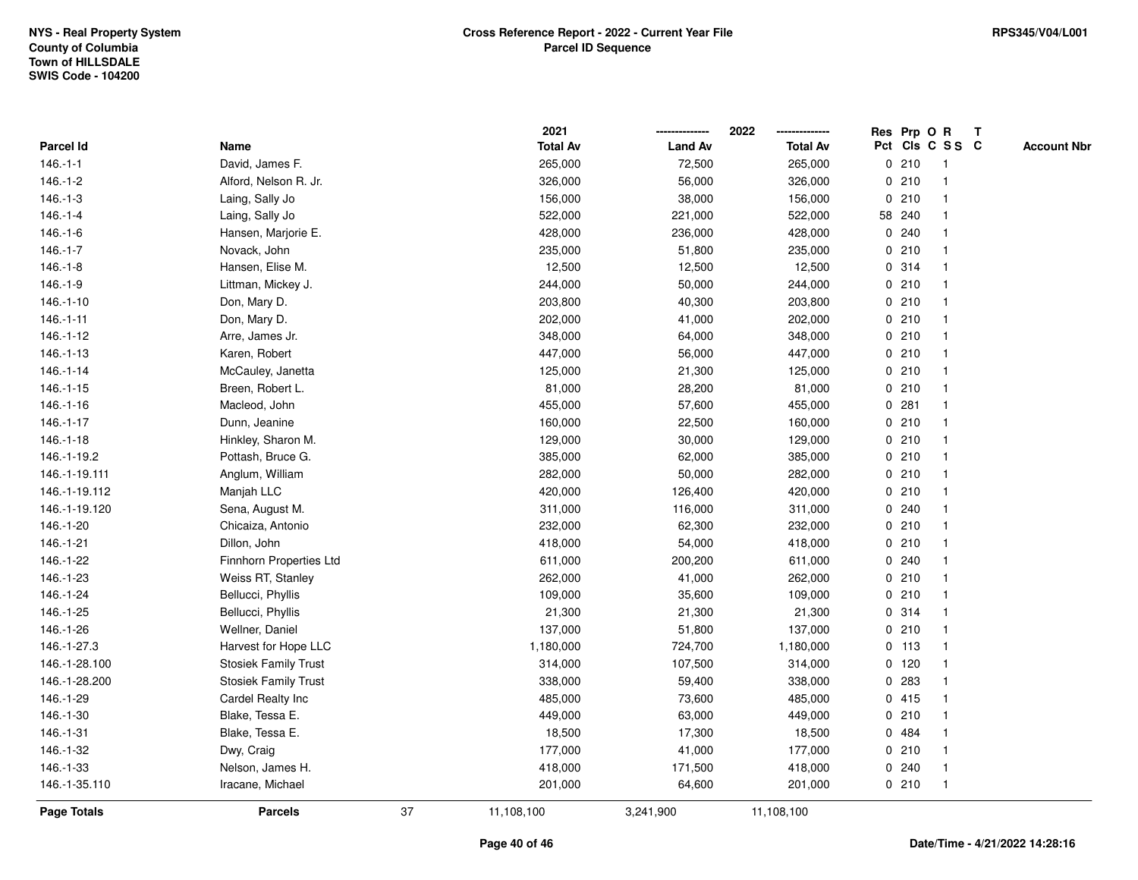|                    |                             |    | 2021            |                | 2022            |              |         | Res Prp O R     | Т |                    |
|--------------------|-----------------------------|----|-----------------|----------------|-----------------|--------------|---------|-----------------|---|--------------------|
| Parcel Id          | Name                        |    | <b>Total Av</b> | <b>Land Av</b> | <b>Total Av</b> |              |         | Pct Cls C S S C |   | <b>Account Nbr</b> |
| $146.-1-1$         | David, James F.             |    | 265,000         | 72,500         | 265,000         |              | 0210    | $\mathbf{1}$    |   |                    |
| $146.-1-2$         | Alford, Nelson R. Jr.       |    | 326,000         | 56,000         | 326,000         | 0            | 210     | $\mathbf 1$     |   |                    |
| $146.-1-3$         | Laing, Sally Jo             |    | 156,000         | 38,000         | 156,000         |              | 0210    | $\mathbf{1}$    |   |                    |
| $146.-1-4$         | Laing, Sally Jo             |    | 522,000         | 221,000        | 522,000         |              | 58 240  |                 |   |                    |
| $146.-1-6$         | Hansen, Marjorie E.         |    | 428,000         | 236,000        | 428,000         |              | 0.240   |                 |   |                    |
| $146.-1-7$         | Novack, John                |    | 235,000         | 51,800         | 235,000         |              | 0210    |                 |   |                    |
| $146.-1-8$         | Hansen, Elise M.            |    | 12,500          | 12,500         | 12,500          |              | 0.314   |                 |   |                    |
| $146.-1-9$         | Littman, Mickey J.          |    | 244,000         | 50,000         | 244,000         |              | 0210    | $\mathbf{1}$    |   |                    |
| 146.-1-10          | Don, Mary D.                |    | 203,800         | 40,300         | 203,800         |              | 0210    | -1              |   |                    |
| $146.-1-11$        | Don, Mary D.                |    | 202,000         | 41,000         | 202,000         |              | 0210    | $\mathbf 1$     |   |                    |
| 146.-1-12          | Arre, James Jr.             |    | 348,000         | 64,000         | 348,000         |              | 0210    |                 |   |                    |
| $146.-1-13$        | Karen, Robert               |    | 447,000         | 56,000         | 447,000         |              | 0210    |                 |   |                    |
| $146.-1-14$        | McCauley, Janetta           |    | 125,000         | 21,300         | 125,000         |              | 0210    |                 |   |                    |
| $146.-1-15$        | Breen, Robert L.            |    | 81,000          | 28,200         | 81,000          |              | 0210    |                 |   |                    |
| $146.-1-16$        | Macleod, John               |    | 455,000         | 57,600         | 455,000         | $\mathbf 0$  | 281     |                 |   |                    |
| $146.-1-17$        | Dunn, Jeanine               |    | 160,000         | 22,500         | 160,000         |              | 0210    | $\overline{1}$  |   |                    |
| $146.-1-18$        | Hinkley, Sharon M.          |    | 129,000         | 30,000         | 129,000         |              | 0210    | $\mathbf{1}$    |   |                    |
| 146.-1-19.2        | Pottash, Bruce G.           |    | 385,000         | 62,000         | 385,000         |              | 0210    |                 |   |                    |
| 146.-1-19.111      | Anglum, William             |    | 282,000         | 50,000         | 282,000         |              | 0210    |                 |   |                    |
| 146.-1-19.112      | Manjah LLC                  |    | 420,000         | 126,400        | 420,000         |              | 0210    |                 |   |                    |
| 146.-1-19.120      | Sena, August M.             |    | 311,000         | 116,000        | 311,000         |              | 0.240   |                 |   |                    |
| 146.-1-20          | Chicaiza, Antonio           |    | 232,000         | 62,300         | 232,000         |              | 0210    |                 |   |                    |
| 146.-1-21          | Dillon, John                |    | 418,000         | 54,000         | 418,000         |              | 0210    | -1              |   |                    |
| 146.-1-22          | Finnhorn Properties Ltd     |    | 611,000         | 200,200        | 611,000         | $\mathbf{0}$ | 240     | 1               |   |                    |
| 146.-1-23          | Weiss RT, Stanley           |    | 262,000         | 41,000         | 262,000         |              | 0210    | 1               |   |                    |
| 146.-1-24          | Bellucci, Phyllis           |    | 109,000         | 35,600         | 109,000         |              | 0210    |                 |   |                    |
| 146.-1-25          | Bellucci, Phyllis           |    | 21,300          | 21,300         | 21,300          |              | 0.314   |                 |   |                    |
| 146.-1-26          | Wellner, Daniel             |    | 137,000         | 51,800         | 137,000         |              | 0210    |                 |   |                    |
| 146.-1-27.3        | Harvest for Hope LLC        |    | 1,180,000       | 724,700        | 1,180,000       |              | $0$ 113 |                 |   |                    |
| 146.-1-28.100      | <b>Stosiek Family Trust</b> |    | 314,000         | 107,500        | 314,000         | 0            | 120     |                 |   |                    |
| 146.-1-28.200      | <b>Stosiek Family Trust</b> |    | 338,000         | 59,400         | 338,000         | 0            | 283     | -1              |   |                    |
| 146.-1-29          | Cardel Realty Inc           |    | 485,000         | 73,600         | 485,000         |              | 0415    | -1              |   |                    |
| 146.-1-30          | Blake, Tessa E.             |    | 449,000         | 63,000         | 449,000         |              | 0210    |                 |   |                    |
| 146.-1-31          | Blake, Tessa E.             |    | 18,500          | 17,300         | 18,500          |              | 0 484   |                 |   |                    |
| 146.-1-32          | Dwy, Craig                  |    | 177,000         | 41,000         | 177,000         |              | 0210    |                 |   |                    |
| 146.-1-33          | Nelson, James H.            |    | 418,000         | 171,500        | 418,000         | 0            | 240     | -1              |   |                    |
| 146.-1-35.110      | Iracane, Michael            |    | 201,000         | 64,600         | 201,000         |              | 0210    | $\overline{1}$  |   |                    |
| <b>Page Totals</b> | <b>Parcels</b>              | 37 | 11,108,100      | 3,241,900      | 11,108,100      |              |         |                 |   |                    |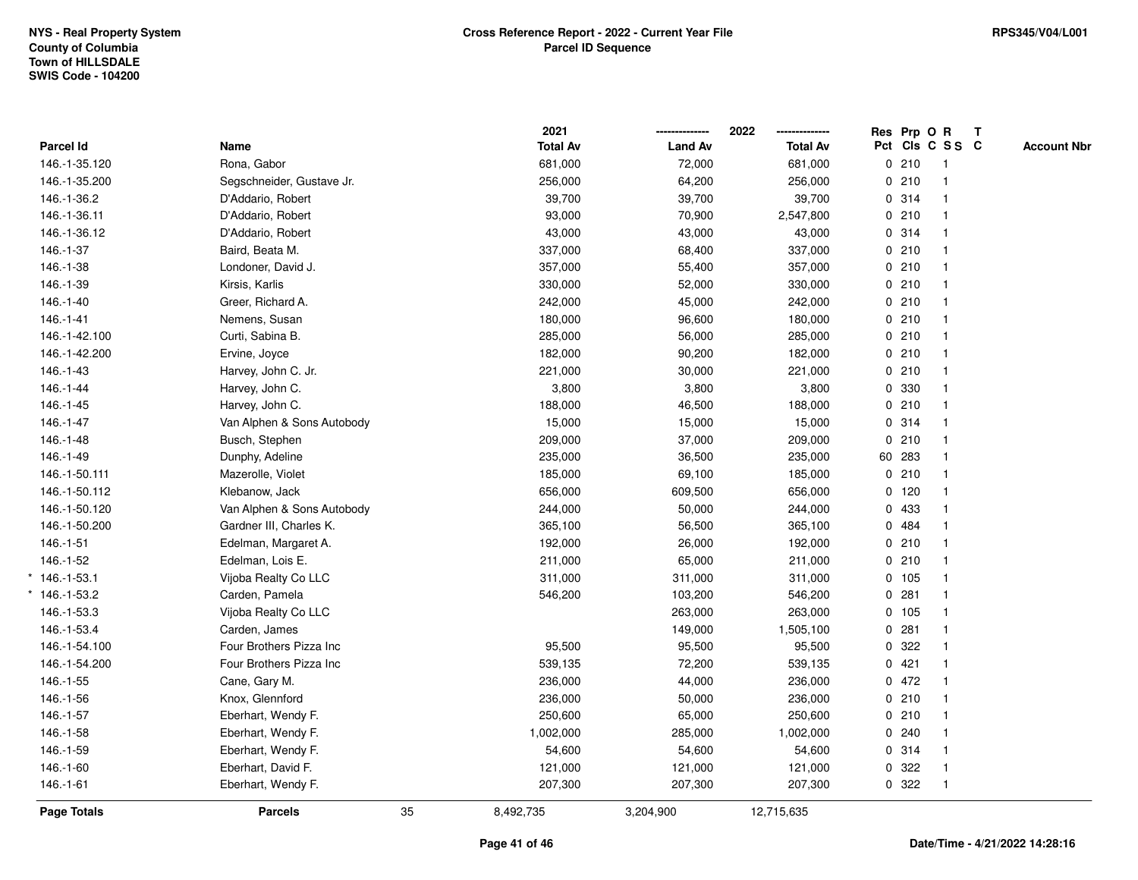|                   |                            |    | 2021            |                | 2022            | Res Prp O R |                 | T |                    |
|-------------------|----------------------------|----|-----------------|----------------|-----------------|-------------|-----------------|---|--------------------|
| Parcel Id         | Name                       |    | <b>Total Av</b> | <b>Land Av</b> | <b>Total Av</b> |             | Pct Cls C S S C |   | <b>Account Nbr</b> |
| 146.-1-35.120     | Rona, Gabor                |    | 681,000         | 72,000         | 681,000         | 0210        | $\mathbf{1}$    |   |                    |
| 146.-1-35.200     | Segschneider, Gustave Jr.  |    | 256,000         | 64,200         | 256,000         | 0210        |                 |   |                    |
| 146.-1-36.2       | D'Addario, Robert          |    | 39,700          | 39,700         | 39,700          | 0.314       |                 |   |                    |
| 146.-1-36.11      | D'Addario, Robert          |    | 93,000          | 70,900         | 2,547,800       | 0210        |                 |   |                    |
| 146.-1-36.12      | D'Addario, Robert          |    | 43,000          | 43,000         | 43,000          | 0.314       |                 |   |                    |
| 146.-1-37         | Baird, Beata M.            |    | 337,000         | 68,400         | 337,000         | 0210        |                 |   |                    |
| 146.-1-38         | Londoner, David J.         |    | 357,000         | 55,400         | 357,000         | 0210        |                 |   |                    |
| 146.-1-39         | Kirsis, Karlis             |    | 330,000         | 52,000         | 330,000         | 0210        |                 |   |                    |
| $146.-1-40$       | Greer, Richard A.          |    | 242,000         | 45,000         | 242,000         | 0210        |                 |   |                    |
| 146.-1-41         | Nemens, Susan              |    | 180,000         | 96,600         | 180,000         | 0210        |                 |   |                    |
| 146.-1-42.100     | Curti, Sabina B.           |    | 285,000         | 56,000         | 285,000         | 0210        |                 |   |                    |
| 146.-1-42.200     | Ervine, Joyce              |    | 182,000         | 90,200         | 182,000         | 0210        |                 |   |                    |
| 146.-1-43         | Harvey, John C. Jr.        |    | 221,000         | 30,000         | 221,000         | 0210        |                 |   |                    |
| 146.-1-44         | Harvey, John C.            |    | 3,800           | 3,800          | 3,800           | 0 330       |                 |   |                    |
| 146.-1-45         | Harvey, John C.            |    | 188,000         | 46,500         | 188,000         | 0210        |                 |   |                    |
| 146.-1-47         | Van Alphen & Sons Autobody |    | 15,000          | 15,000         | 15,000          | 0.314       |                 |   |                    |
| 146.-1-48         | Busch, Stephen             |    | 209,000         | 37,000         | 209,000         | 0210        |                 |   |                    |
| 146.-1-49         | Dunphy, Adeline            |    | 235,000         | 36,500         | 235,000         | 60 283      |                 |   |                    |
| 146.-1-50.111     | Mazerolle, Violet          |    | 185,000         | 69,100         | 185,000         | 0210        |                 |   |                    |
| 146.-1-50.112     | Klebanow, Jack             |    | 656,000         | 609,500        | 656,000         | 0, 120      |                 |   |                    |
| 146.-1-50.120     | Van Alphen & Sons Autobody |    | 244,000         | 50,000         | 244,000         | 0 433       |                 |   |                    |
| 146.-1-50.200     | Gardner III, Charles K.    |    | 365,100         | 56,500         | 365,100         | 0 484       |                 |   |                    |
| 146.-1-51         | Edelman, Margaret A.       |    | 192,000         | 26,000         | 192,000         | 0210        | $\mathbf 1$     |   |                    |
| 146.-1-52         | Edelman, Lois E.           |    | 211,000         | 65,000         | 211,000         | 0210        |                 |   |                    |
| $*146.-1-53.1$    | Vijoba Realty Co LLC       |    | 311,000         | 311,000        | 311,000         | 0 105       |                 |   |                    |
| $146. - 1 - 53.2$ | Carden, Pamela             |    | 546,200         | 103,200        | 546,200         | 0.281       |                 |   |                    |
| 146.-1-53.3       | Vijoba Realty Co LLC       |    |                 | 263,000        | 263,000         | 0 105       |                 |   |                    |
| 146.-1-53.4       | Carden, James              |    |                 | 149,000        | 1,505,100       | 0.281       |                 |   |                    |
| 146.-1-54.100     | Four Brothers Pizza Inc    |    | 95,500          | 95,500         | 95,500          | 0.322       |                 |   |                    |
| 146.-1-54.200     | Four Brothers Pizza Inc    |    | 539,135         | 72,200         | 539,135         | 0421        |                 |   |                    |
| 146.-1-55         | Cane, Gary M.              |    | 236,000         | 44,000         | 236,000         | 0 472       |                 |   |                    |
| 146.-1-56         | Knox, Glennford            |    | 236,000         | 50,000         | 236,000         | 0210        |                 |   |                    |
| 146.-1-57         | Eberhart, Wendy F.         |    | 250,600         | 65,000         | 250,600         | 0210        |                 |   |                    |
| 146.-1-58         | Eberhart, Wendy F.         |    | 1,002,000       | 285,000        | 1,002,000       | 0.240       |                 |   |                    |
| 146.-1-59         | Eberhart, Wendy F.         |    | 54,600          | 54,600         | 54,600          | 0.314       |                 |   |                    |
| 146.-1-60         | Eberhart, David F.         |    | 121,000         | 121,000        | 121,000         | 0.322       |                 |   |                    |
| 146.-1-61         | Eberhart, Wendy F.         |    | 207,300         | 207,300        | 207,300         | 0.322       | $\mathbf{1}$    |   |                    |
| Page Totals       | <b>Parcels</b>             | 35 | 8,492,735       | 3,204,900      | 12,715,635      |             |                 |   |                    |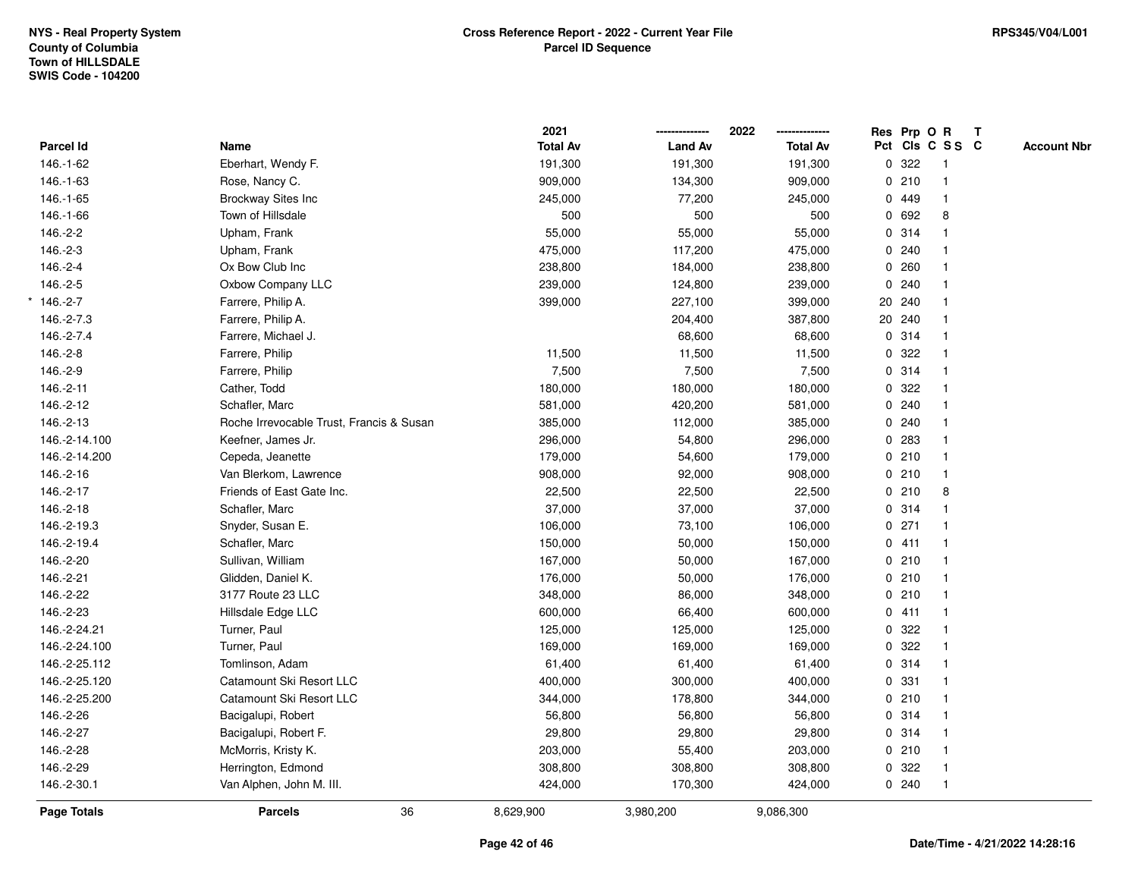|               |                                          |    | 2021            |                | 2022            | Res Prp O R |                         | T |                    |
|---------------|------------------------------------------|----|-----------------|----------------|-----------------|-------------|-------------------------|---|--------------------|
| Parcel Id     | Name                                     |    | <b>Total Av</b> | <b>Land Av</b> | <b>Total Av</b> |             | Pct Cls C S S C         |   | <b>Account Nbr</b> |
| 146.-1-62     | Eberhart, Wendy F.                       |    | 191,300         | 191,300        | 191,300         | 0.322       | $\overline{1}$          |   |                    |
| 146.-1-63     | Rose, Nancy C.                           |    | 909,000         | 134,300        | 909,000         | 0210        | $\mathbf{1}$            |   |                    |
| 146.-1-65     | Brockway Sites Inc                       |    | 245,000         | 77,200         | 245,000         | 0 449       | $\mathbf{1}$            |   |                    |
| 146.-1-66     | Town of Hillsdale                        |    | 500             | 500            | 500             | 0 692       | 8                       |   |                    |
| 146.-2-2      | Upham, Frank                             |    | 55,000          | 55,000         | 55,000          | 0.314       |                         |   |                    |
| 146.-2-3      | Upham, Frank                             |    | 475,000         | 117,200        | 475,000         | 0.240       |                         |   |                    |
| 146.-2-4      | Ox Bow Club Inc                          |    | 238,800         | 184,000        | 238,800         | 0.260       |                         |   |                    |
| 146.-2-5      | Oxbow Company LLC                        |    | 239,000         | 124,800        | 239,000         | 0.240       |                         |   |                    |
| $*146.-2-7$   | Farrere, Philip A.                       |    | 399,000         | 227,100        | 399,000         | 20 240      |                         |   |                    |
| 146.-2-7.3    | Farrere, Philip A.                       |    |                 | 204,400        | 387,800         | 20 240      | $\mathbf{1}$            |   |                    |
| 146.-2-7.4    | Farrere, Michael J.                      |    |                 | 68,600         | 68,600          | 0.314       |                         |   |                    |
| 146.-2-8      | Farrere, Philip                          |    | 11,500          | 11,500         | 11,500          | 0.322       |                         |   |                    |
| 146.-2-9      | Farrere, Philip                          |    | 7,500           | 7,500          | 7,500           | 0.314       |                         |   |                    |
| 146.-2-11     | Cather, Todd                             |    | 180,000         | 180,000        | 180,000         | 0.322       |                         |   |                    |
| 146.-2-12     | Schafler, Marc                           |    | 581,000         | 420,200        | 581,000         | 0.240       |                         |   |                    |
| 146.-2-13     | Roche Irrevocable Trust, Francis & Susan |    | 385,000         | 112,000        | 385,000         | 0.240       | $\mathbf{1}$            |   |                    |
| 146.-2-14.100 | Keefner, James Jr.                       |    | 296,000         | 54,800         | 296,000         | 0.283       | $\mathbf{1}$            |   |                    |
| 146.-2-14.200 | Cepeda, Jeanette                         |    | 179,000         | 54,600         | 179,000         | 0210        |                         |   |                    |
| 146.-2-16     | Van Blerkom, Lawrence                    |    | 908,000         | 92,000         | 908,000         | 0210        |                         |   |                    |
| 146.-2-17     | Friends of East Gate Inc.                |    | 22,500          | 22,500         | 22,500          | 0210        | 8                       |   |                    |
| 146.-2-18     | Schafler, Marc                           |    | 37,000          | 37,000         | 37,000          | 0.314       |                         |   |                    |
| 146.-2-19.3   | Snyder, Susan E.                         |    | 106,000         | 73,100         | 106,000         | $0$ 271     | $\overline{\mathbf{1}}$ |   |                    |
| 146.-2-19.4   | Schafler, Marc                           |    | 150,000         | 50,000         | 150,000         | 0411        | $\overline{1}$          |   |                    |
| 146.-2-20     | Sullivan, William                        |    | 167,000         | 50,000         | 167,000         | 0210        | $\mathbf{1}$            |   |                    |
| 146.-2-21     | Glidden, Daniel K.                       |    | 176,000         | 50,000         | 176,000         | 0210        |                         |   |                    |
| 146.-2-22     | 3177 Route 23 LLC                        |    | 348,000         | 86,000         | 348,000         | 0210        |                         |   |                    |
| 146.-2-23     | Hillsdale Edge LLC                       |    | 600,000         | 66,400         | 600,000         | 0411        |                         |   |                    |
| 146.-2-24.21  | Turner, Paul                             |    | 125,000         | 125,000        | 125,000         | 0.322       |                         |   |                    |
| 146.-2-24.100 | Turner, Paul                             |    | 169,000         | 169,000        | 169,000         | 0.322       | $\overline{\mathbf{1}}$ |   |                    |
| 146.-2-25.112 | Tomlinson, Adam                          |    | 61,400          | 61,400         | 61,400          | 0.314       | $\overline{1}$          |   |                    |
| 146.-2-25.120 | Catamount Ski Resort LLC                 |    | 400,000         | 300,000        | 400,000         | 0.331       | $\mathbf{1}$            |   |                    |
| 146.-2-25.200 | Catamount Ski Resort LLC                 |    | 344,000         | 178,800        | 344,000         | 0210        |                         |   |                    |
| 146.-2-26     | Bacigalupi, Robert                       |    | 56,800          | 56,800         | 56,800          | 0.314       |                         |   |                    |
| 146.-2-27     | Bacigalupi, Robert F.                    |    | 29,800          | 29,800         | 29,800          | 0.314       |                         |   |                    |
| 146.-2-28     | McMorris, Kristy K.                      |    | 203,000         | 55,400         | 203,000         | 0210        |                         |   |                    |
| 146.-2-29     | Herrington, Edmond                       |    | 308,800         | 308,800        | 308,800         | 0 322       | -1                      |   |                    |
| 146.-2-30.1   | Van Alphen, John M. III.                 |    | 424,000         | 170,300        | 424,000         | 0.240       | $\overline{1}$          |   |                    |
| Page Totals   | <b>Parcels</b>                           | 36 | 8,629,900       | 3,980,200      | 9,086,300       |             |                         |   |                    |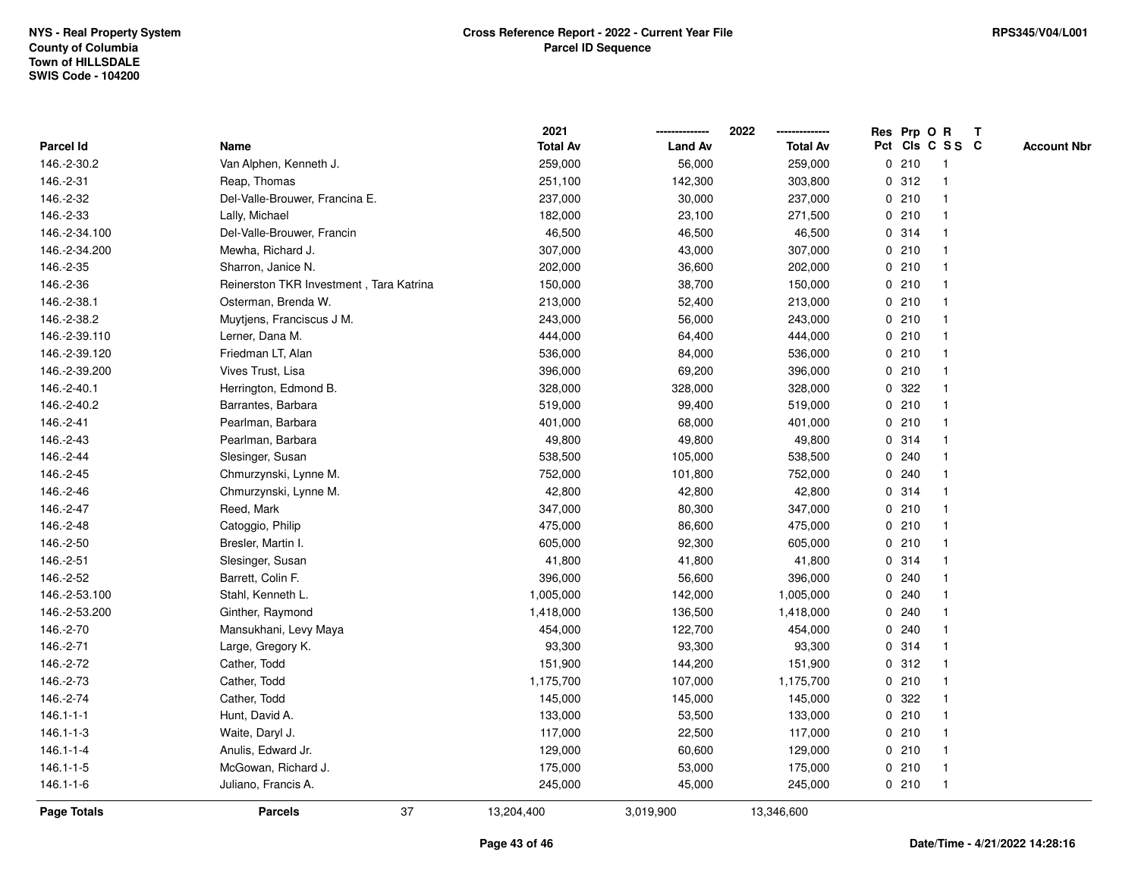**ResOPrpRT**

| Parcel Id          | Name                                    | <b>Total Av</b> | <b>Land Av</b> | <b>Total Av</b> |             |       | Pct Cls C S S C | <b>Account Nbr</b> |
|--------------------|-----------------------------------------|-----------------|----------------|-----------------|-------------|-------|-----------------|--------------------|
| 146.-2-30.2        | Van Alphen, Kenneth J.                  | 259,000         | 56,000         | 259,000         |             | 0210  | $\mathbf{1}$    |                    |
| 146.-2-31          | Reap, Thomas                            | 251,100         | 142,300        | 303,800         |             | 0.312 |                 |                    |
| 146.-2-32          | Del-Valle-Brouwer, Francina E.          | 237,000         | 30,000         | 237,000         |             | 0210  |                 |                    |
| 146.-2-33          | Lally, Michael                          | 182,000         | 23,100         | 271,500         |             | 0210  |                 |                    |
| 146.-2-34.100      | Del-Valle-Brouwer, Francin              | 46,500          | 46,500         | 46,500          |             | 0.314 |                 |                    |
| 146.-2-34.200      | Mewha, Richard J.                       | 307,000         | 43,000         | 307,000         |             | 0210  |                 |                    |
| 146.-2-35          | Sharron, Janice N.                      | 202,000         | 36,600         | 202,000         |             | 0210  |                 |                    |
| 146.-2-36          | Reinerston TKR Investment, Tara Katrina | 150,000         | 38,700         | 150,000         |             | 0210  | $\mathbf{1}$    |                    |
| 146.-2-38.1        | Osterman, Brenda W.                     | 213,000         | 52,400         | 213,000         |             | 0210  | -1              |                    |
| 146.-2-38.2        | Muytjens, Franciscus J M.               | 243,000         | 56,000         | 243,000         |             | 0210  | -1              |                    |
| 146.-2-39.110      | Lerner, Dana M.                         | 444,000         | 64,400         | 444,000         |             | 0210  |                 |                    |
| 146.-2-39.120      | Friedman LT, Alan                       | 536,000         | 84,000         | 536,000         |             | 0210  |                 |                    |
| 146.-2-39.200      | Vives Trust, Lisa                       | 396,000         | 69,200         | 396,000         |             | 0210  |                 |                    |
| 146.-2-40.1        | Herrington, Edmond B.                   | 328,000         | 328,000        | 328,000         |             | 0.322 |                 |                    |
| 146.-2-40.2        | Barrantes, Barbara                      | 519,000         | 99,400         | 519,000         |             | 0210  |                 |                    |
| 146.-2-41          | Pearlman, Barbara                       | 401,000         | 68,000         | 401,000         |             | 0210  |                 |                    |
| 146.-2-43          | Pearlman, Barbara                       | 49,800          | 49,800         | 49,800          |             | 0.314 |                 |                    |
| 146.-2-44          | Slesinger, Susan                        | 538,500         | 105,000        | 538,500         |             | 0.240 |                 |                    |
| 146.-2-45          | Chmurzynski, Lynne M.                   | 752,000         | 101,800        | 752,000         |             | 0.240 |                 |                    |
| 146.-2-46          | Chmurzynski, Lynne M.                   | 42,800          | 42,800         | 42,800          |             | 0.314 | -1              |                    |
| 146.-2-47          | Reed, Mark                              | 347,000         | 80,300         | 347,000         |             | 0210  |                 |                    |
| 146.-2-48          | Catoggio, Philip                        | 475,000         | 86,600         | 475,000         |             | 0210  |                 |                    |
| 146.-2-50          | Bresler, Martin I.                      | 605,000         | 92,300         | 605,000         |             | 0210  |                 |                    |
| 146.-2-51          | Slesinger, Susan                        | 41,800          | 41,800         | 41,800          |             | 0.314 |                 |                    |
| 146.-2-52          | Barrett, Colin F.                       | 396,000         | 56,600         | 396,000         |             | 0.240 |                 |                    |
| 146.-2-53.100      | Stahl, Kenneth L.                       | 1,005,000       | 142,000        | 1,005,000       |             | 0.240 |                 |                    |
| 146.-2-53.200      | Ginther, Raymond                        | 1,418,000       | 136,500        | 1,418,000       | $\mathbf 0$ | 240   |                 |                    |
| 146.-2-70          | Mansukhani, Levy Maya                   | 454,000         | 122,700        | 454,000         | 0           | 240   | -1              |                    |
| 146.-2-71          | Large, Gregory K.                       | 93,300          | 93,300         | 93,300          |             | 0.314 | -1              |                    |
| 146.-2-72          | Cather, Todd                            | 151,900         | 144,200        | 151,900         |             | 0.312 |                 |                    |
| 146.-2-73          | Cather, Todd                            | 1,175,700       | 107,000        | 1,175,700       |             | 0210  |                 |                    |
| 146.-2-74          | Cather, Todd                            | 145,000         | 145,000        | 145,000         |             | 0.322 |                 |                    |
| $146.1 - 1 - 1$    | Hunt, David A.                          | 133,000         | 53,500         | 133,000         |             | 0210  |                 |                    |
| $146.1 - 1 - 3$    | Waite, Daryl J.                         | 117,000         | 22,500         | 117,000         |             | 0210  | -1              |                    |
| $146.1 - 1 - 4$    | Anulis, Edward Jr.                      | 129,000         | 60,600         | 129,000         |             | 0210  | -1              |                    |
| $146.1 - 1 - 5$    | McGowan, Richard J.                     | 175,000         | 53,000         | 175,000         |             | 0210  | -1              |                    |
| $146.1 - 1 - 6$    | Juliano, Francis A.                     | 245,000         | 45,000         | 245,000         |             | 0210  | $\mathbf{1}$    |                    |
| <b>Page Totals</b> | 37<br><b>Parcels</b>                    | 13,204,400      | 3,019,900      | 13,346,600      |             |       |                 |                    |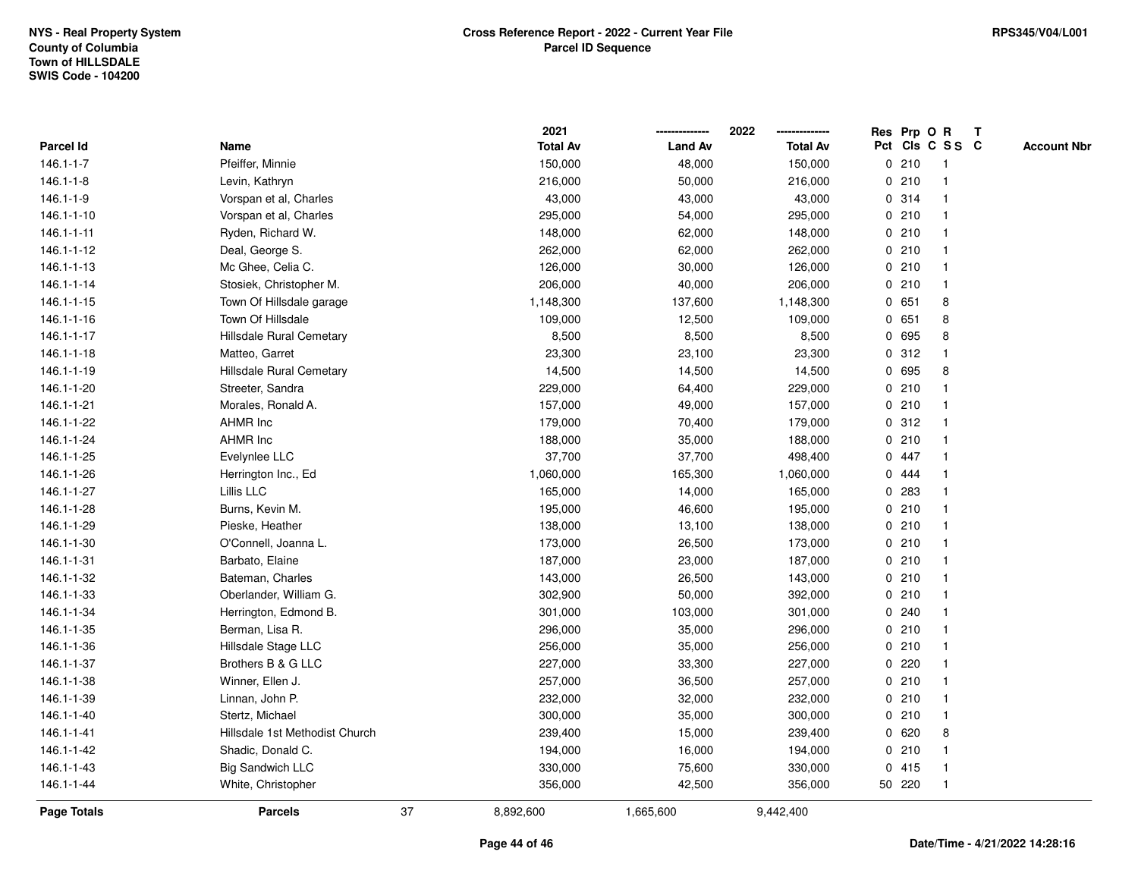|                  |                                |    | 2021            |                | 2022            | Res Prp O |        | $\mathbf R$     | $\mathbf{T}$ |                    |
|------------------|--------------------------------|----|-----------------|----------------|-----------------|-----------|--------|-----------------|--------------|--------------------|
| <b>Parcel Id</b> | Name                           |    | <b>Total Av</b> | <b>Land Av</b> | <b>Total Av</b> |           |        | Pct Cls C S S C |              | <b>Account Nbr</b> |
| $146.1 - 1 - 7$  | Pfeiffer, Minnie               |    | 150,000         | 48,000         | 150,000         |           | 0210   |                 |              |                    |
| $146.1 - 1 - 8$  | Levin, Kathryn                 |    | 216,000         | 50,000         | 216,000         |           | 0210   |                 |              |                    |
| 146.1-1-9        | Vorspan et al, Charles         |    | 43,000          | 43,000         | 43,000          |           | 0.314  |                 |              |                    |
| 146.1-1-10       | Vorspan et al, Charles         |    | 295,000         | 54,000         | 295,000         | 0         | 210    |                 |              |                    |
| 146.1-1-11       | Ryden, Richard W.              |    | 148,000         | 62,000         | 148,000         |           | 0210   |                 |              |                    |
| 146.1-1-12       | Deal, George S.                |    | 262,000         | 62,000         | 262,000         |           | 0210   |                 |              |                    |
| 146.1-1-13       | Mc Ghee, Celia C.              |    | 126,000         | 30,000         | 126,000         |           | 0210   |                 |              |                    |
| 146.1-1-14       | Stosiek, Christopher M.        |    | 206,000         | 40,000         | 206,000         |           | 0210   |                 |              |                    |
| 146.1-1-15       | Town Of Hillsdale garage       |    | 1,148,300       | 137,600        | 1,148,300       | 0         | 651    | 8               |              |                    |
| 146.1-1-16       | Town Of Hillsdale              |    | 109,000         | 12,500         | 109,000         | 0         | 651    | 8               |              |                    |
| 146.1-1-17       | Hillsdale Rural Cemetary       |    | 8,500           | 8,500          | 8,500           | 0         | 695    | 8               |              |                    |
| 146.1-1-18       | Matteo, Garret                 |    | 23,300          | 23,100         | 23,300          |           | 0.312  |                 |              |                    |
| 146.1-1-19       | Hillsdale Rural Cemetary       |    | 14,500          | 14,500         | 14,500          | 0         | 695    | 8               |              |                    |
| 146.1-1-20       | Streeter, Sandra               |    | 229,000         | 64,400         | 229,000         |           | 0210   |                 |              |                    |
| 146.1-1-21       | Morales, Ronald A.             |    | 157,000         | 49,000         | 157,000         |           | 0210   |                 |              |                    |
| 146.1-1-22       | <b>AHMR Inc</b>                |    | 179,000         | 70,400         | 179,000         |           | 0.312  |                 |              |                    |
| 146.1-1-24       | <b>AHMR Inc</b>                |    | 188,000         | 35,000         | 188,000         | 0         | 210    |                 |              |                    |
| 146.1-1-25       | Evelynlee LLC                  |    | 37,700          | 37,700         | 498,400         |           | 0 447  |                 |              |                    |
| 146.1-1-26       | Herrington Inc., Ed            |    | 1,060,000       | 165,300        | 1,060,000       |           | 0.444  |                 |              |                    |
| 146.1-1-27       | Lillis LLC                     |    | 165,000         | 14,000         | 165,000         |           | 0 283  |                 |              |                    |
| 146.1-1-28       | Burns, Kevin M.                |    | 195,000         | 46,600         | 195,000         |           | 0210   |                 |              |                    |
| 146.1-1-29       | Pieske, Heather                |    | 138,000         | 13,100         | 138,000         |           | 0210   |                 |              |                    |
| 146.1-1-30       | O'Connell, Joanna L.           |    | 173,000         | 26,500         | 173,000         |           | 0210   |                 |              |                    |
| 146.1-1-31       | Barbato, Elaine                |    | 187,000         | 23,000         | 187,000         | 0         | 210    |                 |              |                    |
| 146.1-1-32       | Bateman, Charles               |    | 143,000         | 26,500         | 143,000         |           | 0210   |                 |              |                    |
| 146.1-1-33       | Oberlander, William G.         |    | 302,900         | 50,000         | 392,000         |           | 0210   |                 |              |                    |
| 146.1-1-34       | Herrington, Edmond B.          |    | 301,000         | 103,000        | 301,000         |           | 0.240  |                 |              |                    |
| 146.1-1-35       | Berman, Lisa R.                |    | 296,000         | 35,000         | 296,000         |           | 0210   |                 |              |                    |
| 146.1-1-36       | Hillsdale Stage LLC            |    | 256,000         | 35,000         | 256,000         |           | 0210   |                 |              |                    |
| 146.1-1-37       | Brothers B & G LLC             |    | 227,000         | 33,300         | 227,000         | 0         | 220    |                 |              |                    |
| 146.1-1-38       | Winner, Ellen J.               |    | 257,000         | 36,500         | 257,000         | 0         | 210    |                 |              |                    |
| 146.1-1-39       | Linnan, John P.                |    | 232,000         | 32,000         | 232,000         |           | 0210   |                 |              |                    |
| 146.1-1-40       | Stertz, Michael                |    | 300,000         | 35,000         | 300,000         |           | 0210   |                 |              |                    |
| 146.1-1-41       | Hillsdale 1st Methodist Church |    | 239,400         | 15,000         | 239,400         |           | 0620   | 8               |              |                    |
| 146.1-1-42       | Shadic, Donald C.              |    | 194,000         | 16,000         | 194,000         |           | 0210   |                 |              |                    |
| 146.1-1-43       | <b>Big Sandwich LLC</b>        |    | 330,000         | 75,600         | 330,000         | 0         | 415    |                 |              |                    |
| 146.1-1-44       | White, Christopher             |    | 356,000         | 42,500         | 356,000         |           | 50 220 |                 |              |                    |
| Page Totals      | <b>Parcels</b>                 | 37 | 8,892,600       | 1,665,600      | 9,442,400       |           |        |                 |              |                    |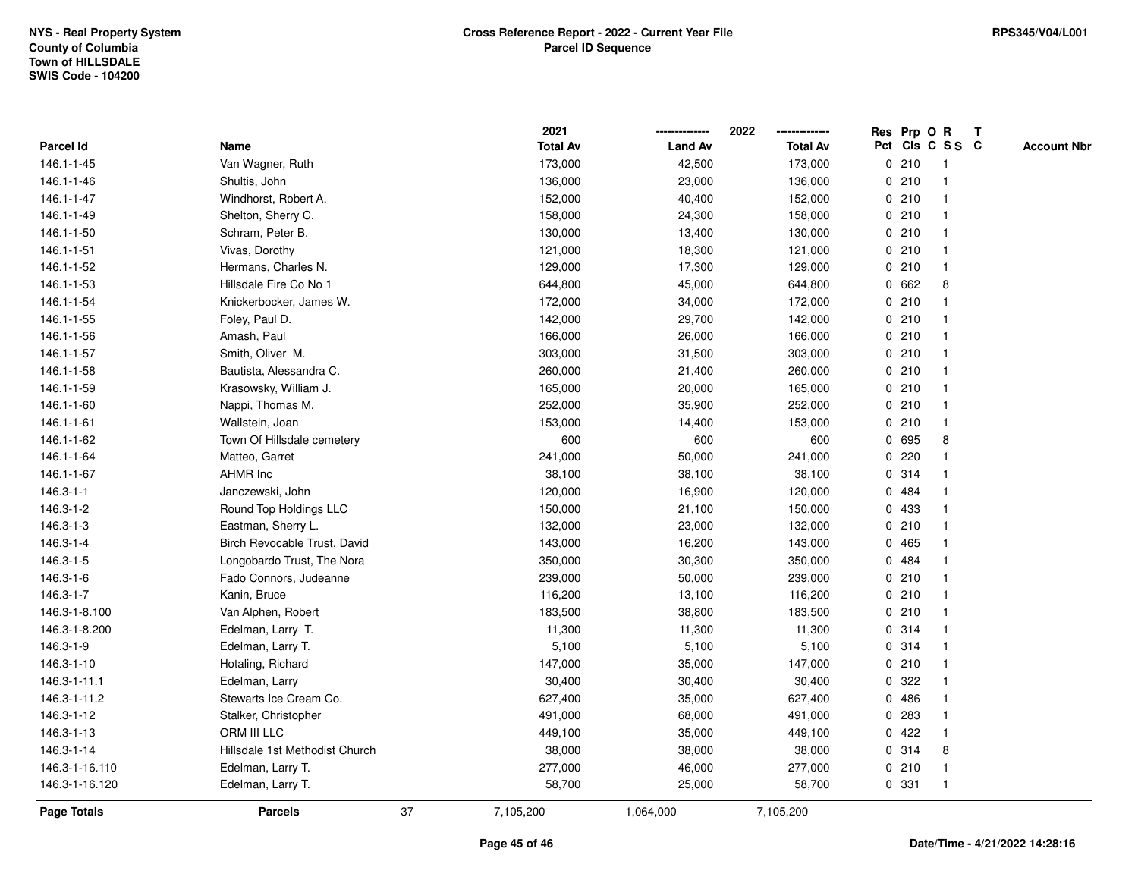|                    |                                |    | 2021            |                | 2022            |             |       | Res Prp O R     | T |                    |
|--------------------|--------------------------------|----|-----------------|----------------|-----------------|-------------|-------|-----------------|---|--------------------|
| <b>Parcel Id</b>   | Name                           |    | <b>Total Av</b> | <b>Land Av</b> | <b>Total Av</b> |             |       | Pct Cls C S S C |   | <b>Account Nbr</b> |
| 146.1-1-45         | Van Wagner, Ruth               |    | 173,000         | 42,500         | 173,000         |             | 0210  | $\mathbf{1}$    |   |                    |
| 146.1-1-46         | Shultis, John                  |    | 136,000         | 23,000         | 136,000         | 0           | 210   | -1              |   |                    |
| 146.1-1-47         | Windhorst, Robert A.           |    | 152,000         | 40,400         | 152,000         |             | 0210  | -1              |   |                    |
| 146.1-1-49         | Shelton, Sherry C.             |    | 158,000         | 24,300         | 158,000         |             | 0210  |                 |   |                    |
| 146.1-1-50         | Schram, Peter B.               |    | 130,000         | 13,400         | 130,000         |             | 0210  |                 |   |                    |
| 146.1-1-51         | Vivas, Dorothy                 |    | 121,000         | 18,300         | 121,000         |             | 0210  |                 |   |                    |
| 146.1-1-52         | Hermans, Charles N.            |    | 129,000         | 17,300         | 129,000         |             | 0210  |                 |   |                    |
| 146.1-1-53         | Hillsdale Fire Co No 1         |    | 644,800         | 45,000         | 644,800         | 0           | 662   | 8               |   |                    |
| 146.1-1-54         | Knickerbocker, James W.        |    | 172,000         | 34,000         | 172,000         | 0           | 210   |                 |   |                    |
| 146.1-1-55         | Foley, Paul D.                 |    | 142,000         | 29,700         | 142,000         |             | 0210  | -1              |   |                    |
| 146.1-1-56         | Amash, Paul                    |    | 166,000         | 26,000         | 166,000         |             | 0210  |                 |   |                    |
| 146.1-1-57         | Smith, Oliver M.               |    | 303,000         | 31,500         | 303,000         |             | 0210  |                 |   |                    |
| 146.1-1-58         | Bautista, Alessandra C.        |    | 260,000         | 21,400         | 260,000         |             | 0210  |                 |   |                    |
| 146.1-1-59         | Krasowsky, William J.          |    | 165,000         | 20,000         | 165,000         |             | 0210  |                 |   |                    |
| 146.1-1-60         | Nappi, Thomas M.               |    | 252,000         | 35,900         | 252,000         | $\mathbf 0$ | 210   |                 |   |                    |
| 146.1-1-61         | Wallstein, Joan                |    | 153,000         | 14,400         | 153,000         |             | 0210  | $\mathbf{1}$    |   |                    |
| 146.1-1-62         | Town Of Hillsdale cemetery     |    | 600             | 600            | 600             |             | 0 695 | 8               |   |                    |
| 146.1-1-64         | Matteo, Garret                 |    | 241,000         | 50,000         | 241,000         |             | 0.220 |                 |   |                    |
| 146.1-1-67         | <b>AHMR Inc</b>                |    | 38,100          | 38,100         | 38,100          |             | 0.314 |                 |   |                    |
| $146.3 - 1 - 1$    | Janczewski, John               |    | 120,000         | 16,900         | 120,000         |             | 0.484 |                 |   |                    |
| 146.3-1-2          | Round Top Holdings LLC         |    | 150,000         | 21,100         | 150,000         |             | 0 433 |                 |   |                    |
| 146.3-1-3          | Eastman, Sherry L.             |    | 132,000         | 23,000         | 132,000         |             | 0210  |                 |   |                    |
| 146.3-1-4          | Birch Revocable Trust, David   |    | 143,000         | 16,200         | 143,000         |             | 0 465 | -1              |   |                    |
| 146.3-1-5          | Longobardo Trust, The Nora     |    | 350,000         | 30,300         | 350,000         |             | 0 484 |                 |   |                    |
| 146.3-1-6          | Fado Connors, Judeanne         |    | 239,000         | 50,000         | 239,000         |             | 0210  |                 |   |                    |
| 146.3-1-7          | Kanin, Bruce                   |    | 116,200         | 13,100         | 116,200         |             | 0210  |                 |   |                    |
| 146.3-1-8.100      | Van Alphen, Robert             |    | 183,500         | 38,800         | 183,500         |             | 0210  |                 |   |                    |
| 146.3-1-8.200      | Edelman, Larry T.              |    | 11,300          | 11,300         | 11,300          |             | 0.314 |                 |   |                    |
| 146.3-1-9          | Edelman, Larry T.              |    | 5,100           | 5,100          | 5,100           | $\mathbf 0$ | 314   |                 |   |                    |
| 146.3-1-10         | Hotaling, Richard              |    | 147,000         | 35,000         | 147,000         | 0           | 210   |                 |   |                    |
| 146.3-1-11.1       | Edelman, Larry                 |    | 30,400          | 30,400         | 30,400          | 0           | 322   |                 |   |                    |
| 146.3-1-11.2       | Stewarts Ice Cream Co.         |    | 627,400         | 35,000         | 627,400         |             | 0 486 |                 |   |                    |
| 146.3-1-12         | Stalker, Christopher           |    | 491,000         | 68,000         | 491,000         |             | 0 283 |                 |   |                    |
| 146.3-1-13         | ORM III LLC                    |    | 449,100         | 35,000         | 449,100         |             | 0422  |                 |   |                    |
| 146.3-1-14         | Hillsdale 1st Methodist Church |    | 38,000          | 38,000         | 38,000          |             | 0.314 | 8               |   |                    |
| 146.3-1-16.110     | Edelman, Larry T.              |    | 277,000         | 46,000         | 277,000         |             | 0210  | -1              |   |                    |
| 146.3-1-16.120     | Edelman, Larry T.              |    | 58,700          | 25,000         | 58,700          |             | 0 331 | $\overline{1}$  |   |                    |
| <b>Page Totals</b> | <b>Parcels</b>                 | 37 | 7,105,200       | 1,064,000      | 7,105,200       |             |       |                 |   |                    |